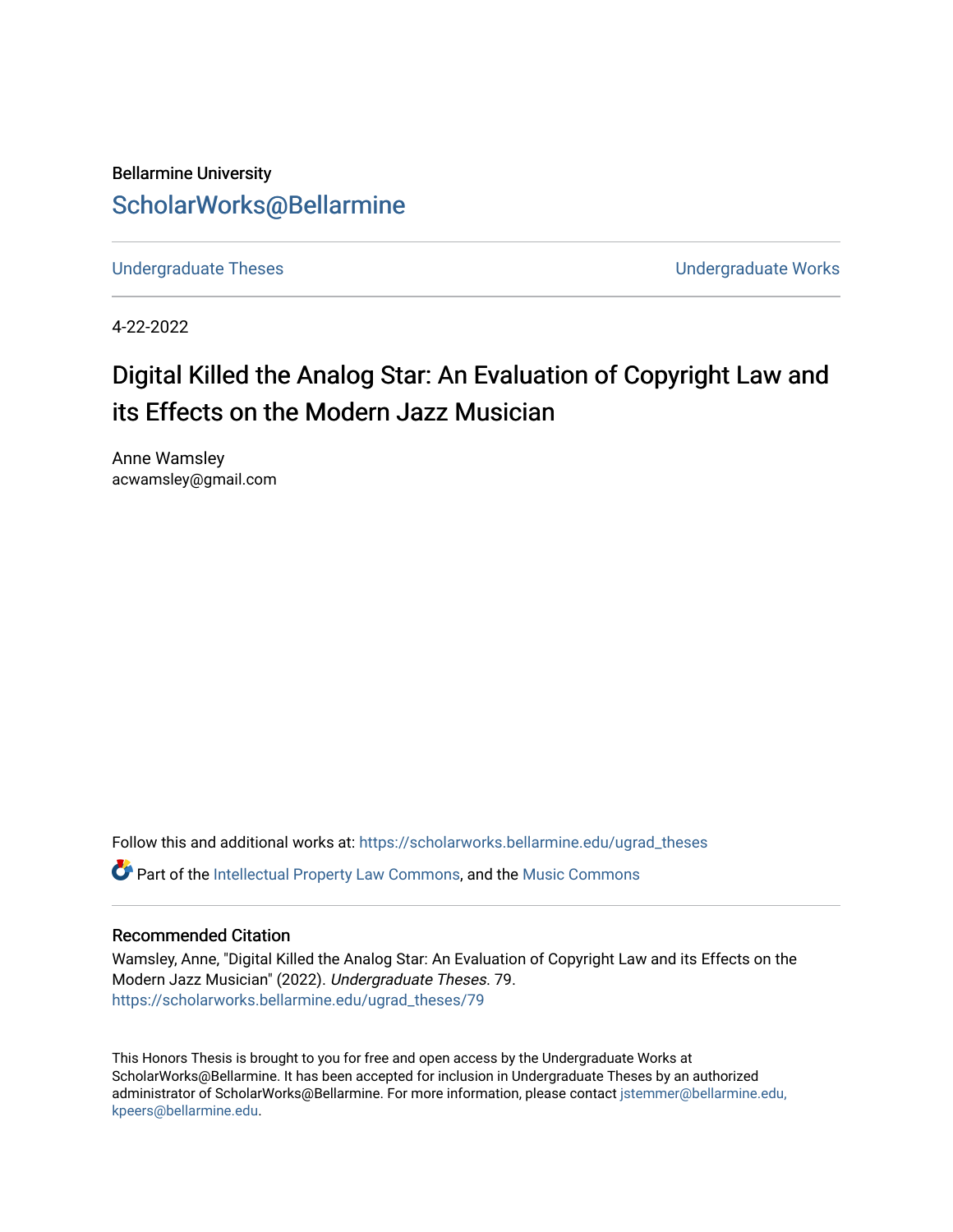Bellarmine University [ScholarWorks@Bellarmine](https://scholarworks.bellarmine.edu/) 

[Undergraduate Theses](https://scholarworks.bellarmine.edu/ugrad_theses) **Undergraduate Undergraduate Works** 

4-22-2022

# Digital Killed the Analog Star: An Evaluation of Copyright Law and its Effects on the Modern Jazz Musician

Anne Wamsley acwamsley@gmail.com

Follow this and additional works at: [https://scholarworks.bellarmine.edu/ugrad\\_theses](https://scholarworks.bellarmine.edu/ugrad_theses?utm_source=scholarworks.bellarmine.edu%2Fugrad_theses%2F79&utm_medium=PDF&utm_campaign=PDFCoverPages) 

Part of the [Intellectual Property Law Commons,](http://network.bepress.com/hgg/discipline/896?utm_source=scholarworks.bellarmine.edu%2Fugrad_theses%2F79&utm_medium=PDF&utm_campaign=PDFCoverPages) and the [Music Commons](http://network.bepress.com/hgg/discipline/518?utm_source=scholarworks.bellarmine.edu%2Fugrad_theses%2F79&utm_medium=PDF&utm_campaign=PDFCoverPages)

# Recommended Citation

Wamsley, Anne, "Digital Killed the Analog Star: An Evaluation of Copyright Law and its Effects on the Modern Jazz Musician" (2022). Undergraduate Theses. 79. [https://scholarworks.bellarmine.edu/ugrad\\_theses/79](https://scholarworks.bellarmine.edu/ugrad_theses/79?utm_source=scholarworks.bellarmine.edu%2Fugrad_theses%2F79&utm_medium=PDF&utm_campaign=PDFCoverPages) 

This Honors Thesis is brought to you for free and open access by the Undergraduate Works at ScholarWorks@Bellarmine. It has been accepted for inclusion in Undergraduate Theses by an authorized administrator of ScholarWorks@Bellarmine. For more information, please contact [jstemmer@bellarmine.edu,](mailto:jstemmer@bellarmine.edu,%20kpeers@bellarmine.edu)  [kpeers@bellarmine.edu](mailto:jstemmer@bellarmine.edu,%20kpeers@bellarmine.edu).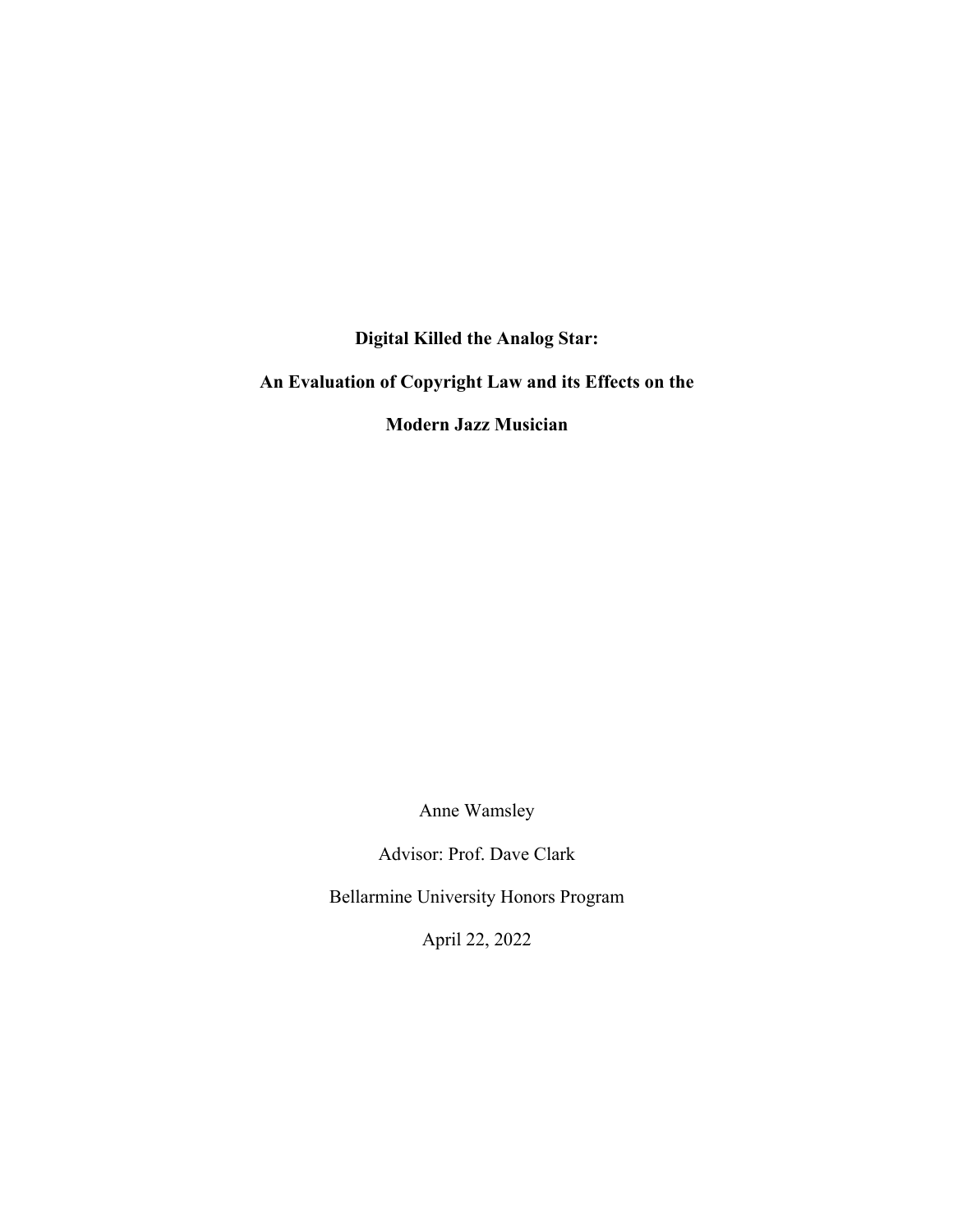**Digital Killed the Analog Star:**

**An Evaluation of Copyright Law and its Effects on the**

**Modern Jazz Musician**

Anne Wamsley

Advisor: Prof. Dave Clark

Bellarmine University Honors Program

April 22, 2022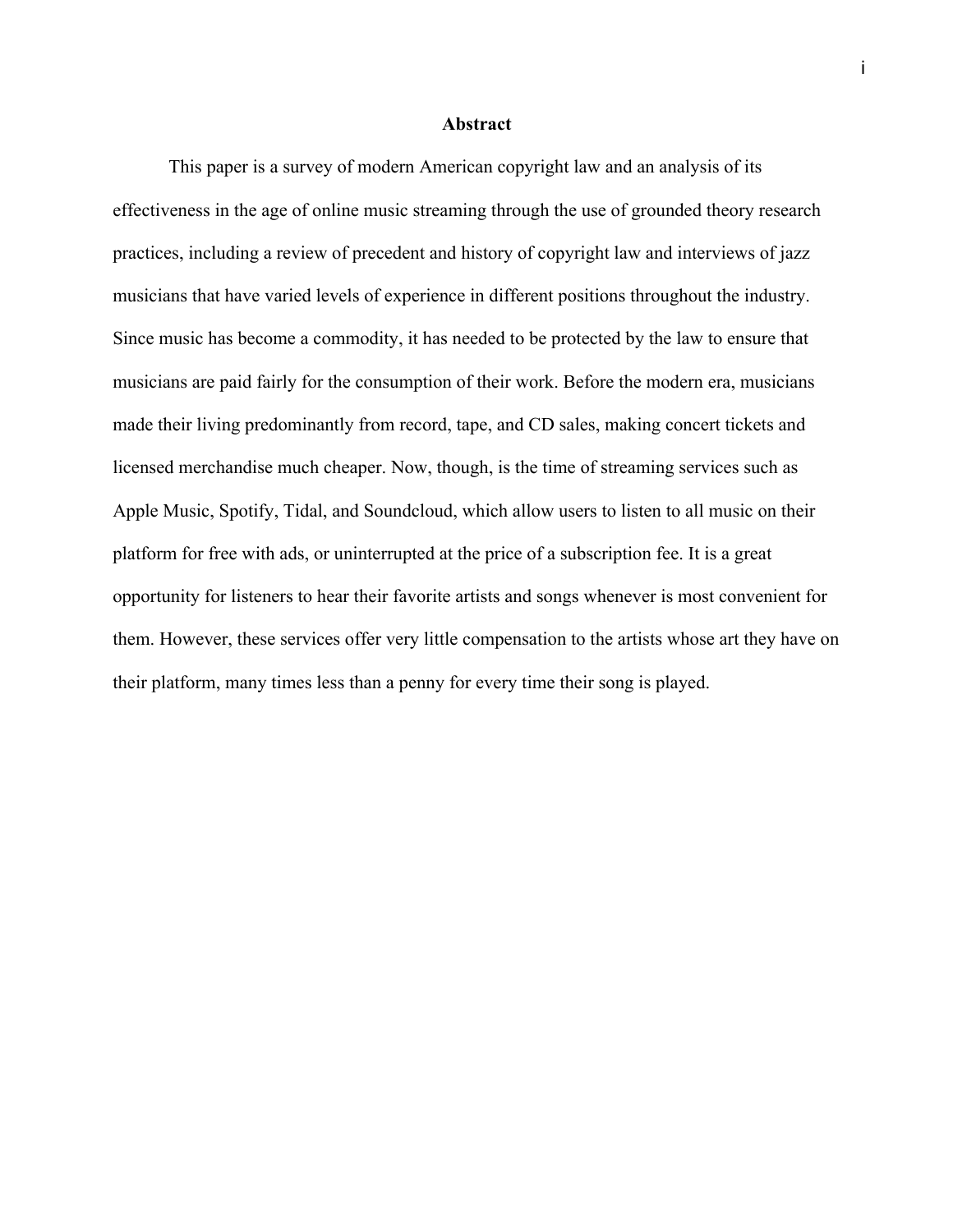#### **Abstract**

This paper is a survey of modern American copyright law and an analysis of its effectiveness in the age of online music streaming through the use of grounded theory research practices, including a review of precedent and history of copyright law and interviews of jazz musicians that have varied levels of experience in different positions throughout the industry. Since music has become a commodity, it has needed to be protected by the law to ensure that musicians are paid fairly for the consumption of their work. Before the modern era, musicians made their living predominantly from record, tape, and CD sales, making concert tickets and licensed merchandise much cheaper. Now, though, is the time of streaming services such as Apple Music, Spotify, Tidal, and Soundcloud, which allow users to listen to all music on their platform for free with ads, or uninterrupted at the price of a subscription fee. It is a great opportunity for listeners to hear their favorite artists and songs whenever is most convenient for them. However, these services offer very little compensation to the artists whose art they have on their platform, many times less than a penny for every time their song is played.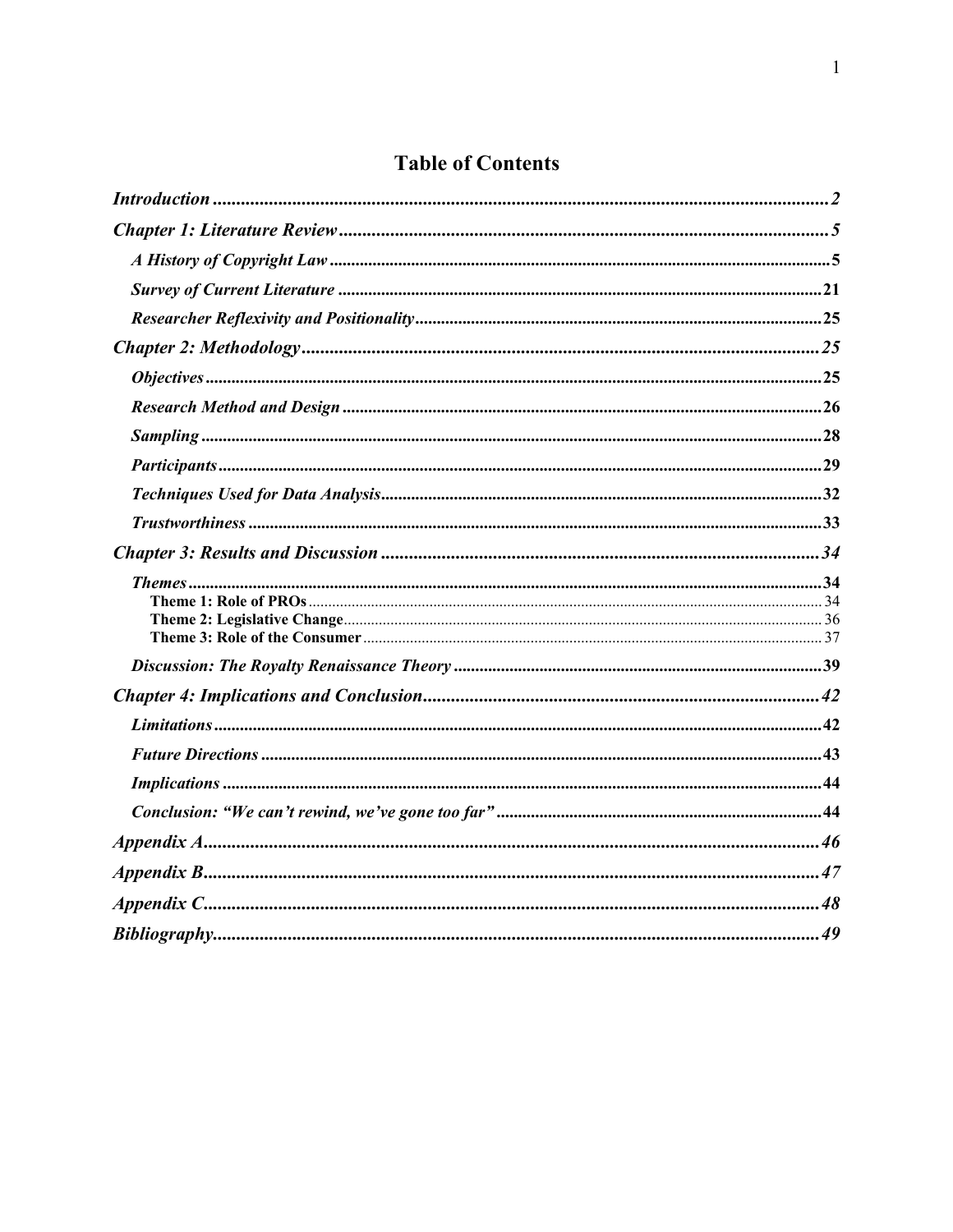# **Table of Contents**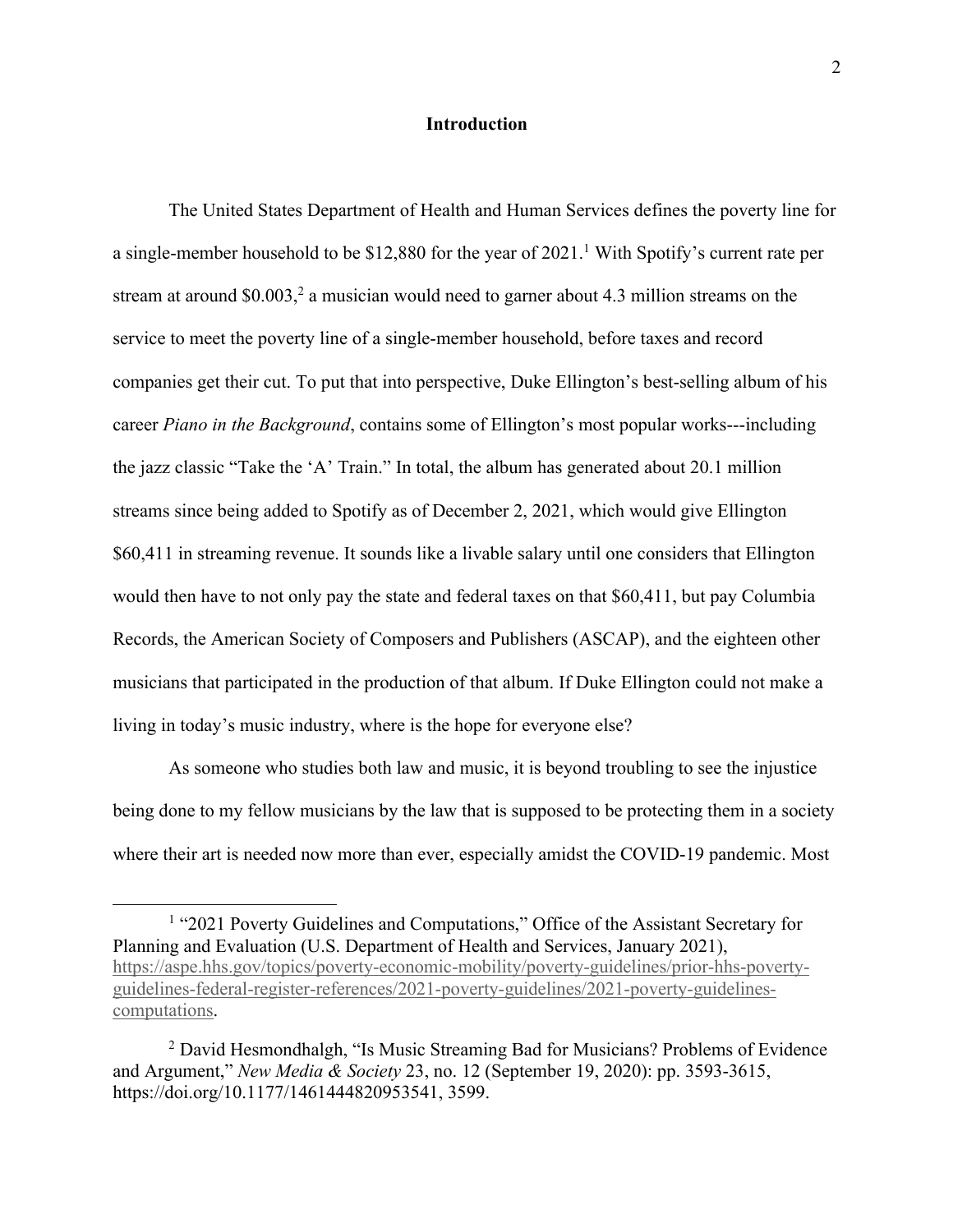#### **Introduction**

The United States Department of Health and Human Services defines the poverty line for a single-member household to be \$12,880 for the year of  $2021<sup>1</sup>$  With Spotify's current rate per stream at around \$0.003,<sup>2</sup> a musician would need to garner about 4.3 million streams on the service to meet the poverty line of a single-member household, before taxes and record companies get their cut. To put that into perspective, Duke Ellington's best-selling album of his career *Piano in the Background*, contains some of Ellington's most popular works---including the jazz classic "Take the 'A' Train." In total, the album has generated about 20.1 million streams since being added to Spotify as of December 2, 2021, which would give Ellington \$60,411 in streaming revenue. It sounds like a livable salary until one considers that Ellington would then have to not only pay the state and federal taxes on that \$60,411, but pay Columbia Records, the American Society of Composers and Publishers (ASCAP), and the eighteen other musicians that participated in the production of that album. If Duke Ellington could not make a living in today's music industry, where is the hope for everyone else?

As someone who studies both law and music, it is beyond troubling to see the injustice being done to my fellow musicians by the law that is supposed to be protecting them in a society where their art is needed now more than ever, especially amidst the COVID-19 pandemic. Most

<sup>&</sup>lt;sup>1</sup> "2021 Poverty Guidelines and Computations," Office of the Assistant Secretary for Planning and Evaluation (U.S. Department of Health and Services, January 2021), https://aspe.hhs.gov/topics/poverty-economic-mobility/poverty-guidelines/prior-hhs-povertyguidelines-federal-register-references/2021-poverty-guidelines/2021-poverty-guidelinescomputations.

<sup>2</sup> David Hesmondhalgh, "Is Music Streaming Bad for Musicians? Problems of Evidence and Argument," *New Media & Society* 23, no. 12 (September 19, 2020): pp. 3593-3615, https://doi.org/10.1177/1461444820953541, 3599.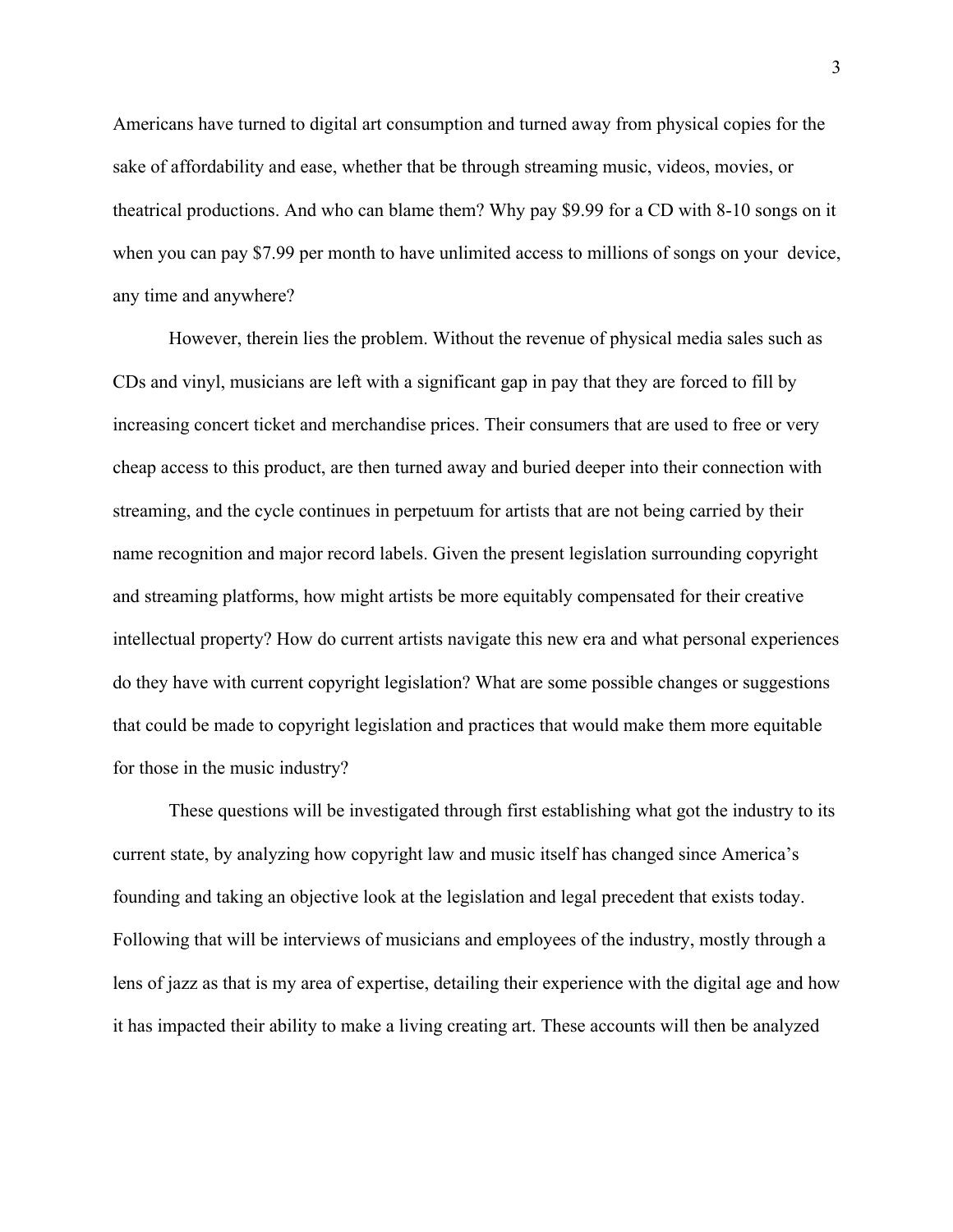Americans have turned to digital art consumption and turned away from physical copies for the sake of affordability and ease, whether that be through streaming music, videos, movies, or theatrical productions. And who can blame them? Why pay \$9.99 for a CD with 8-10 songs on it when you can pay \$7.99 per month to have unlimited access to millions of songs on your device, any time and anywhere?

However, therein lies the problem. Without the revenue of physical media sales such as CDs and vinyl, musicians are left with a significant gap in pay that they are forced to fill by increasing concert ticket and merchandise prices. Their consumers that are used to free or very cheap access to this product, are then turned away and buried deeper into their connection with streaming, and the cycle continues in perpetuum for artists that are not being carried by their name recognition and major record labels. Given the present legislation surrounding copyright and streaming platforms, how might artists be more equitably compensated for their creative intellectual property? How do current artists navigate this new era and what personal experiences do they have with current copyright legislation? What are some possible changes or suggestions that could be made to copyright legislation and practices that would make them more equitable for those in the music industry?

These questions will be investigated through first establishing what got the industry to its current state, by analyzing how copyright law and music itself has changed since America's founding and taking an objective look at the legislation and legal precedent that exists today. Following that will be interviews of musicians and employees of the industry, mostly through a lens of jazz as that is my area of expertise, detailing their experience with the digital age and how it has impacted their ability to make a living creating art. These accounts will then be analyzed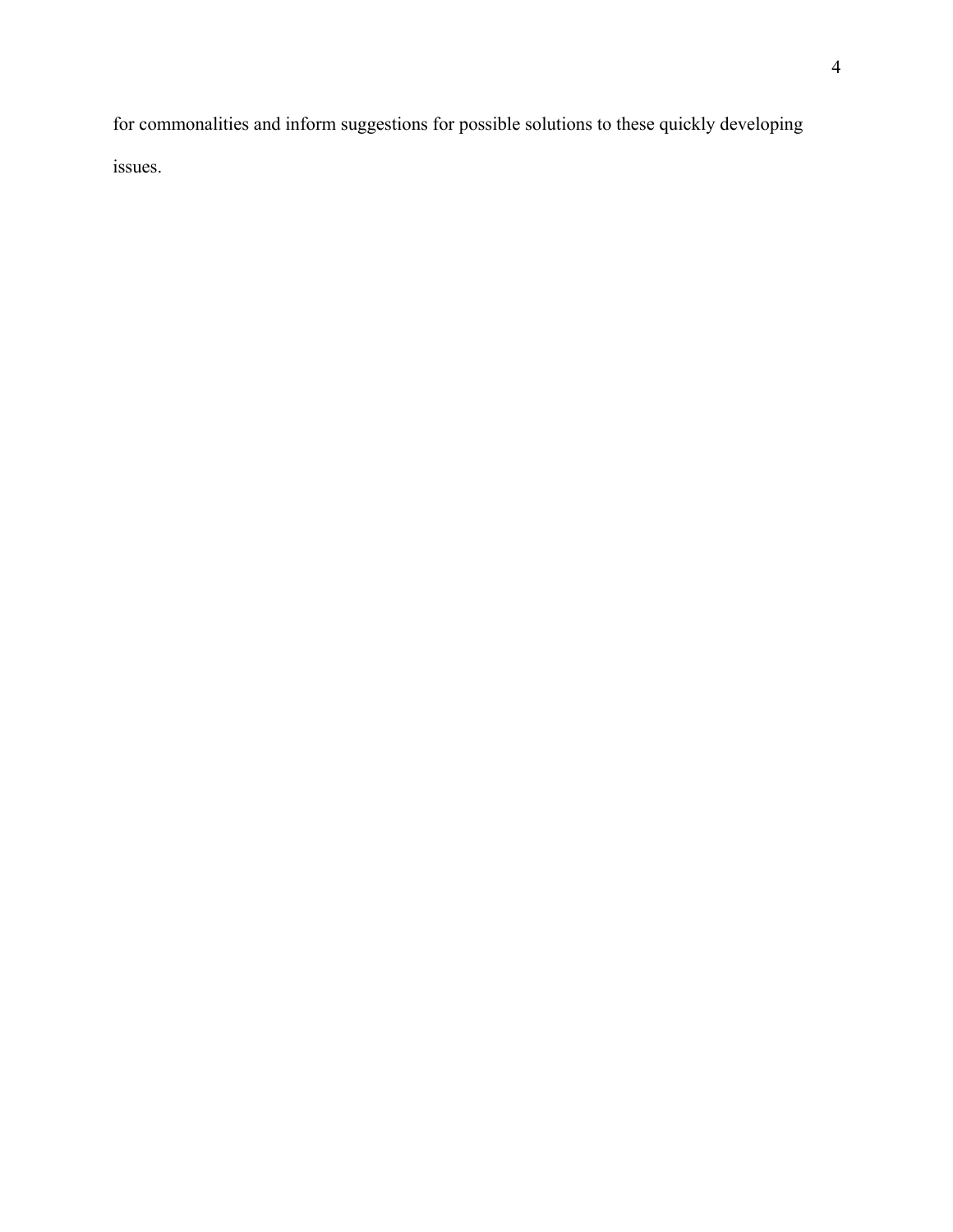for commonalities and inform suggestions for possible solutions to these quickly developing issues.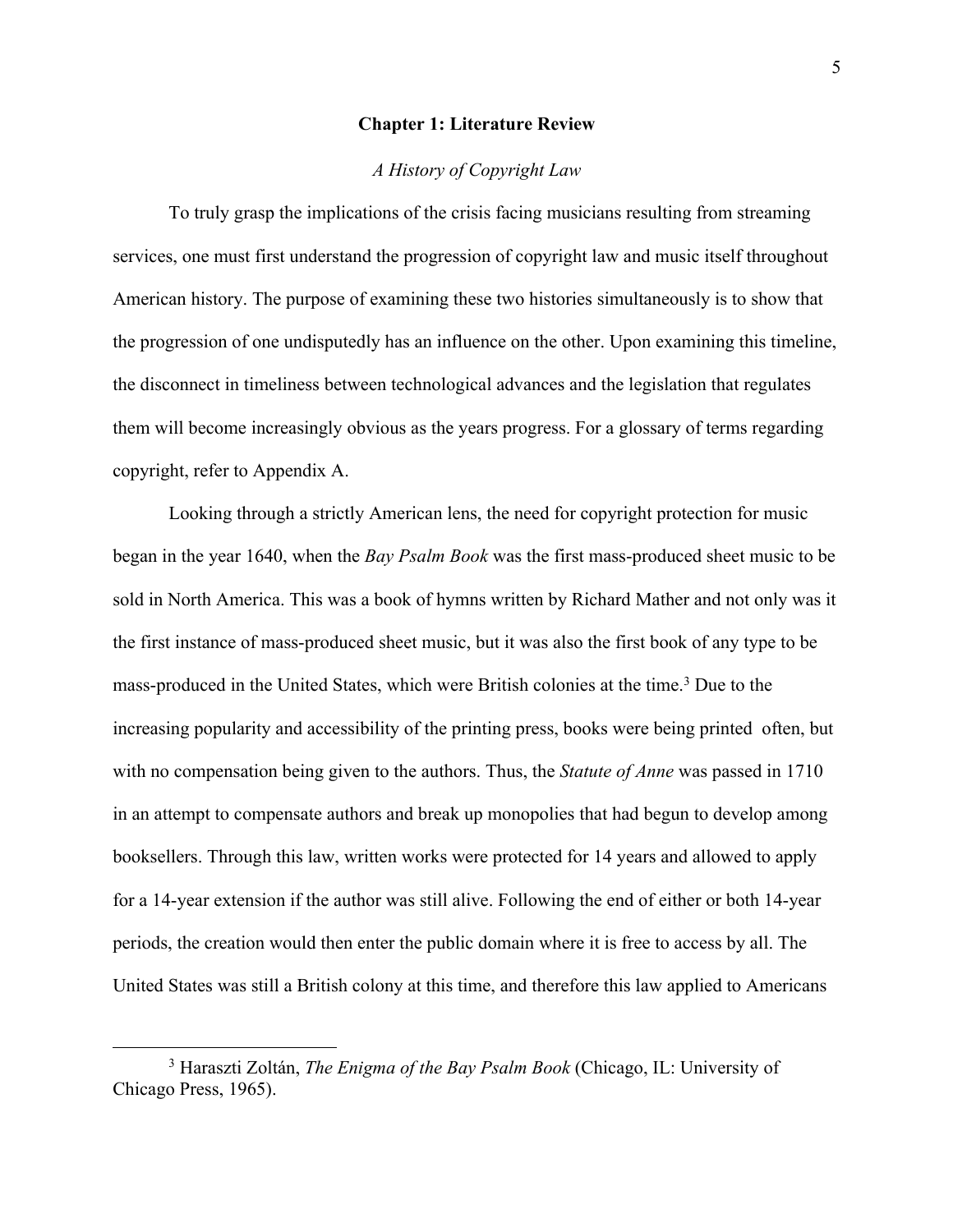#### **Chapter 1: Literature Review**

# *A History of Copyright Law*

To truly grasp the implications of the crisis facing musicians resulting from streaming services, one must first understand the progression of copyright law and music itself throughout American history. The purpose of examining these two histories simultaneously is to show that the progression of one undisputedly has an influence on the other. Upon examining this timeline, the disconnect in timeliness between technological advances and the legislation that regulates them will become increasingly obvious as the years progress. For a glossary of terms regarding copyright, refer to Appendix A.

Looking through a strictly American lens, the need for copyright protection for music began in the year 1640, when the *Bay Psalm Book* was the first mass-produced sheet music to be sold in North America. This was a book of hymns written by Richard Mather and not only was it the first instance of mass-produced sheet music, but it was also the first book of any type to be mass-produced in the United States, which were British colonies at the time.<sup>3</sup> Due to the increasing popularity and accessibility of the printing press, books were being printed often, but with no compensation being given to the authors. Thus, the *Statute of Anne* was passed in 1710 in an attempt to compensate authors and break up monopolies that had begun to develop among booksellers. Through this law, written works were protected for 14 years and allowed to apply for a 14-year extension if the author was still alive. Following the end of either or both 14-year periods, the creation would then enter the public domain where it is free to access by all. The United States was still a British colony at this time, and therefore this law applied to Americans

<sup>3</sup> Haraszti Zoltán, *The Enigma of the Bay Psalm Book* (Chicago, IL: University of Chicago Press, 1965).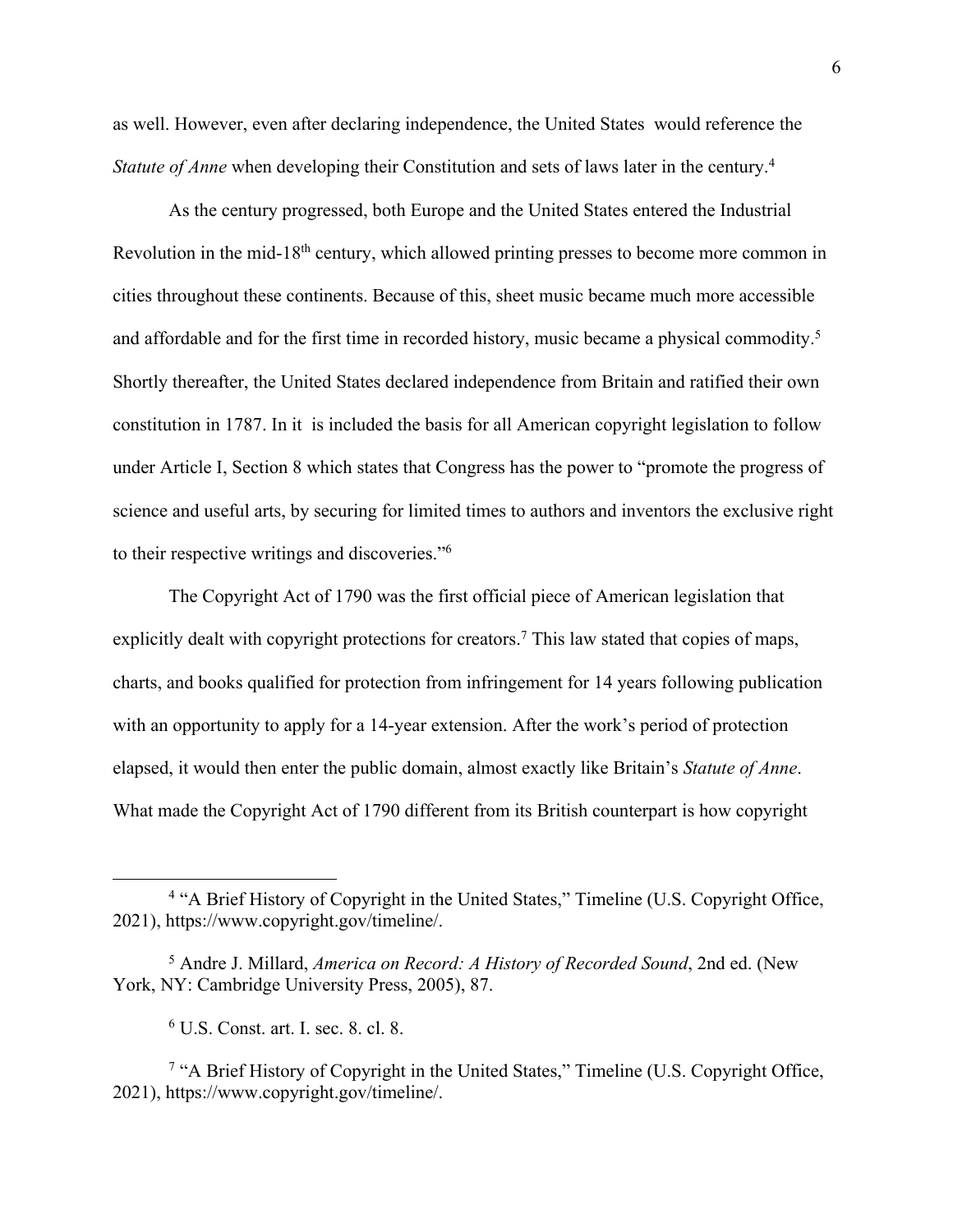as well. However, even after declaring independence, the United States would reference the *Statute of Anne* when developing their Constitution and sets of laws later in the century.<sup>4</sup>

As the century progressed, both Europe and the United States entered the Industrial Revolution in the mid-18<sup>th</sup> century, which allowed printing presses to become more common in cities throughout these continents. Because of this, sheet music became much more accessible and affordable and for the first time in recorded history, music became a physical commodity.<sup>5</sup> Shortly thereafter, the United States declared independence from Britain and ratified their own constitution in 1787. In it is included the basis for all American copyright legislation to follow under Article I, Section 8 which states that Congress has the power to "promote the progress of science and useful arts, by securing for limited times to authors and inventors the exclusive right to their respective writings and discoveries."6

The Copyright Act of 1790 was the first official piece of American legislation that explicitly dealt with copyright protections for creators.<sup>7</sup> This law stated that copies of maps, charts, and books qualified for protection from infringement for 14 years following publication with an opportunity to apply for a 14-year extension. After the work's period of protection elapsed, it would then enter the public domain, almost exactly like Britain's *Statute of Anne*. What made the Copyright Act of 1790 different from its British counterpart is how copyright

<sup>&</sup>lt;sup>4</sup> "A Brief History of Copyright in the United States," Timeline (U.S. Copyright Office, 2021), https://www.copyright.gov/timeline/.

<sup>5</sup> Andre J. Millard, *America on Record: A History of Recorded Sound*, 2nd ed. (New York, NY: Cambridge University Press, 2005), 87.

<sup>6</sup> U.S. Const. art. I. sec. 8. cl. 8.

<sup>&</sup>lt;sup>7</sup> "A Brief History of Copyright in the United States," Timeline (U.S. Copyright Office, 2021), https://www.copyright.gov/timeline/.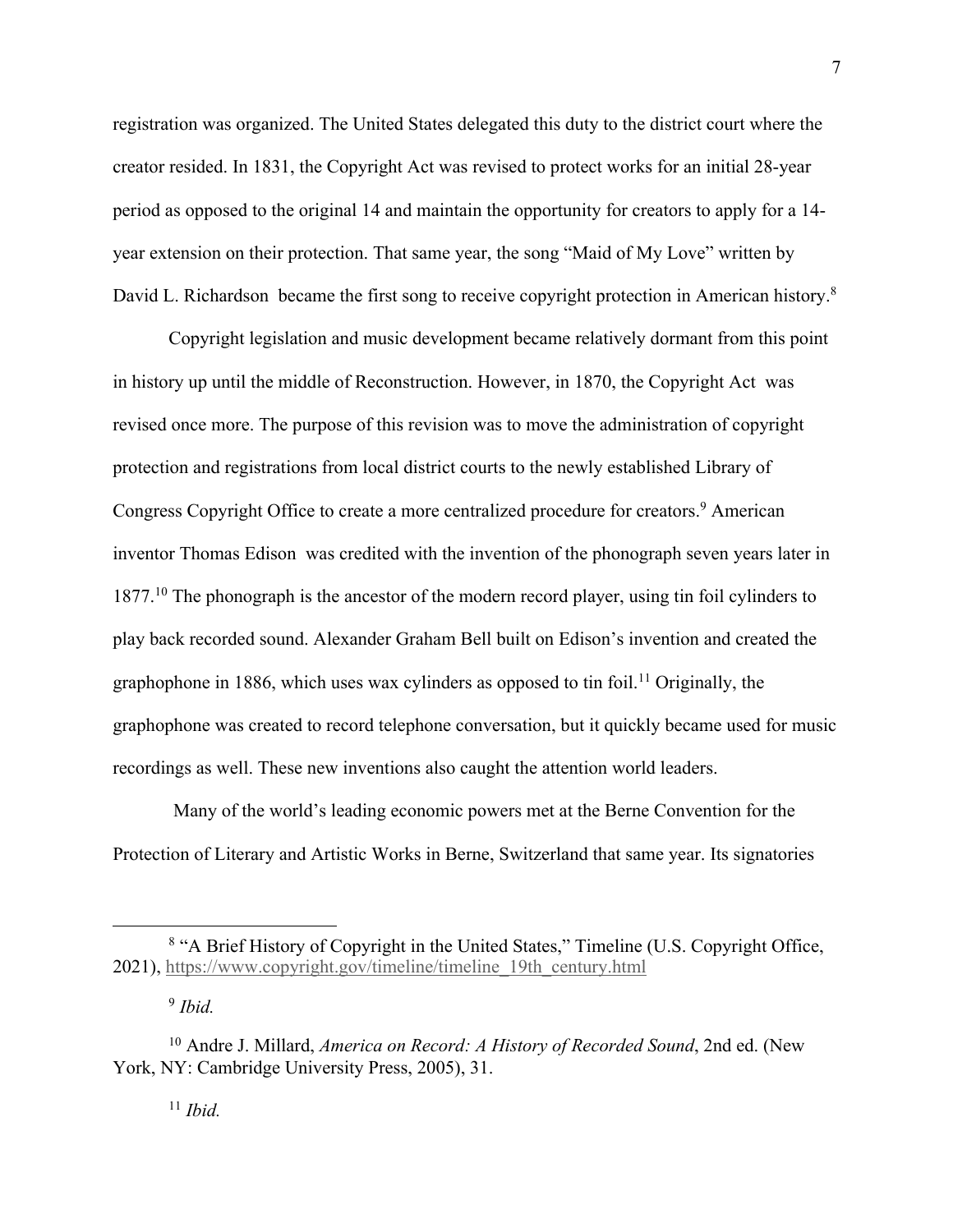registration was organized. The United States delegated this duty to the district court where the creator resided. In 1831, the Copyright Act was revised to protect works for an initial 28-year period as opposed to the original 14 and maintain the opportunity for creators to apply for a 14 year extension on their protection. That same year, the song "Maid of My Love" written by David L. Richardson became the first song to receive copyright protection in American history.<sup>8</sup>

Copyright legislation and music development became relatively dormant from this point in history up until the middle of Reconstruction. However, in 1870, the Copyright Act was revised once more. The purpose of this revision was to move the administration of copyright protection and registrations from local district courts to the newly established Library of Congress Copyright Office to create a more centralized procedure for creators.<sup>9</sup> American inventor Thomas Edison was credited with the invention of the phonograph seven years later in 1877.<sup>10</sup> The phonograph is the ancestor of the modern record player, using tin foil cylinders to play back recorded sound. Alexander Graham Bell built on Edison's invention and created the graphophone in 1886, which uses wax cylinders as opposed to tin foil.<sup>11</sup> Originally, the graphophone was created to record telephone conversation, but it quickly became used for music recordings as well. These new inventions also caught the attention world leaders.

Many of the world's leading economic powers met at the Berne Convention for the Protection of Literary and Artistic Works in Berne, Switzerland that same year. Its signatories

<sup>11</sup> *Ibid.*

<sup>&</sup>lt;sup>8</sup> "A Brief History of Copyright in the United States," Timeline (U.S. Copyright Office, 2021), https://www.copyright.gov/timeline/timeline\_19th\_century.html

<sup>9</sup> *Ibid.*

<sup>10</sup> Andre J. Millard, *America on Record: A History of Recorded Sound*, 2nd ed. (New York, NY: Cambridge University Press, 2005), 31.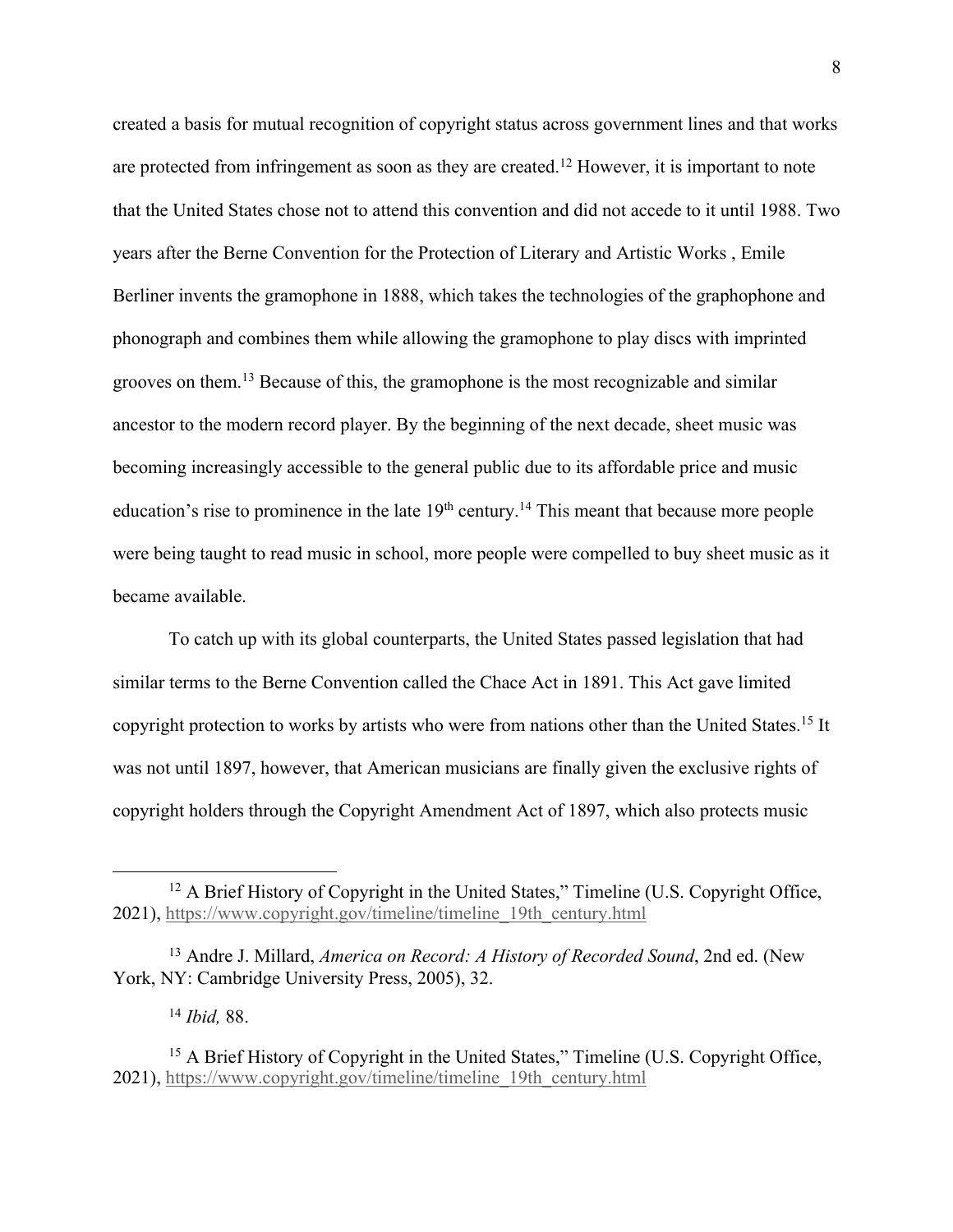created a basis for mutual recognition of copyright status across government lines and that works are protected from infringement as soon as they are created.<sup>12</sup> However, it is important to note that the United States chose not to attend this convention and did not accede to it until 1988. Two years after the Berne Convention for the Protection of Literary and Artistic Works , Emile Berliner invents the gramophone in 1888, which takes the technologies of the graphophone and phonograph and combines them while allowing the gramophone to play discs with imprinted grooves on them. <sup>13</sup> Because of this, the gramophone is the most recognizable and similar ancestor to the modern record player. By the beginning of the next decade, sheet music was becoming increasingly accessible to the general public due to its affordable price and music education's rise to prominence in the late  $19<sup>th</sup>$  century.<sup>14</sup> This meant that because more people were being taught to read music in school, more people were compelled to buy sheet music as it became available.

To catch up with its global counterparts, the United States passed legislation that had similar terms to the Berne Convention called the Chace Act in 1891. This Act gave limited copyright protection to works by artists who were from nations other than the United States.<sup>15</sup> It was not until 1897, however, that American musicians are finally given the exclusive rights of copyright holders through the Copyright Amendment Act of 1897, which also protects music

<sup>14</sup> *Ibid,* 88.

<sup>&</sup>lt;sup>12</sup> A Brief History of Copyright in the United States," Timeline (U.S. Copyright Office, 2021), https://www.copyright.gov/timeline/timeline\_19th\_century.html

<sup>13</sup> Andre J. Millard, *America on Record: A History of Recorded Sound*, 2nd ed. (New York, NY: Cambridge University Press, 2005), 32.

<sup>&</sup>lt;sup>15</sup> A Brief History of Copyright in the United States," Timeline (U.S. Copyright Office, 2021), https://www.copyright.gov/timeline/timeline\_19th\_century.html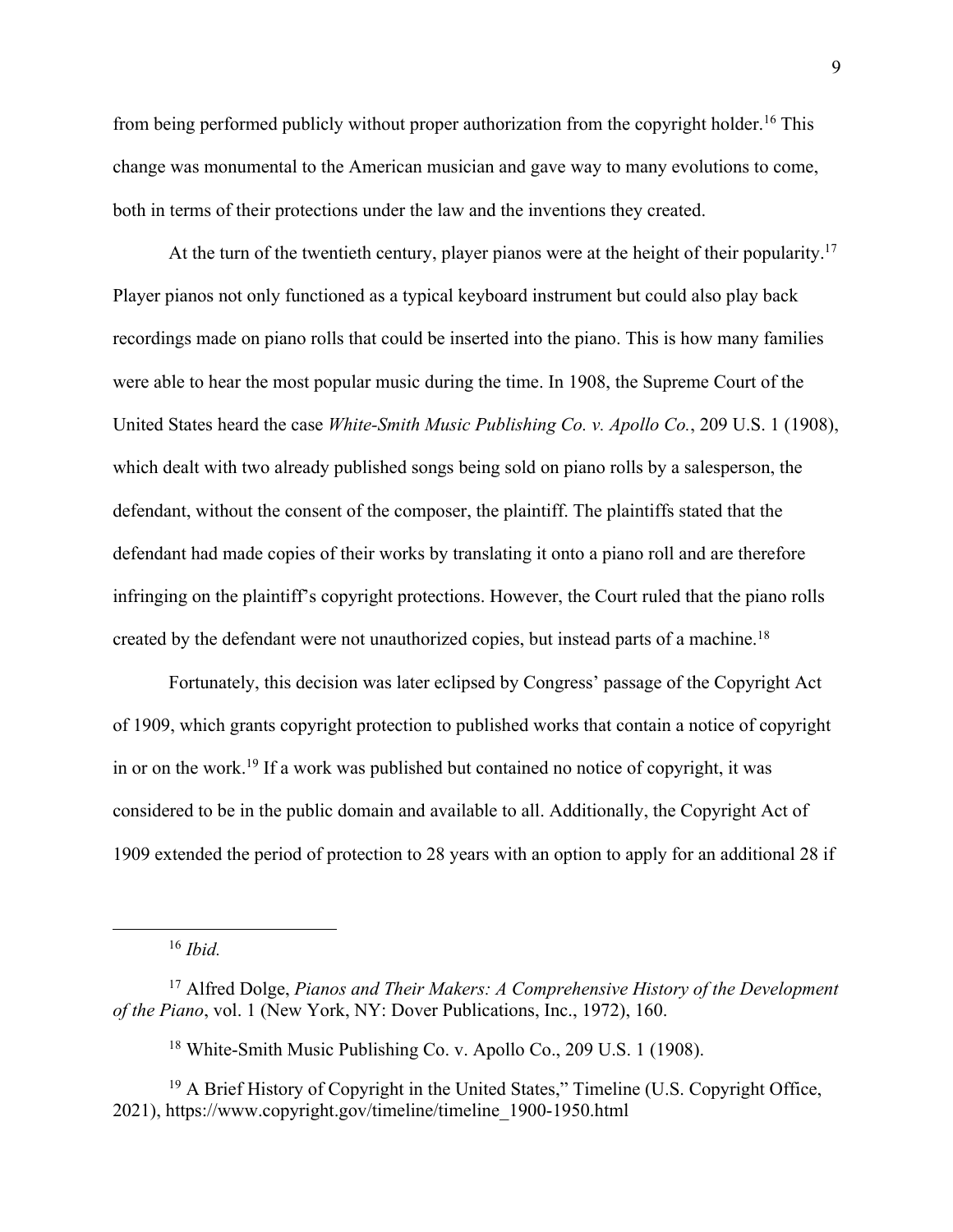from being performed publicly without proper authorization from the copyright holder.<sup>16</sup> This change was monumental to the American musician and gave way to many evolutions to come, both in terms of their protections under the law and the inventions they created.

At the turn of the twentieth century, player pianos were at the height of their popularity.<sup>17</sup> Player pianos not only functioned as a typical keyboard instrument but could also play back recordings made on piano rolls that could be inserted into the piano. This is how many families were able to hear the most popular music during the time. In 1908, the Supreme Court of the United States heard the case *White-Smith Music Publishing Co. v. Apollo Co.*, 209 U.S. 1 (1908), which dealt with two already published songs being sold on piano rolls by a salesperson, the defendant, without the consent of the composer, the plaintiff. The plaintiffs stated that the defendant had made copies of their works by translating it onto a piano roll and are therefore infringing on the plaintiff's copyright protections. However, the Court ruled that the piano rolls created by the defendant were not unauthorized copies, but instead parts of a machine.<sup>18</sup>

Fortunately, this decision was later eclipsed by Congress' passage of the Copyright Act of 1909, which grants copyright protection to published works that contain a notice of copyright in or on the work.19 If a work was published but contained no notice of copyright, it was considered to be in the public domain and available to all. Additionally, the Copyright Act of 1909 extended the period of protection to 28 years with an option to apply for an additional 28 if

<sup>16</sup> *Ibid.*

<sup>18</sup> White-Smith Music Publishing Co. v. Apollo Co., 209 U.S. 1 (1908).

<sup>17</sup> Alfred Dolge, *Pianos and Their Makers: A Comprehensive History of the Development of the Piano*, vol. 1 (New York, NY: Dover Publications, Inc., 1972), 160.

<sup>&</sup>lt;sup>19</sup> A Brief History of Copyright in the United States," Timeline (U.S. Copyright Office, 2021), https://www.copyright.gov/timeline/timeline\_1900-1950.html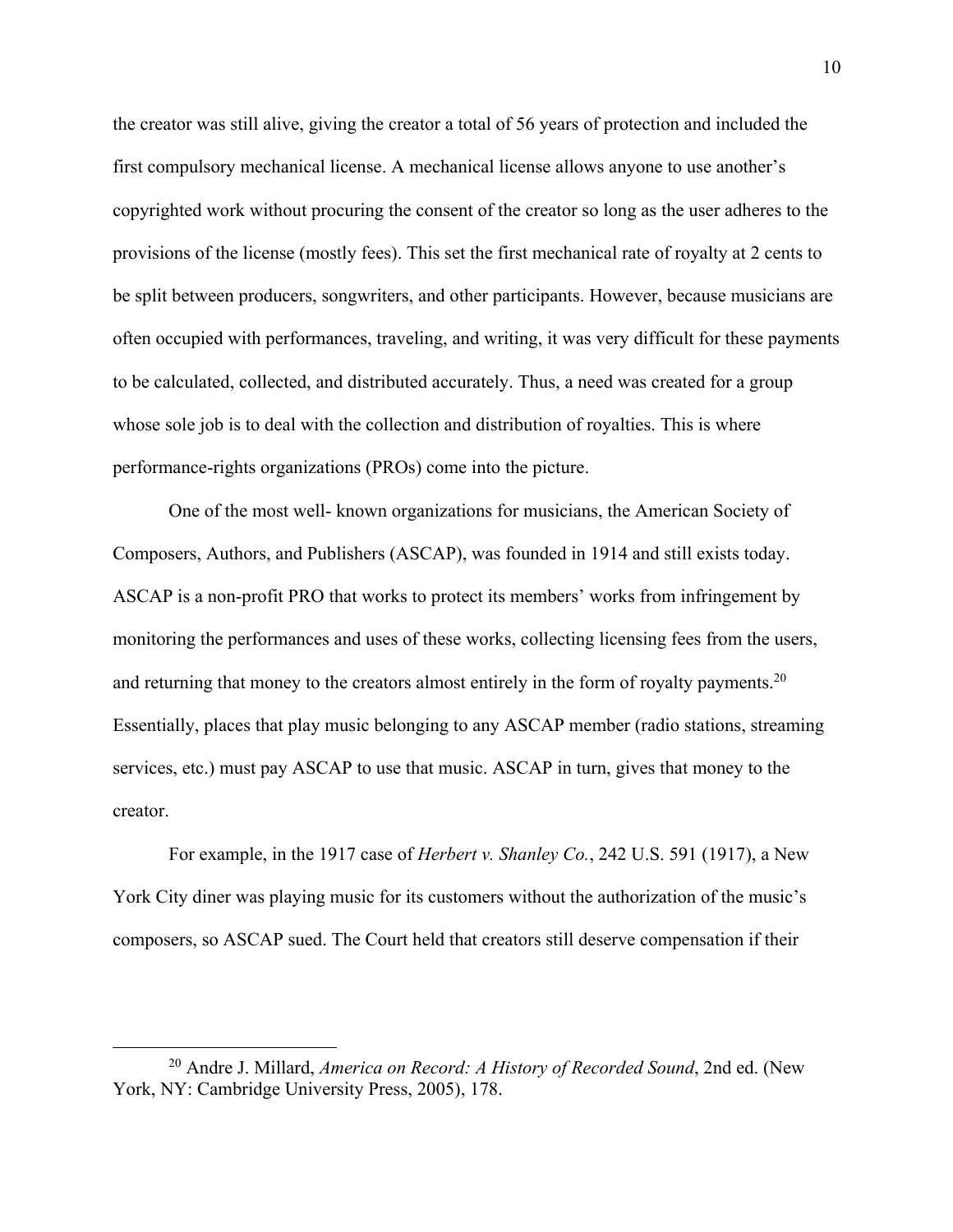the creator was still alive, giving the creator a total of 56 years of protection and included the first compulsory mechanical license. A mechanical license allows anyone to use another's copyrighted work without procuring the consent of the creator so long as the user adheres to the provisions of the license (mostly fees). This set the first mechanical rate of royalty at 2 cents to be split between producers, songwriters, and other participants. However, because musicians are often occupied with performances, traveling, and writing, it was very difficult for these payments to be calculated, collected, and distributed accurately. Thus, a need was created for a group whose sole job is to deal with the collection and distribution of royalties. This is where performance-rights organizations (PROs) come into the picture.

One of the most well- known organizations for musicians, the American Society of Composers, Authors, and Publishers (ASCAP), was founded in 1914 and still exists today. ASCAP is a non-profit PRO that works to protect its members' works from infringement by monitoring the performances and uses of these works, collecting licensing fees from the users, and returning that money to the creators almost entirely in the form of royalty payments.<sup>20</sup> Essentially, places that play music belonging to any ASCAP member (radio stations, streaming services, etc.) must pay ASCAP to use that music. ASCAP in turn, gives that money to the creator.

For example, in the 1917 case of *Herbert v. Shanley Co.*, 242 U.S. 591 (1917), a New York City diner was playing music for its customers without the authorization of the music's composers, so ASCAP sued. The Court held that creators still deserve compensation if their

<sup>20</sup> Andre J. Millard, *America on Record: A History of Recorded Sound*, 2nd ed. (New York, NY: Cambridge University Press, 2005), 178.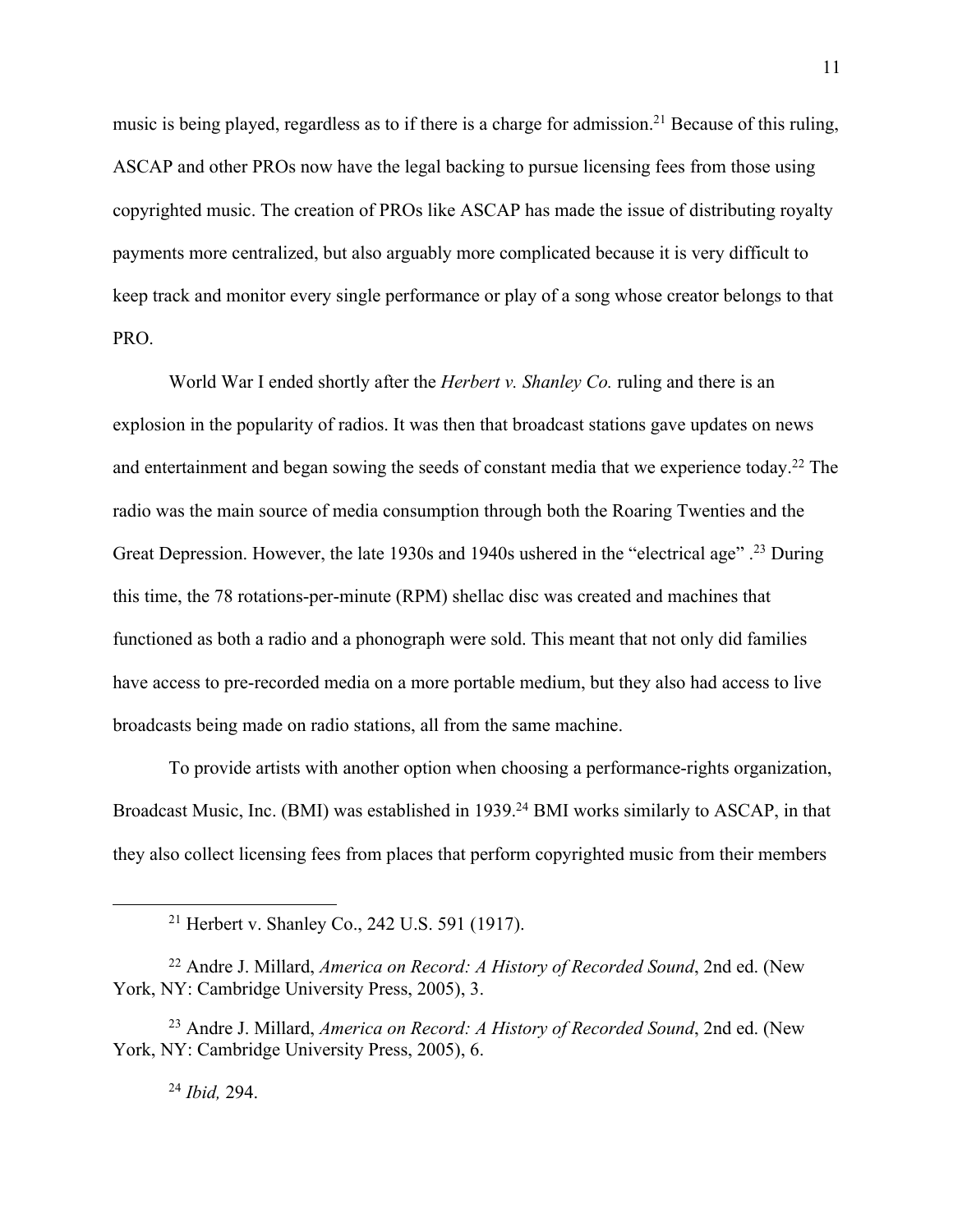music is being played, regardless as to if there is a charge for admission.<sup>21</sup> Because of this ruling, ASCAP and other PROs now have the legal backing to pursue licensing fees from those using copyrighted music. The creation of PROs like ASCAP has made the issue of distributing royalty payments more centralized, but also arguably more complicated because it is very difficult to keep track and monitor every single performance or play of a song whose creator belongs to that PRO.

World War I ended shortly after the *Herbert v. Shanley Co.* ruling and there is an explosion in the popularity of radios. It was then that broadcast stations gave updates on news and entertainment and began sowing the seeds of constant media that we experience today.<sup>22</sup> The radio was the main source of media consumption through both the Roaring Twenties and the Great Depression. However, the late 1930s and 1940s ushered in the "electrical age".<sup>23</sup> During this time, the 78 rotations-per-minute (RPM) shellac disc was created and machines that functioned as both a radio and a phonograph were sold. This meant that not only did families have access to pre-recorded media on a more portable medium, but they also had access to live broadcasts being made on radio stations, all from the same machine.

To provide artists with another option when choosing a performance-rights organization, Broadcast Music, Inc. (BMI) was established in 1939.<sup>24</sup> BMI works similarly to ASCAP, in that they also collect licensing fees from places that perform copyrighted music from their members

<sup>24</sup> *Ibid,* 294.

<sup>21</sup> Herbert v. Shanley Co., 242 U.S. 591 (1917).

<sup>22</sup> Andre J. Millard, *America on Record: A History of Recorded Sound*, 2nd ed. (New York, NY: Cambridge University Press, 2005), 3.

<sup>23</sup> Andre J. Millard, *America on Record: A History of Recorded Sound*, 2nd ed. (New York, NY: Cambridge University Press, 2005), 6.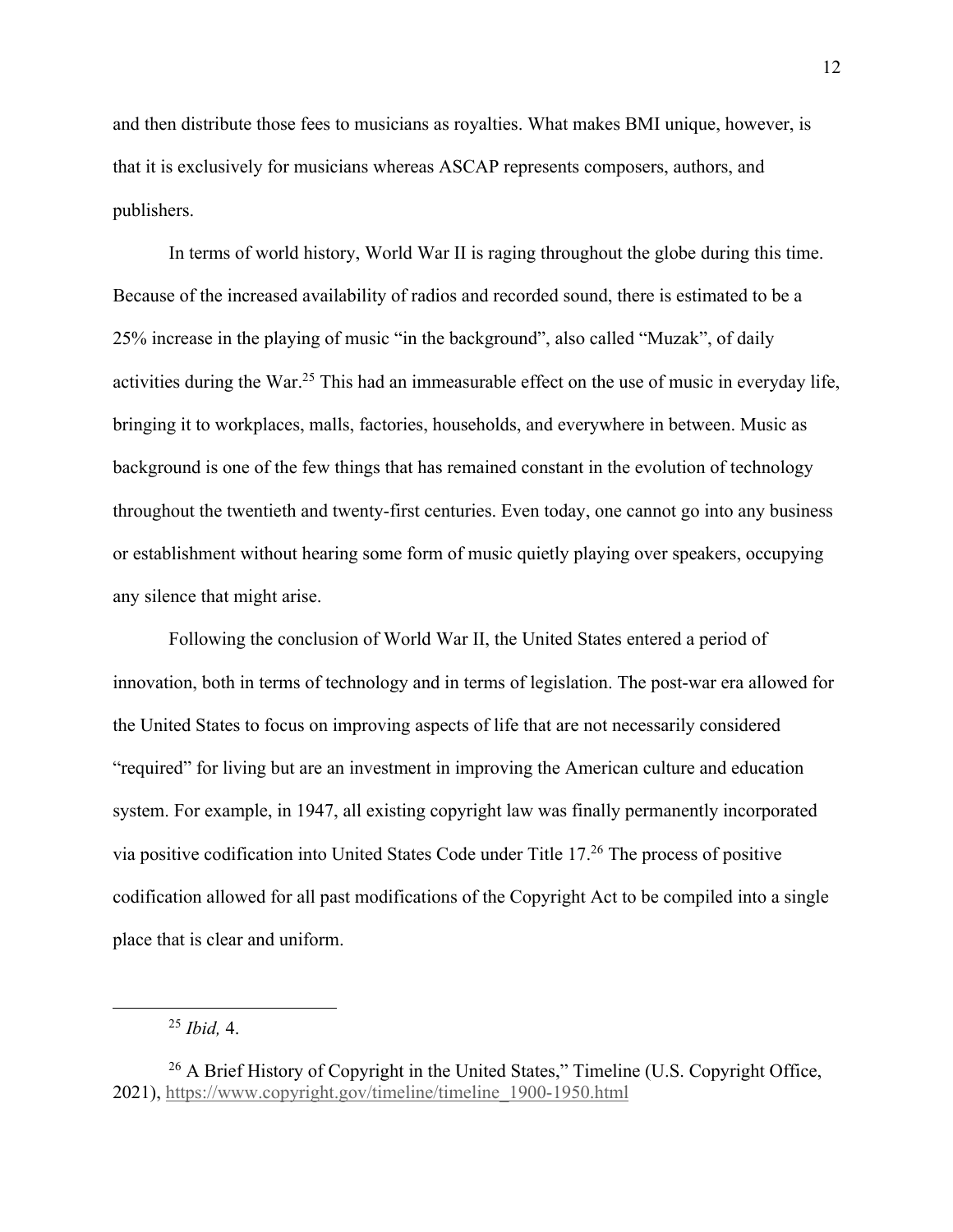and then distribute those fees to musicians as royalties. What makes BMI unique, however, is that it is exclusively for musicians whereas ASCAP represents composers, authors, and publishers.

In terms of world history, World War II is raging throughout the globe during this time. Because of the increased availability of radios and recorded sound, there is estimated to be a 25% increase in the playing of music "in the background", also called "Muzak", of daily activities during the War.<sup>25</sup> This had an immeasurable effect on the use of music in everyday life, bringing it to workplaces, malls, factories, households, and everywhere in between. Music as background is one of the few things that has remained constant in the evolution of technology throughout the twentieth and twenty-first centuries. Even today, one cannot go into any business or establishment without hearing some form of music quietly playing over speakers, occupying any silence that might arise.

Following the conclusion of World War II, the United States entered a period of innovation, both in terms of technology and in terms of legislation. The post-war era allowed for the United States to focus on improving aspects of life that are not necessarily considered "required" for living but are an investment in improving the American culture and education system. For example, in 1947, all existing copyright law was finally permanently incorporated via positive codification into United States Code under Title 17. <sup>26</sup> The process of positive codification allowed for all past modifications of the Copyright Act to be compiled into a single place that is clear and uniform.

<sup>25</sup> *Ibid,* 4.

<sup>&</sup>lt;sup>26</sup> A Brief History of Copyright in the United States," Timeline (U.S. Copyright Office, 2021), https://www.copyright.gov/timeline/timeline\_1900-1950.html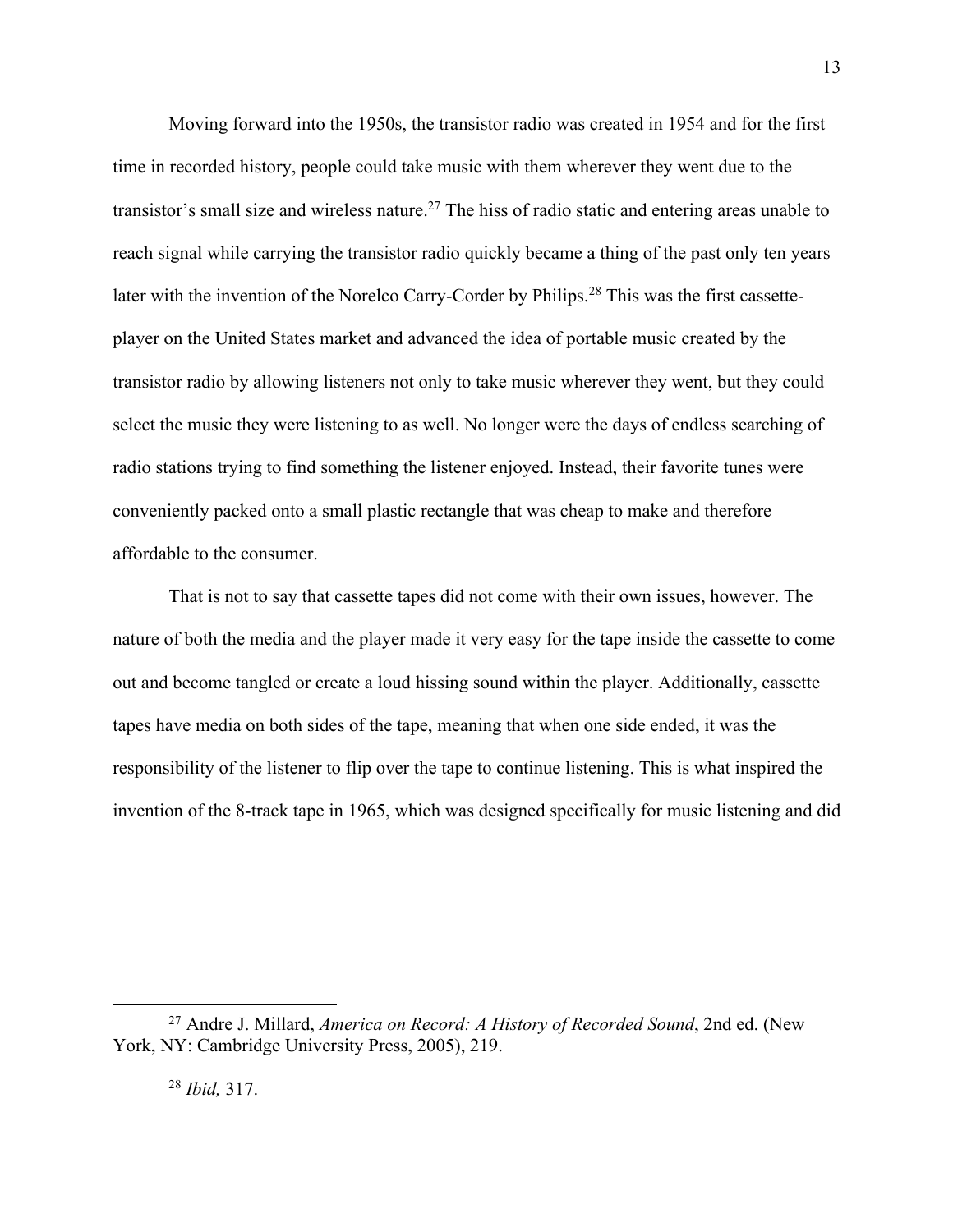Moving forward into the 1950s, the transistor radio was created in 1954 and for the first time in recorded history, people could take music with them wherever they went due to the transistor's small size and wireless nature.<sup>27</sup> The hiss of radio static and entering areas unable to reach signal while carrying the transistor radio quickly became a thing of the past only ten years later with the invention of the Norelco Carry-Corder by Philips.28 This was the first cassetteplayer on the United States market and advanced the idea of portable music created by the transistor radio by allowing listeners not only to take music wherever they went, but they could select the music they were listening to as well. No longer were the days of endless searching of radio stations trying to find something the listener enjoyed. Instead, their favorite tunes were conveniently packed onto a small plastic rectangle that was cheap to make and therefore affordable to the consumer.

That is not to say that cassette tapes did not come with their own issues, however. The nature of both the media and the player made it very easy for the tape inside the cassette to come out and become tangled or create a loud hissing sound within the player. Additionally, cassette tapes have media on both sides of the tape, meaning that when one side ended, it was the responsibility of the listener to flip over the tape to continue listening. This is what inspired the invention of the 8-track tape in 1965, which was designed specifically for music listening and did

<sup>27</sup> Andre J. Millard, *America on Record: A History of Recorded Sound*, 2nd ed. (New York, NY: Cambridge University Press, 2005), 219.

<sup>28</sup> *Ibid,* 317.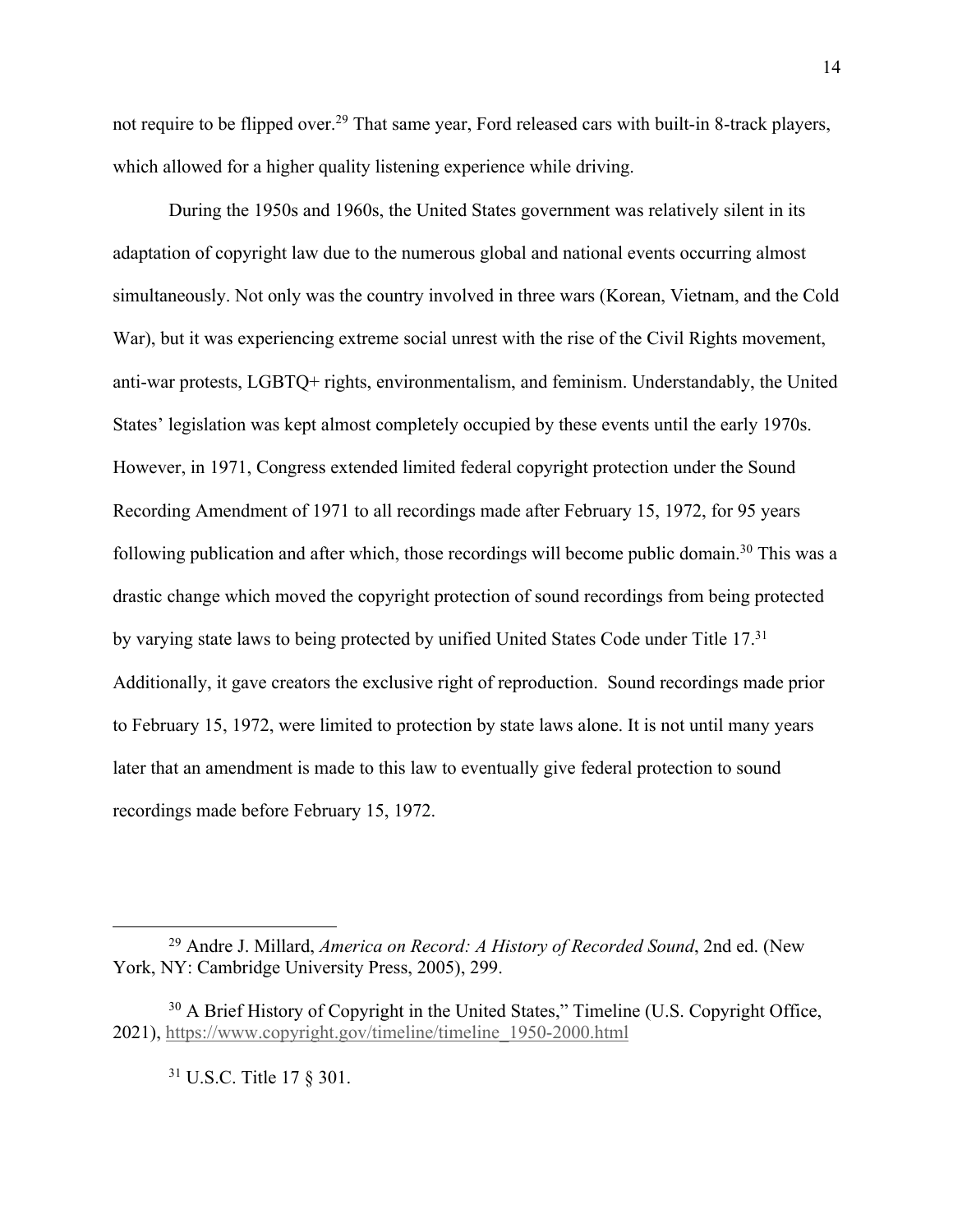not require to be flipped over.<sup>29</sup> That same year, Ford released cars with built-in 8-track players, which allowed for a higher quality listening experience while driving.

During the 1950s and 1960s, the United States government was relatively silent in its adaptation of copyright law due to the numerous global and national events occurring almost simultaneously. Not only was the country involved in three wars (Korean, Vietnam, and the Cold War), but it was experiencing extreme social unrest with the rise of the Civil Rights movement, anti-war protests, LGBTQ+ rights, environmentalism, and feminism. Understandably, the United States' legislation was kept almost completely occupied by these events until the early 1970s. However, in 1971, Congress extended limited federal copyright protection under the Sound Recording Amendment of 1971 to all recordings made after February 15, 1972, for 95 years following publication and after which, those recordings will become public domain.<sup>30</sup> This was a drastic change which moved the copyright protection of sound recordings from being protected by varying state laws to being protected by unified United States Code under Title 17.<sup>31</sup> Additionally, it gave creators the exclusive right of reproduction. Sound recordings made prior to February 15, 1972, were limited to protection by state laws alone. It is not until many years later that an amendment is made to this law to eventually give federal protection to sound recordings made before February 15, 1972.

<sup>31</sup> U.S.C. Title 17 § 301.

<sup>29</sup> Andre J. Millard, *America on Record: A History of Recorded Sound*, 2nd ed. (New York, NY: Cambridge University Press, 2005), 299.

<sup>&</sup>lt;sup>30</sup> A Brief History of Copyright in the United States," Timeline (U.S. Copyright Office, 2021), https://www.copyright.gov/timeline/timeline\_1950-2000.html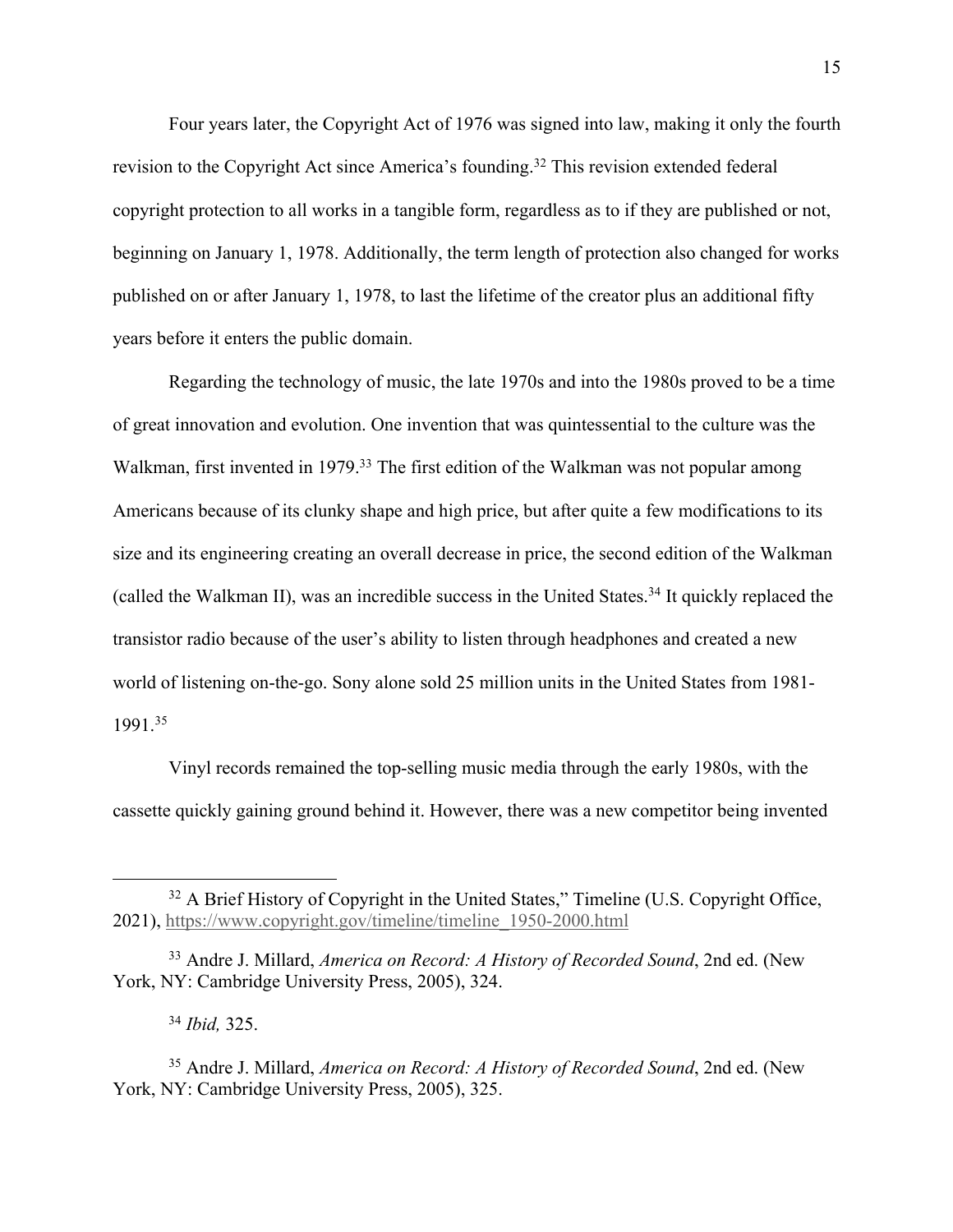Four years later, the Copyright Act of 1976 was signed into law, making it only the fourth revision to the Copyright Act since America's founding.<sup>32</sup> This revision extended federal copyright protection to all works in a tangible form, regardless as to if they are published or not, beginning on January 1, 1978. Additionally, the term length of protection also changed for works published on or after January 1, 1978, to last the lifetime of the creator plus an additional fifty years before it enters the public domain.

Regarding the technology of music, the late 1970s and into the 1980s proved to be a time of great innovation and evolution. One invention that was quintessential to the culture was the Walkman, first invented in 1979.<sup>33</sup> The first edition of the Walkman was not popular among Americans because of its clunky shape and high price, but after quite a few modifications to its size and its engineering creating an overall decrease in price, the second edition of the Walkman (called the Walkman II), was an incredible success in the United States.34 It quickly replaced the transistor radio because of the user's ability to listen through headphones and created a new world of listening on-the-go. Sony alone sold 25 million units in the United States from 1981- 1991. 35

Vinyl records remained the top-selling music media through the early 1980s, with the cassette quickly gaining ground behind it. However, there was a new competitor being invented

<sup>&</sup>lt;sup>32</sup> A Brief History of Copyright in the United States," Timeline (U.S. Copyright Office, 2021), https://www.copyright.gov/timeline/timeline\_1950-2000.html

<sup>33</sup> Andre J. Millard, *America on Record: A History of Recorded Sound*, 2nd ed. (New York, NY: Cambridge University Press, 2005), 324.

<sup>34</sup> *Ibid,* 325.

<sup>35</sup> Andre J. Millard, *America on Record: A History of Recorded Sound*, 2nd ed. (New York, NY: Cambridge University Press, 2005), 325.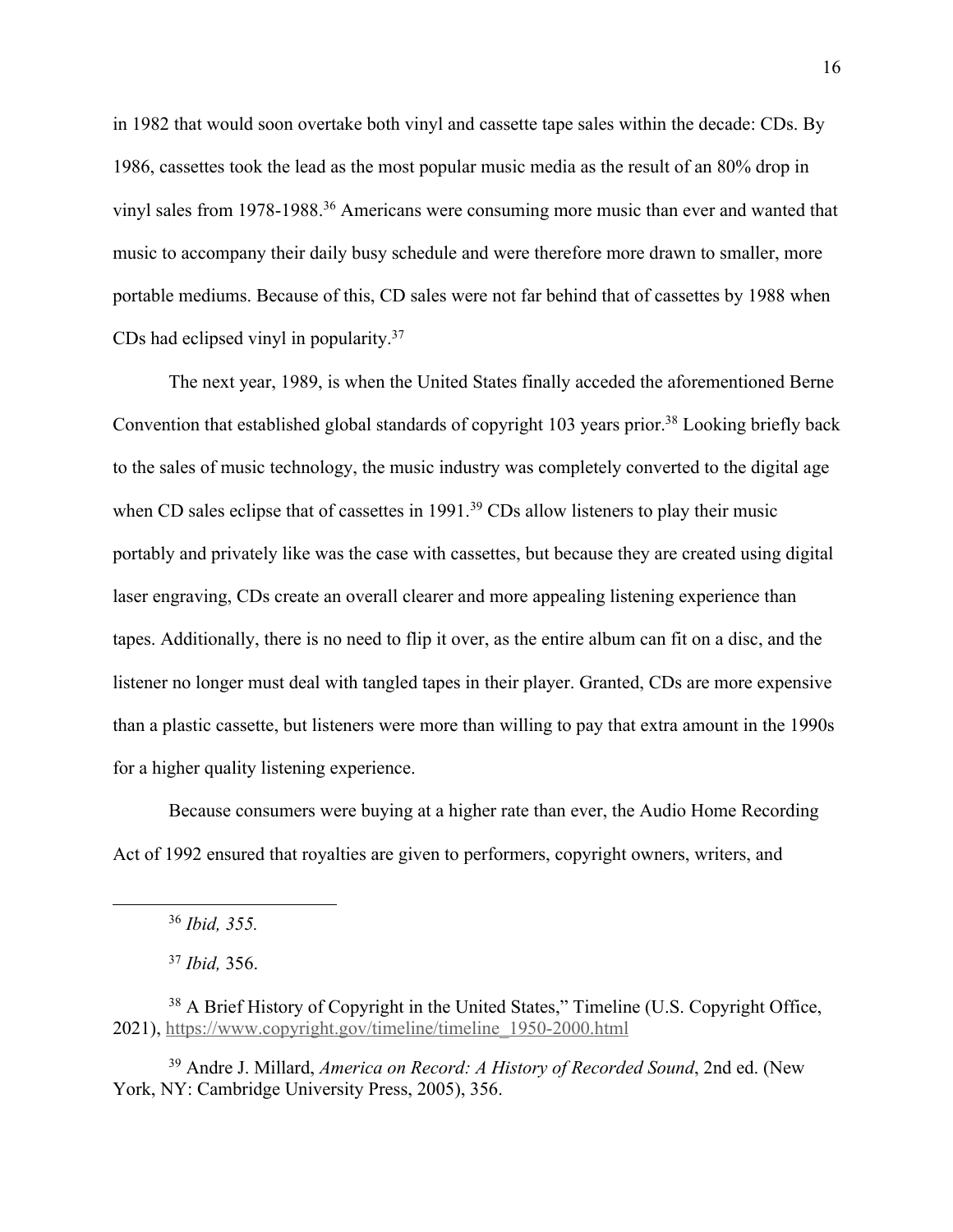in 1982 that would soon overtake both vinyl and cassette tape sales within the decade: CDs. By 1986, cassettes took the lead as the most popular music media as the result of an 80% drop in vinyl sales from 1978-1988.<sup>36</sup> Americans were consuming more music than ever and wanted that music to accompany their daily busy schedule and were therefore more drawn to smaller, more portable mediums. Because of this, CD sales were not far behind that of cassettes by 1988 when CDs had eclipsed vinyl in popularity.37

The next year, 1989, is when the United States finally acceded the aforementioned Berne Convention that established global standards of copyright 103 years prior.<sup>38</sup> Looking briefly back to the sales of music technology, the music industry was completely converted to the digital age when CD sales eclipse that of cassettes in 1991.<sup>39</sup> CDs allow listeners to play their music portably and privately like was the case with cassettes, but because they are created using digital laser engraving, CDs create an overall clearer and more appealing listening experience than tapes. Additionally, there is no need to flip it over, as the entire album can fit on a disc, and the listener no longer must deal with tangled tapes in their player. Granted, CDs are more expensive than a plastic cassette, but listeners were more than willing to pay that extra amount in the 1990s for a higher quality listening experience.

Because consumers were buying at a higher rate than ever, the Audio Home Recording Act of 1992 ensured that royalties are given to performers, copyright owners, writers, and

<sup>39</sup> Andre J. Millard, *America on Record: A History of Recorded Sound*, 2nd ed. (New York, NY: Cambridge University Press, 2005), 356.

<sup>36</sup> *Ibid, 355.*

<sup>37</sup> *Ibid,* 356.

<sup>&</sup>lt;sup>38</sup> A Brief History of Copyright in the United States," Timeline (U.S. Copyright Office, 2021), https://www.copyright.gov/timeline/timeline\_1950-2000.html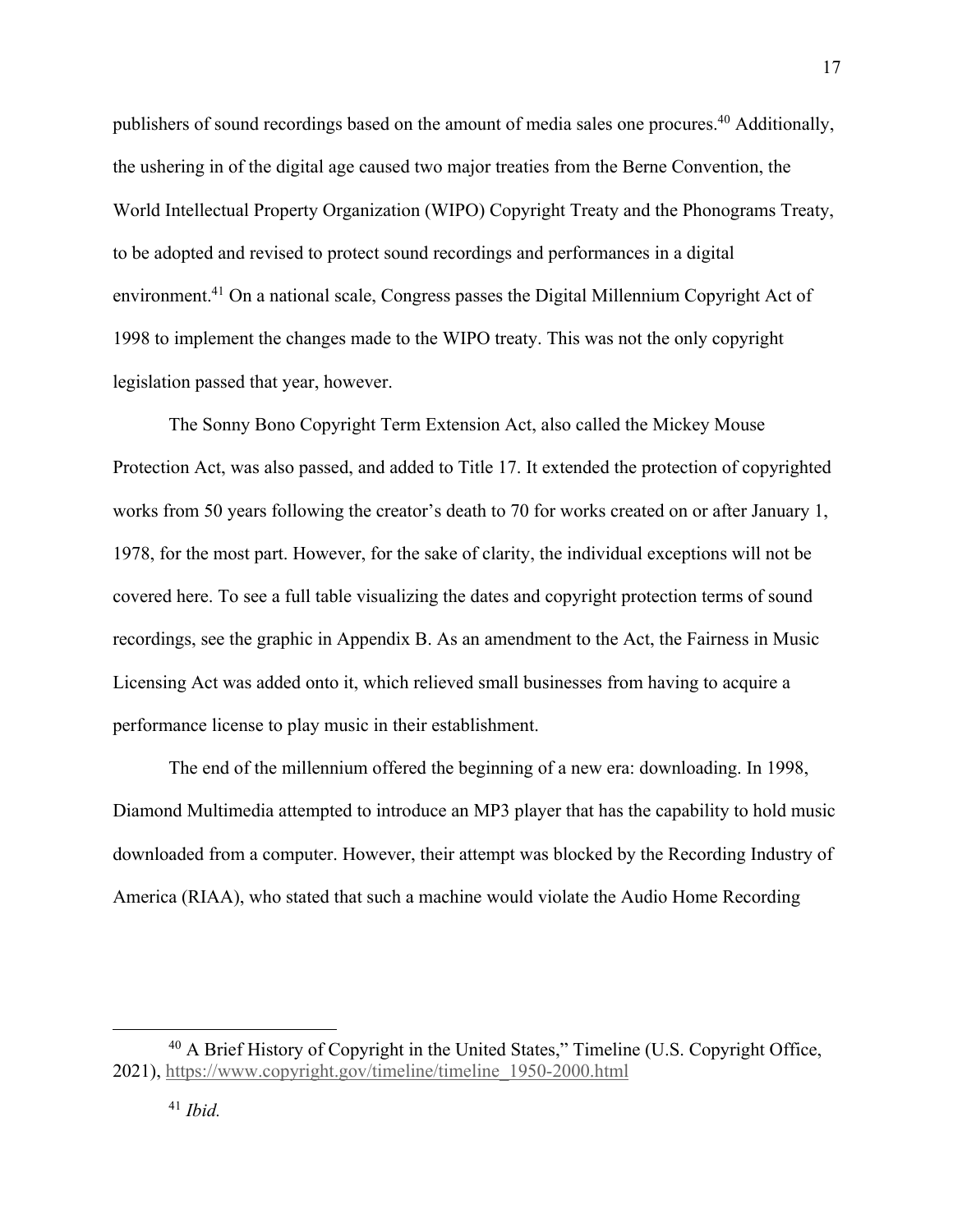publishers of sound recordings based on the amount of media sales one procures. <sup>40</sup> Additionally, the ushering in of the digital age caused two major treaties from the Berne Convention, the World Intellectual Property Organization (WIPO) Copyright Treaty and the Phonograms Treaty, to be adopted and revised to protect sound recordings and performances in a digital environment.<sup>41</sup> On a national scale, Congress passes the Digital Millennium Copyright Act of 1998 to implement the changes made to the WIPO treaty. This was not the only copyright legislation passed that year, however.

The Sonny Bono Copyright Term Extension Act, also called the Mickey Mouse Protection Act, was also passed, and added to Title 17. It extended the protection of copyrighted works from 50 years following the creator's death to 70 for works created on or after January 1, 1978, for the most part. However, for the sake of clarity, the individual exceptions will not be covered here. To see a full table visualizing the dates and copyright protection terms of sound recordings, see the graphic in Appendix B. As an amendment to the Act, the Fairness in Music Licensing Act was added onto it, which relieved small businesses from having to acquire a performance license to play music in their establishment.

The end of the millennium offered the beginning of a new era: downloading. In 1998, Diamond Multimedia attempted to introduce an MP3 player that has the capability to hold music downloaded from a computer. However, their attempt was blocked by the Recording Industry of America (RIAA), who stated that such a machine would violate the Audio Home Recording

<sup>&</sup>lt;sup>40</sup> A Brief History of Copyright in the United States," Timeline (U.S. Copyright Office, 2021), https://www.copyright.gov/timeline/timeline\_1950-2000.html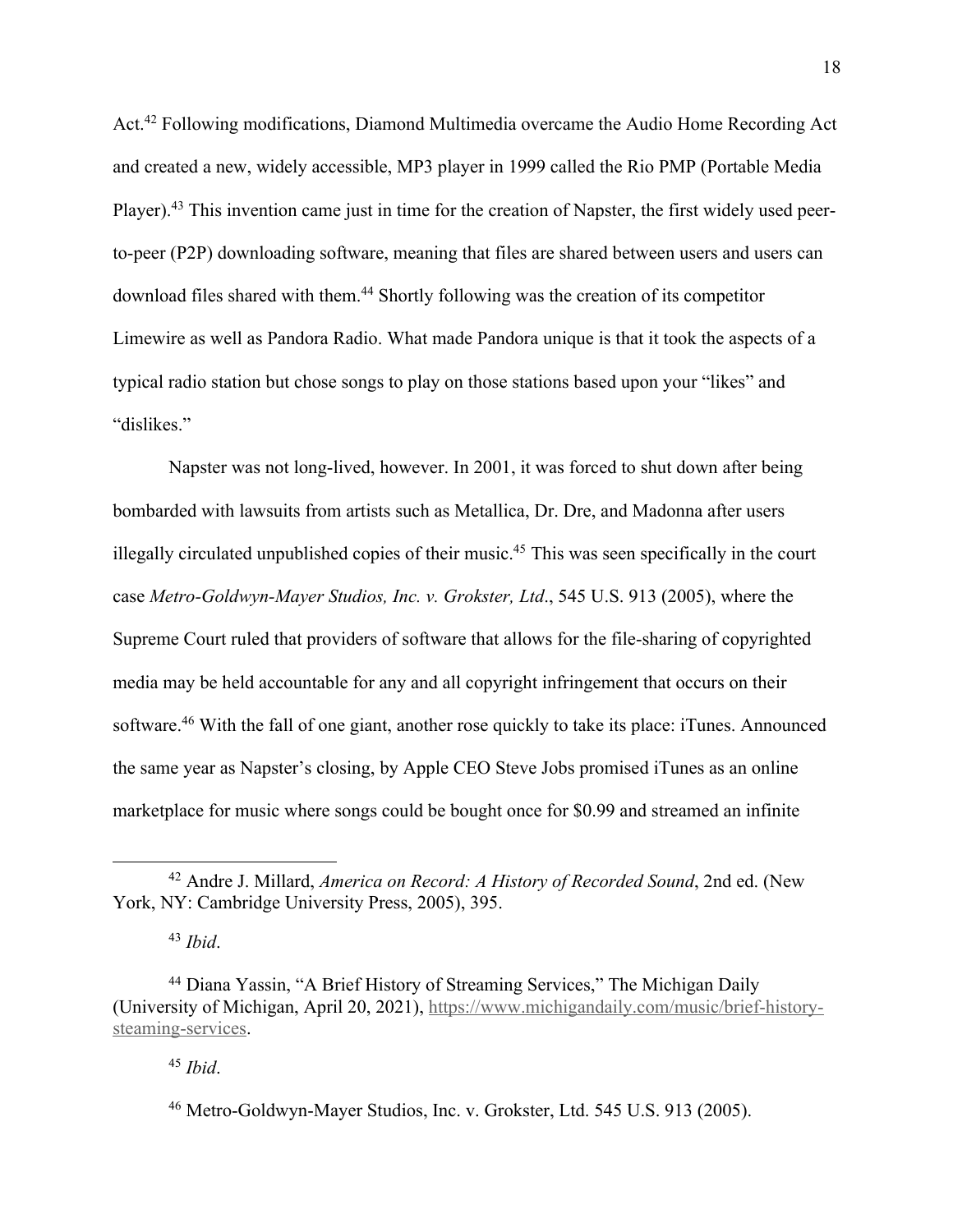Act.42 Following modifications, Diamond Multimedia overcame the Audio Home Recording Act and created a new, widely accessible, MP3 player in 1999 called the Rio PMP (Portable Media Player).43 This invention came just in time for the creation of Napster, the first widely used peerto-peer (P2P) downloading software, meaning that files are shared between users and users can download files shared with them. <sup>44</sup> Shortly following was the creation of its competitor Limewire as well as Pandora Radio. What made Pandora unique is that it took the aspects of a typical radio station but chose songs to play on those stations based upon your "likes" and "dislikes."

Napster was not long-lived, however. In 2001, it was forced to shut down after being bombarded with lawsuits from artists such as Metallica, Dr. Dre, and Madonna after users illegally circulated unpublished copies of their music.45 This was seen specifically in the court case *Metro-Goldwyn-Mayer Studios, Inc. v. Grokster, Ltd*., 545 U.S. 913 (2005), where the Supreme Court ruled that providers of software that allows for the file-sharing of copyrighted media may be held accountable for any and all copyright infringement that occurs on their software.46 With the fall of one giant, another rose quickly to take its place: iTunes. Announced the same year as Napster's closing, by Apple CEO Steve Jobs promised iTunes as an online marketplace for music where songs could be bought once for \$0.99 and streamed an infinite

<sup>43</sup> *Ibid*.

<sup>45</sup> *Ibid*.

<sup>42</sup> Andre J. Millard, *America on Record: A History of Recorded Sound*, 2nd ed. (New York, NY: Cambridge University Press, 2005), 395.

<sup>44</sup> Diana Yassin, "A Brief History of Streaming Services," The Michigan Daily (University of Michigan, April 20, 2021), https://www.michigandaily.com/music/brief-historysteaming-services.

<sup>46</sup> Metro-Goldwyn-Mayer Studios, Inc. v. Grokster, Ltd. 545 U.S. 913 (2005).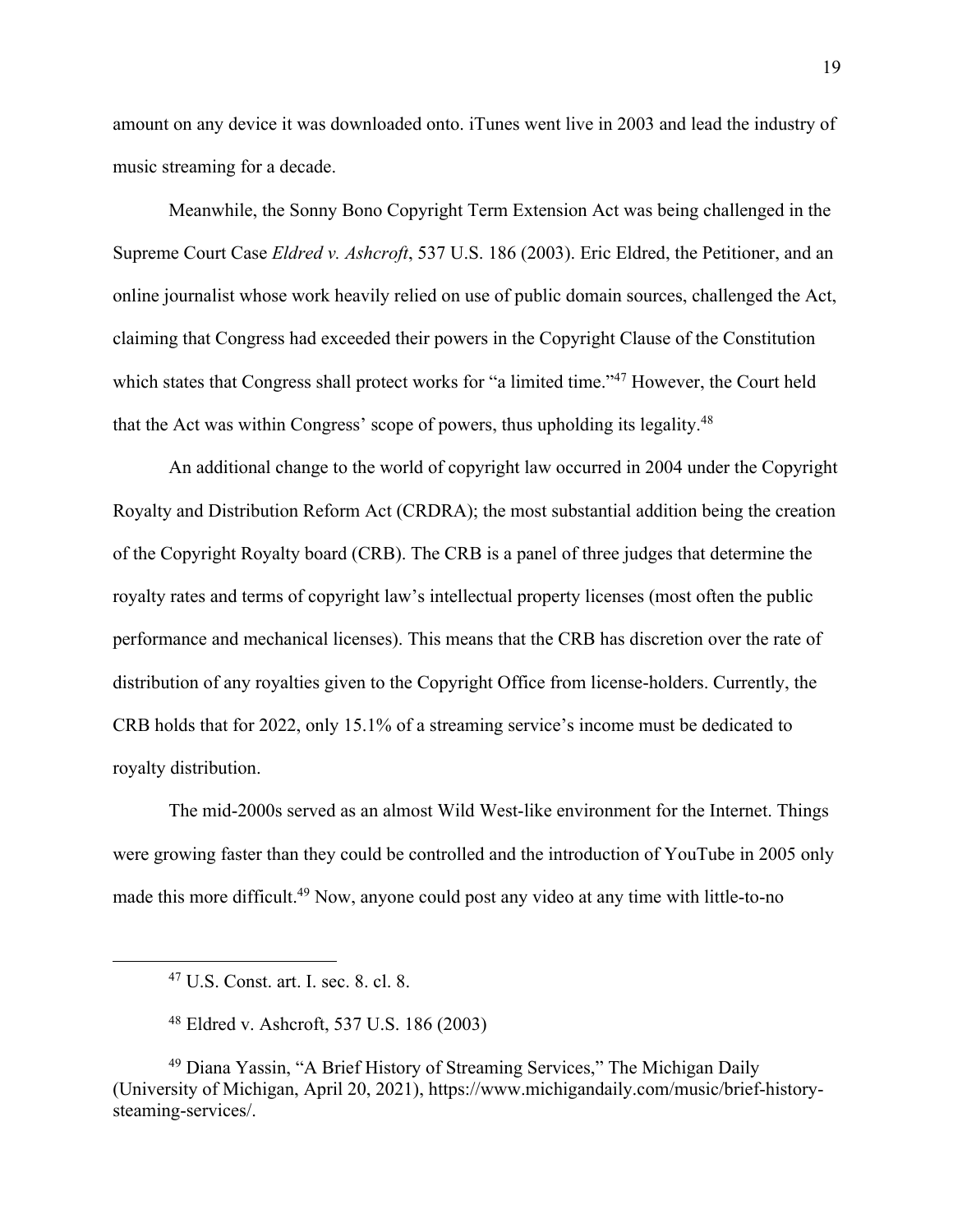amount on any device it was downloaded onto. iTunes went live in 2003 and lead the industry of music streaming for a decade.

Meanwhile, the Sonny Bono Copyright Term Extension Act was being challenged in the Supreme Court Case *Eldred v. Ashcroft*, 537 U.S. 186 (2003). Eric Eldred, the Petitioner, and an online journalist whose work heavily relied on use of public domain sources, challenged the Act, claiming that Congress had exceeded their powers in the Copyright Clause of the Constitution which states that Congress shall protect works for "a limited time."<sup>47</sup> However, the Court held that the Act was within Congress' scope of powers, thus upholding its legality.48

An additional change to the world of copyright law occurred in 2004 under the Copyright Royalty and Distribution Reform Act (CRDRA); the most substantial addition being the creation of the Copyright Royalty board (CRB). The CRB is a panel of three judges that determine the royalty rates and terms of copyright law's intellectual property licenses (most often the public performance and mechanical licenses). This means that the CRB has discretion over the rate of distribution of any royalties given to the Copyright Office from license-holders. Currently, the CRB holds that for 2022, only 15.1% of a streaming service's income must be dedicated to royalty distribution.

The mid-2000s served as an almost Wild West-like environment for the Internet. Things were growing faster than they could be controlled and the introduction of YouTube in 2005 only made this more difficult.<sup>49</sup> Now, anyone could post any video at any time with little-to-no

<sup>47</sup> U.S. Const. art. I. sec. 8. cl. 8.

<sup>48</sup> Eldred v. Ashcroft, 537 U.S. 186 (2003)

<sup>49</sup> Diana Yassin, "A Brief History of Streaming Services," The Michigan Daily (University of Michigan, April 20, 2021), https://www.michigandaily.com/music/brief-historysteaming-services/.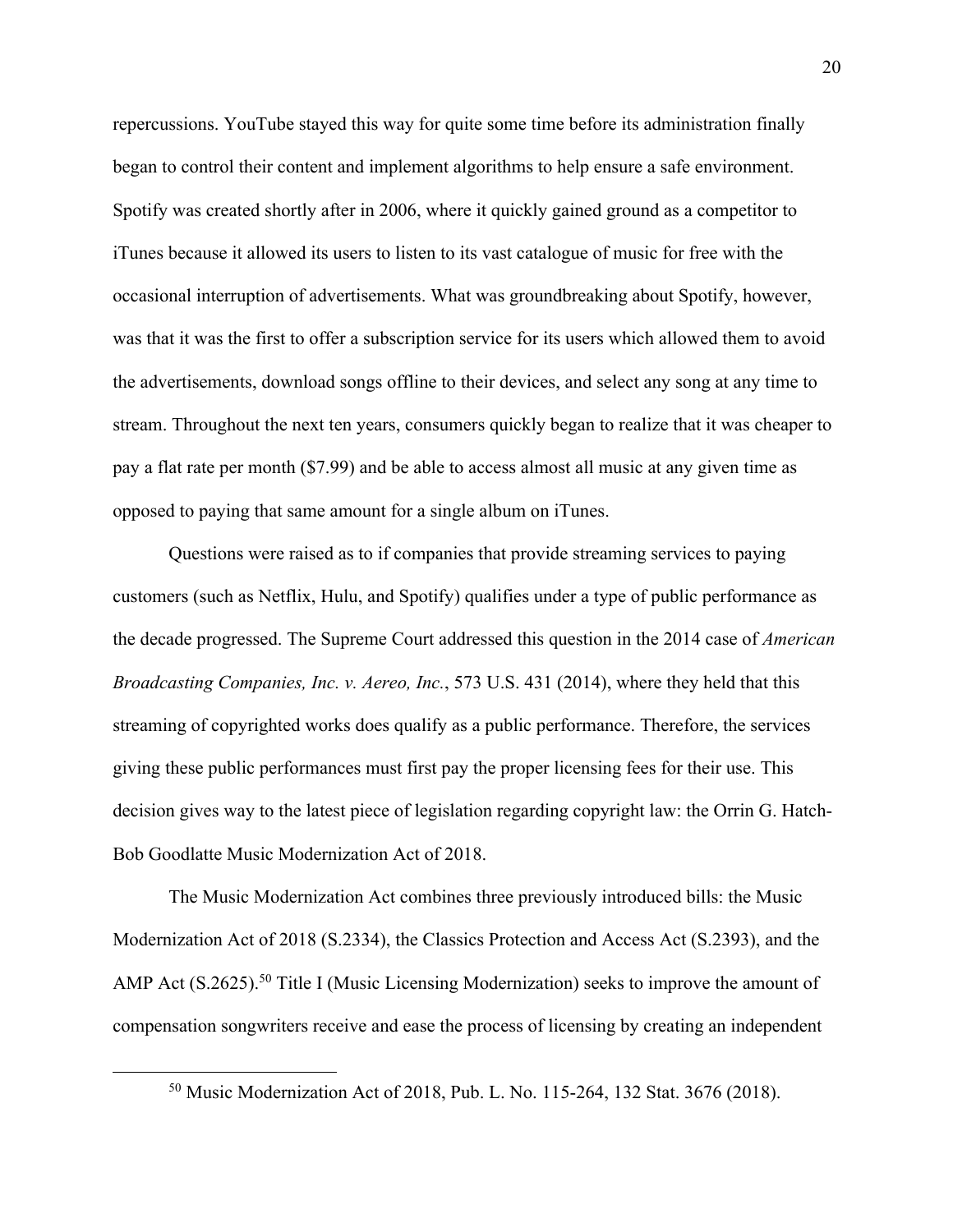repercussions. YouTube stayed this way for quite some time before its administration finally began to control their content and implement algorithms to help ensure a safe environment. Spotify was created shortly after in 2006, where it quickly gained ground as a competitor to iTunes because it allowed its users to listen to its vast catalogue of music for free with the occasional interruption of advertisements. What was groundbreaking about Spotify, however, was that it was the first to offer a subscription service for its users which allowed them to avoid the advertisements, download songs offline to their devices, and select any song at any time to stream. Throughout the next ten years, consumers quickly began to realize that it was cheaper to pay a flat rate per month (\$7.99) and be able to access almost all music at any given time as opposed to paying that same amount for a single album on iTunes.

Questions were raised as to if companies that provide streaming services to paying customers (such as Netflix, Hulu, and Spotify) qualifies under a type of public performance as the decade progressed. The Supreme Court addressed this question in the 2014 case of *American Broadcasting Companies, Inc. v. Aereo, Inc.*, 573 U.S. 431 (2014), where they held that this streaming of copyrighted works does qualify as a public performance. Therefore, the services giving these public performances must first pay the proper licensing fees for their use. This decision gives way to the latest piece of legislation regarding copyright law: the Orrin G. Hatch-Bob Goodlatte Music Modernization Act of 2018.

The Music Modernization Act combines three previously introduced bills: the Music Modernization Act of 2018 (S.2334), the Classics Protection and Access Act (S.2393), and the AMP Act (S.2625).<sup>50</sup> Title I (Music Licensing Modernization) seeks to improve the amount of compensation songwriters receive and ease the process of licensing by creating an independent

<sup>50</sup> Music Modernization Act of 2018, Pub. L. No. 115-264, 132 Stat. 3676 (2018).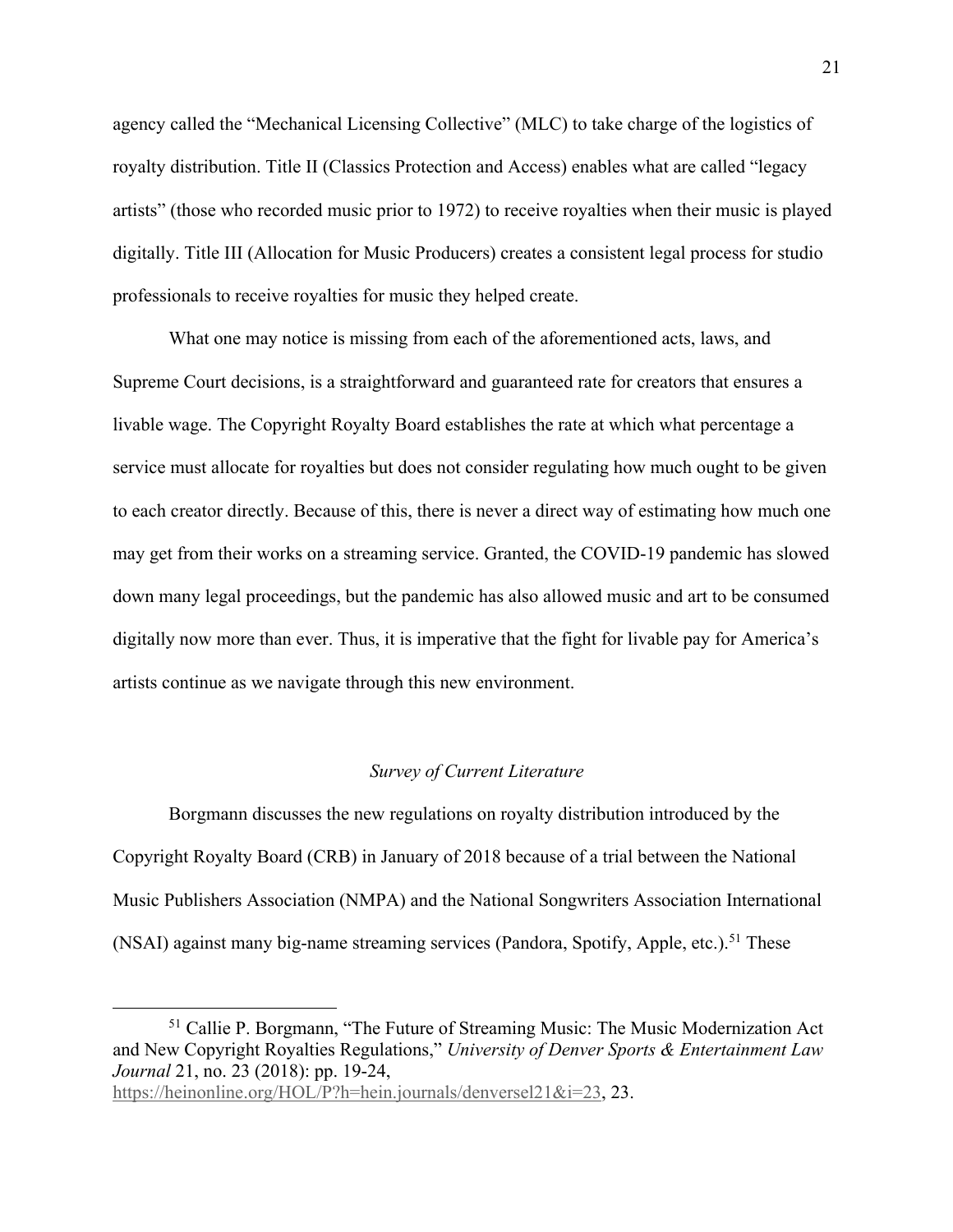agency called the "Mechanical Licensing Collective" (MLC) to take charge of the logistics of royalty distribution. Title II (Classics Protection and Access) enables what are called "legacy artists" (those who recorded music prior to 1972) to receive royalties when their music is played digitally. Title III (Allocation for Music Producers) creates a consistent legal process for studio professionals to receive royalties for music they helped create.

What one may notice is missing from each of the aforementioned acts, laws, and Supreme Court decisions, is a straightforward and guaranteed rate for creators that ensures a livable wage. The Copyright Royalty Board establishes the rate at which what percentage a service must allocate for royalties but does not consider regulating how much ought to be given to each creator directly. Because of this, there is never a direct way of estimating how much one may get from their works on a streaming service. Granted, the COVID-19 pandemic has slowed down many legal proceedings, but the pandemic has also allowed music and art to be consumed digitally now more than ever. Thus, it is imperative that the fight for livable pay for America's artists continue as we navigate through this new environment.

#### *Survey of Current Literature*

Borgmann discusses the new regulations on royalty distribution introduced by the Copyright Royalty Board (CRB) in January of 2018 because of a trial between the National Music Publishers Association (NMPA) and the National Songwriters Association International (NSAI) against many big-name streaming services (Pandora, Spotify, Apple, etc.).<sup>51</sup> These

<sup>51</sup> Callie P. Borgmann, "The Future of Streaming Music: The Music Modernization Act and New Copyright Royalties Regulations," *University of Denver Sports & Entertainment Law Journal* 21, no. 23 (2018): pp. 19-24,

https://heinonline.org/HOL/P?h=hein.journals/denversel21&i=23, 23.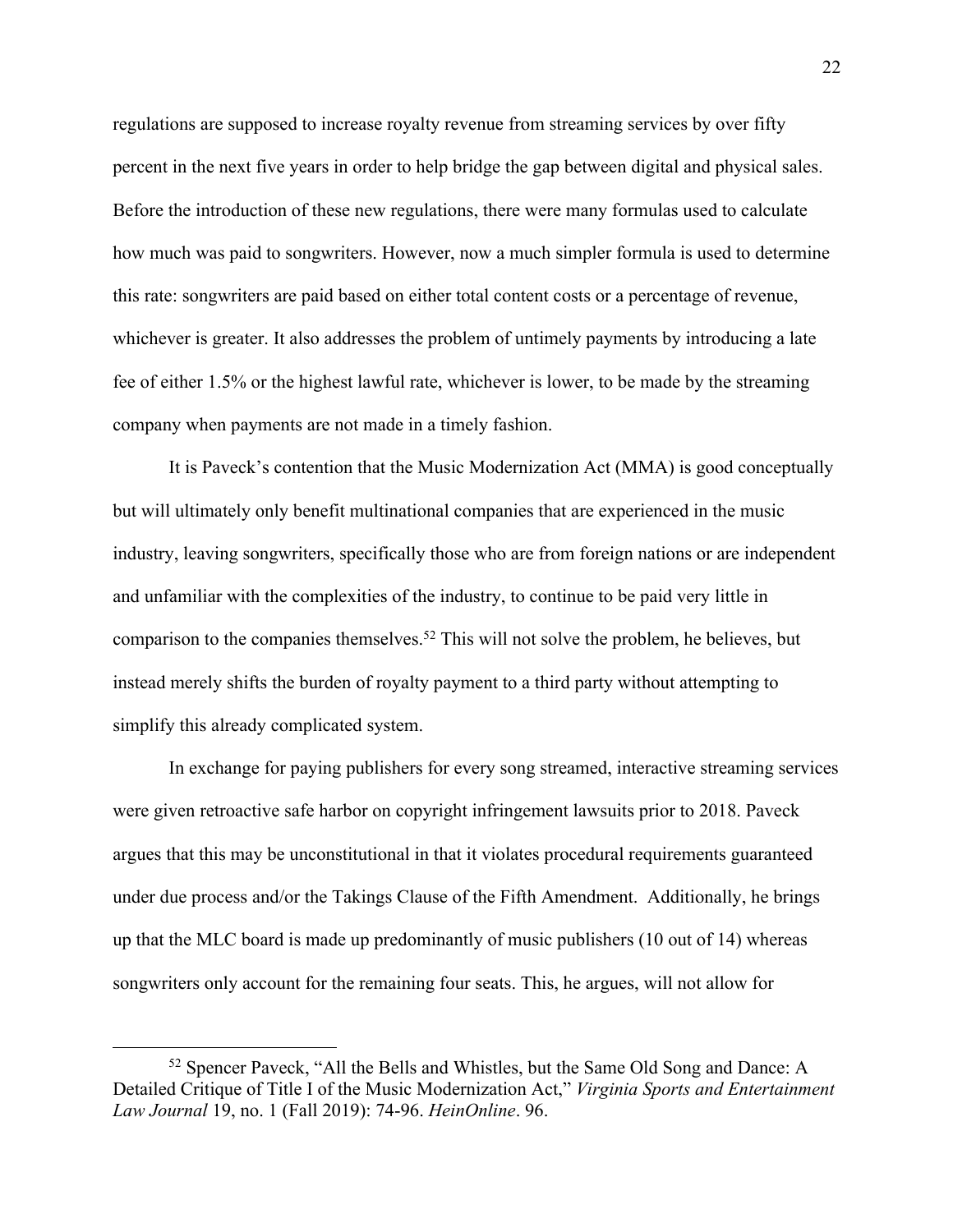regulations are supposed to increase royalty revenue from streaming services by over fifty percent in the next five years in order to help bridge the gap between digital and physical sales. Before the introduction of these new regulations, there were many formulas used to calculate how much was paid to songwriters. However, now a much simpler formula is used to determine this rate: songwriters are paid based on either total content costs or a percentage of revenue, whichever is greater. It also addresses the problem of untimely payments by introducing a late fee of either 1.5% or the highest lawful rate, whichever is lower, to be made by the streaming company when payments are not made in a timely fashion.

It is Paveck's contention that the Music Modernization Act (MMA) is good conceptually but will ultimately only benefit multinational companies that are experienced in the music industry, leaving songwriters, specifically those who are from foreign nations or are independent and unfamiliar with the complexities of the industry, to continue to be paid very little in comparison to the companies themselves.52 This will not solve the problem, he believes, but instead merely shifts the burden of royalty payment to a third party without attempting to simplify this already complicated system.

In exchange for paying publishers for every song streamed, interactive streaming services were given retroactive safe harbor on copyright infringement lawsuits prior to 2018. Paveck argues that this may be unconstitutional in that it violates procedural requirements guaranteed under due process and/or the Takings Clause of the Fifth Amendment. Additionally, he brings up that the MLC board is made up predominantly of music publishers (10 out of 14) whereas songwriters only account for the remaining four seats. This, he argues, will not allow for

<sup>52</sup> Spencer Paveck, "All the Bells and Whistles, but the Same Old Song and Dance: A Detailed Critique of Title I of the Music Modernization Act," *Virginia Sports and Entertainment Law Journal* 19, no. 1 (Fall 2019): 74-96. *HeinOnline*. 96.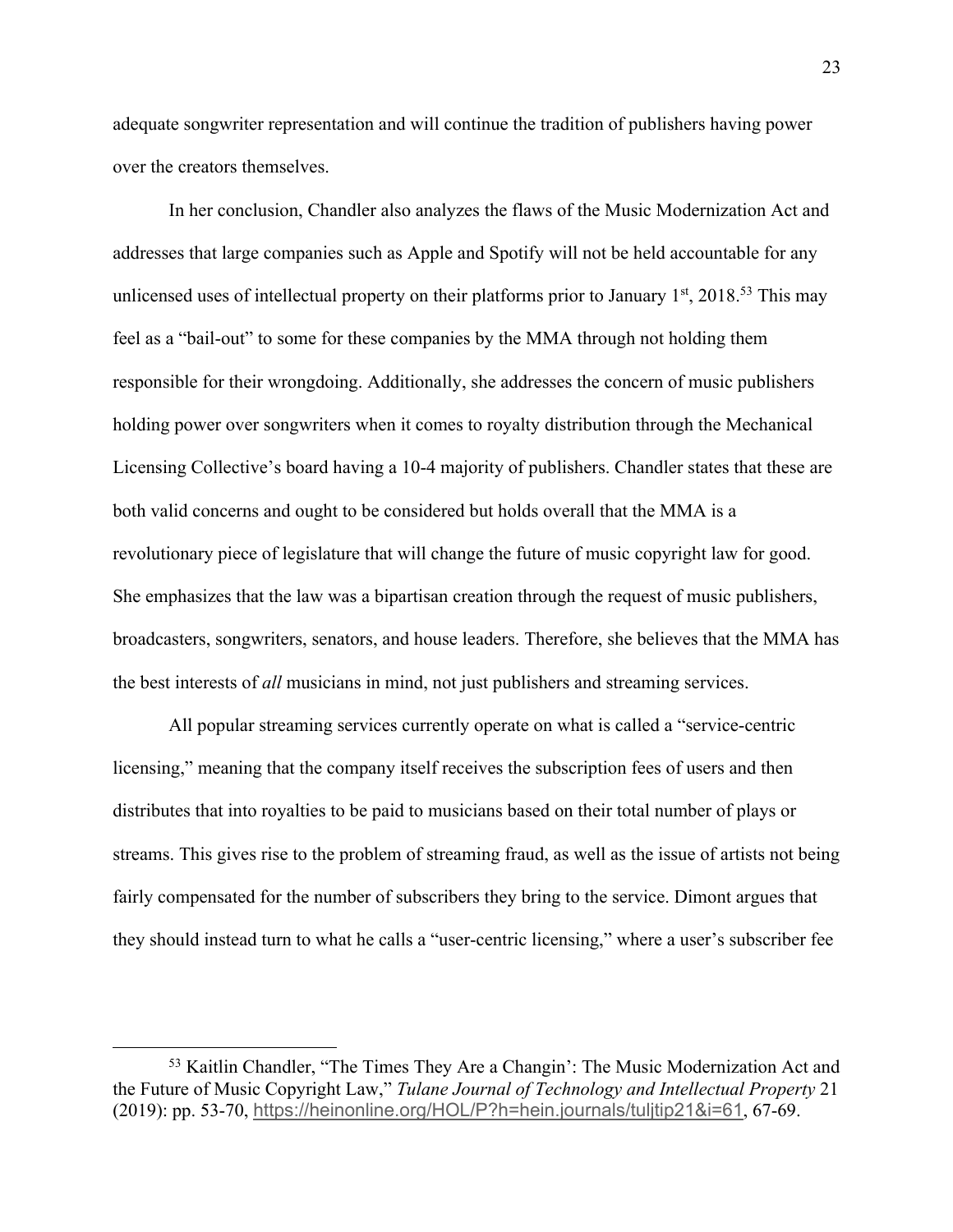adequate songwriter representation and will continue the tradition of publishers having power over the creators themselves.

In her conclusion, Chandler also analyzes the flaws of the Music Modernization Act and addresses that large companies such as Apple and Spotify will not be held accountable for any unlicensed uses of intellectual property on their platforms prior to January  $1<sup>st</sup>$ , 2018.<sup>53</sup> This may feel as a "bail-out" to some for these companies by the MMA through not holding them responsible for their wrongdoing. Additionally, she addresses the concern of music publishers holding power over songwriters when it comes to royalty distribution through the Mechanical Licensing Collective's board having a 10-4 majority of publishers. Chandler states that these are both valid concerns and ought to be considered but holds overall that the MMA is a revolutionary piece of legislature that will change the future of music copyright law for good. She emphasizes that the law was a bipartisan creation through the request of music publishers, broadcasters, songwriters, senators, and house leaders. Therefore, she believes that the MMA has the best interests of *all* musicians in mind, not just publishers and streaming services.

All popular streaming services currently operate on what is called a "service-centric licensing," meaning that the company itself receives the subscription fees of users and then distributes that into royalties to be paid to musicians based on their total number of plays or streams. This gives rise to the problem of streaming fraud, as well as the issue of artists not being fairly compensated for the number of subscribers they bring to the service. Dimont argues that they should instead turn to what he calls a "user-centric licensing," where a user's subscriber fee

<sup>53</sup> Kaitlin Chandler, "The Times They Are a Changin': The Music Modernization Act and the Future of Music Copyright Law," *Tulane Journal of Technology and Intellectual Property* 21 (2019): pp. 53-70, https://heinonline.org/HOL/P?h=hein.journals/tuljtip21&i=61, 67-69.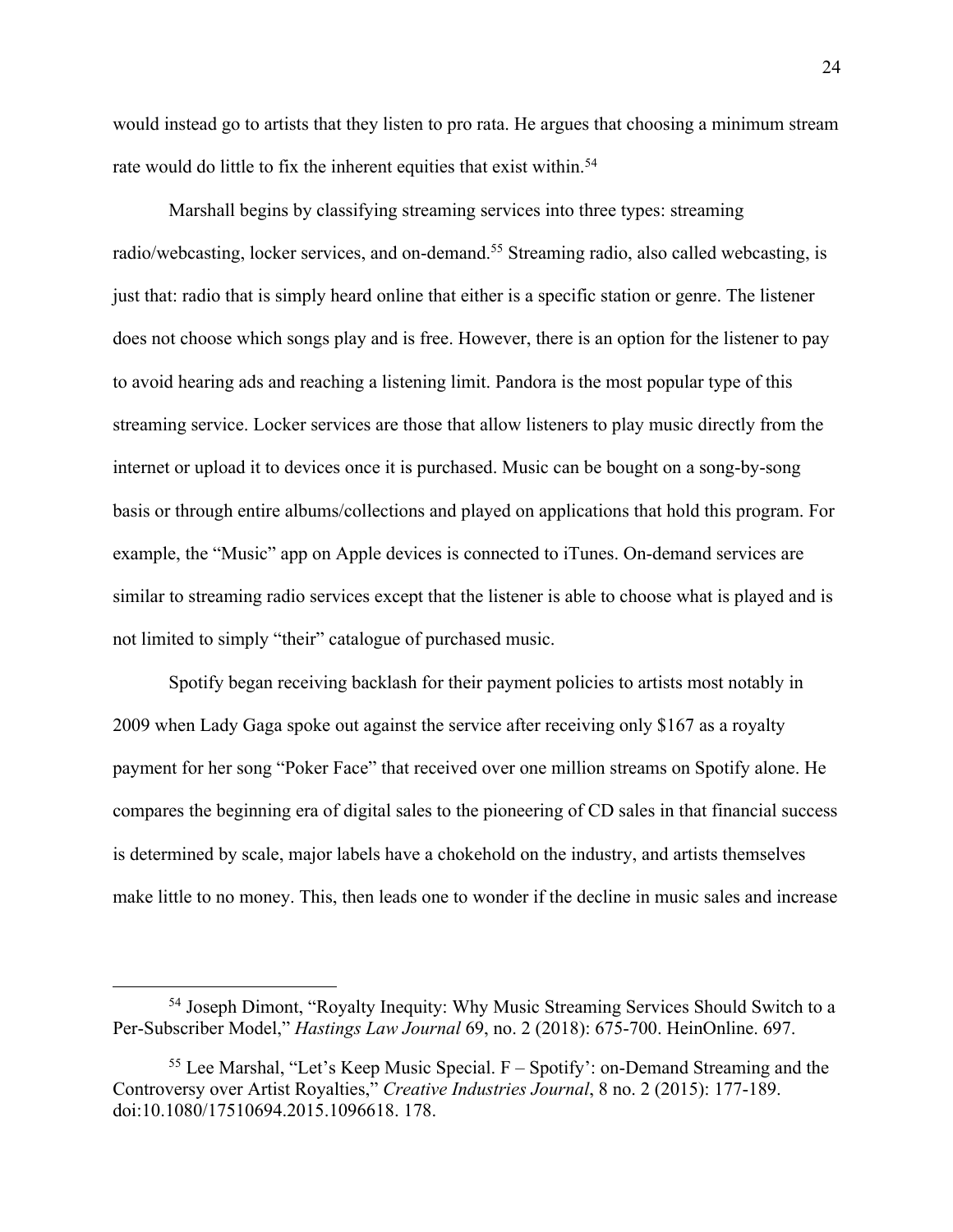would instead go to artists that they listen to pro rata. He argues that choosing a minimum stream rate would do little to fix the inherent equities that exist within.<sup>54</sup>

Marshall begins by classifying streaming services into three types: streaming radio/webcasting, locker services, and on-demand.<sup>55</sup> Streaming radio, also called webcasting, is just that: radio that is simply heard online that either is a specific station or genre. The listener does not choose which songs play and is free. However, there is an option for the listener to pay to avoid hearing ads and reaching a listening limit. Pandora is the most popular type of this streaming service. Locker services are those that allow listeners to play music directly from the internet or upload it to devices once it is purchased. Music can be bought on a song-by-song basis or through entire albums/collections and played on applications that hold this program. For example, the "Music" app on Apple devices is connected to iTunes. On-demand services are similar to streaming radio services except that the listener is able to choose what is played and is not limited to simply "their" catalogue of purchased music.

Spotify began receiving backlash for their payment policies to artists most notably in 2009 when Lady Gaga spoke out against the service after receiving only \$167 as a royalty payment for her song "Poker Face" that received over one million streams on Spotify alone. He compares the beginning era of digital sales to the pioneering of CD sales in that financial success is determined by scale, major labels have a chokehold on the industry, and artists themselves make little to no money. This, then leads one to wonder if the decline in music sales and increase

<sup>&</sup>lt;sup>54</sup> Joseph Dimont, "Royalty Inequity: Why Music Streaming Services Should Switch to a Per-Subscriber Model," *Hastings Law Journal* 69, no. 2 (2018): 675-700. HeinOnline. 697.

 $55$  Lee Marshal, "Let's Keep Music Special.  $F -$  Spotify': on-Demand Streaming and the Controversy over Artist Royalties," *Creative Industries Journal*, 8 no. 2 (2015): 177-189. doi:10.1080/17510694.2015.1096618. 178.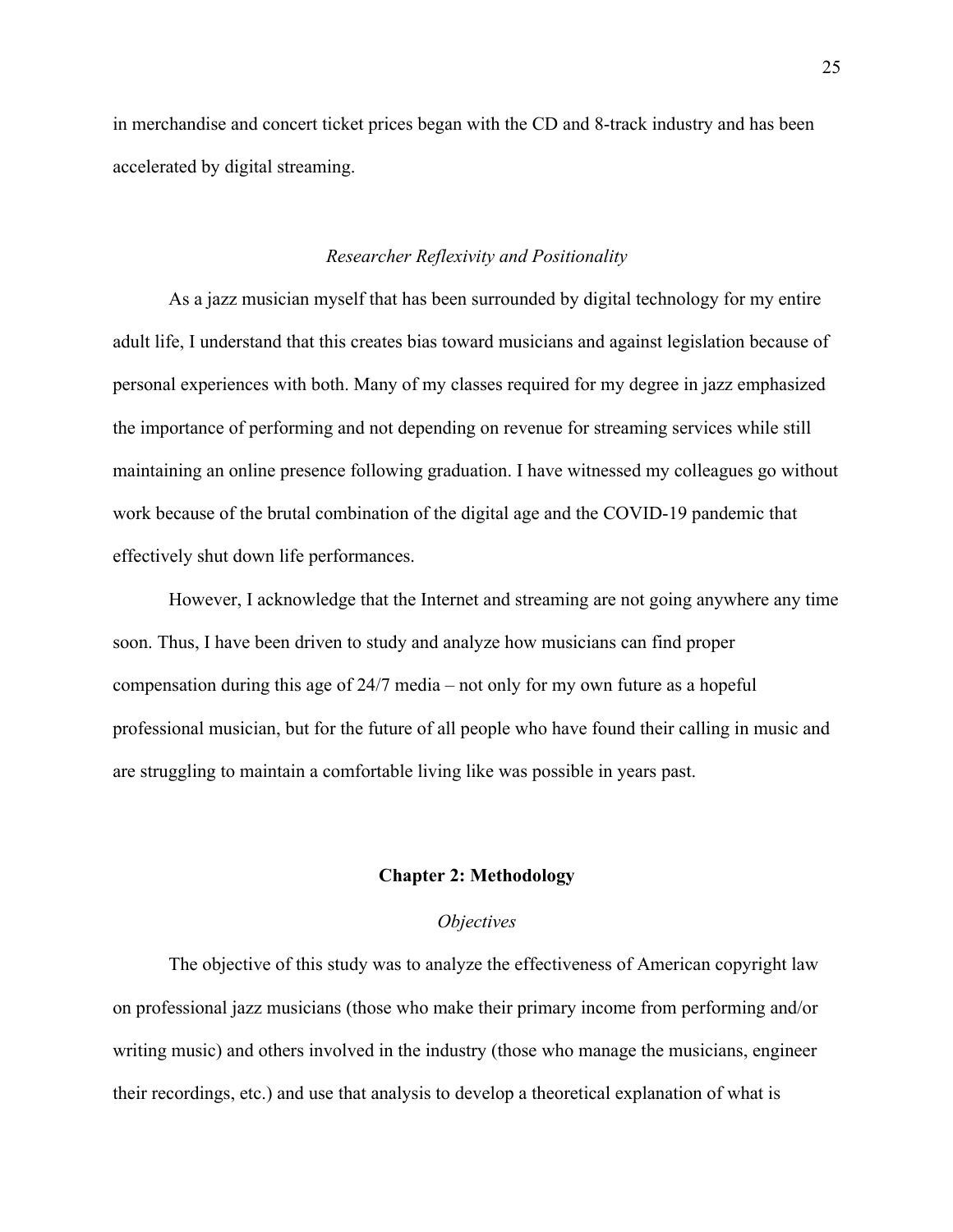in merchandise and concert ticket prices began with the CD and 8-track industry and has been accelerated by digital streaming.

#### *Researcher Reflexivity and Positionality*

As a jazz musician myself that has been surrounded by digital technology for my entire adult life, I understand that this creates bias toward musicians and against legislation because of personal experiences with both. Many of my classes required for my degree in jazz emphasized the importance of performing and not depending on revenue for streaming services while still maintaining an online presence following graduation. I have witnessed my colleagues go without work because of the brutal combination of the digital age and the COVID-19 pandemic that effectively shut down life performances.

However, I acknowledge that the Internet and streaming are not going anywhere any time soon. Thus, I have been driven to study and analyze how musicians can find proper compensation during this age of 24/7 media – not only for my own future as a hopeful professional musician, but for the future of all people who have found their calling in music and are struggling to maintain a comfortable living like was possible in years past.

#### **Chapter 2: Methodology**

#### *Objectives*

The objective of this study was to analyze the effectiveness of American copyright law on professional jazz musicians (those who make their primary income from performing and/or writing music) and others involved in the industry (those who manage the musicians, engineer their recordings, etc.) and use that analysis to develop a theoretical explanation of what is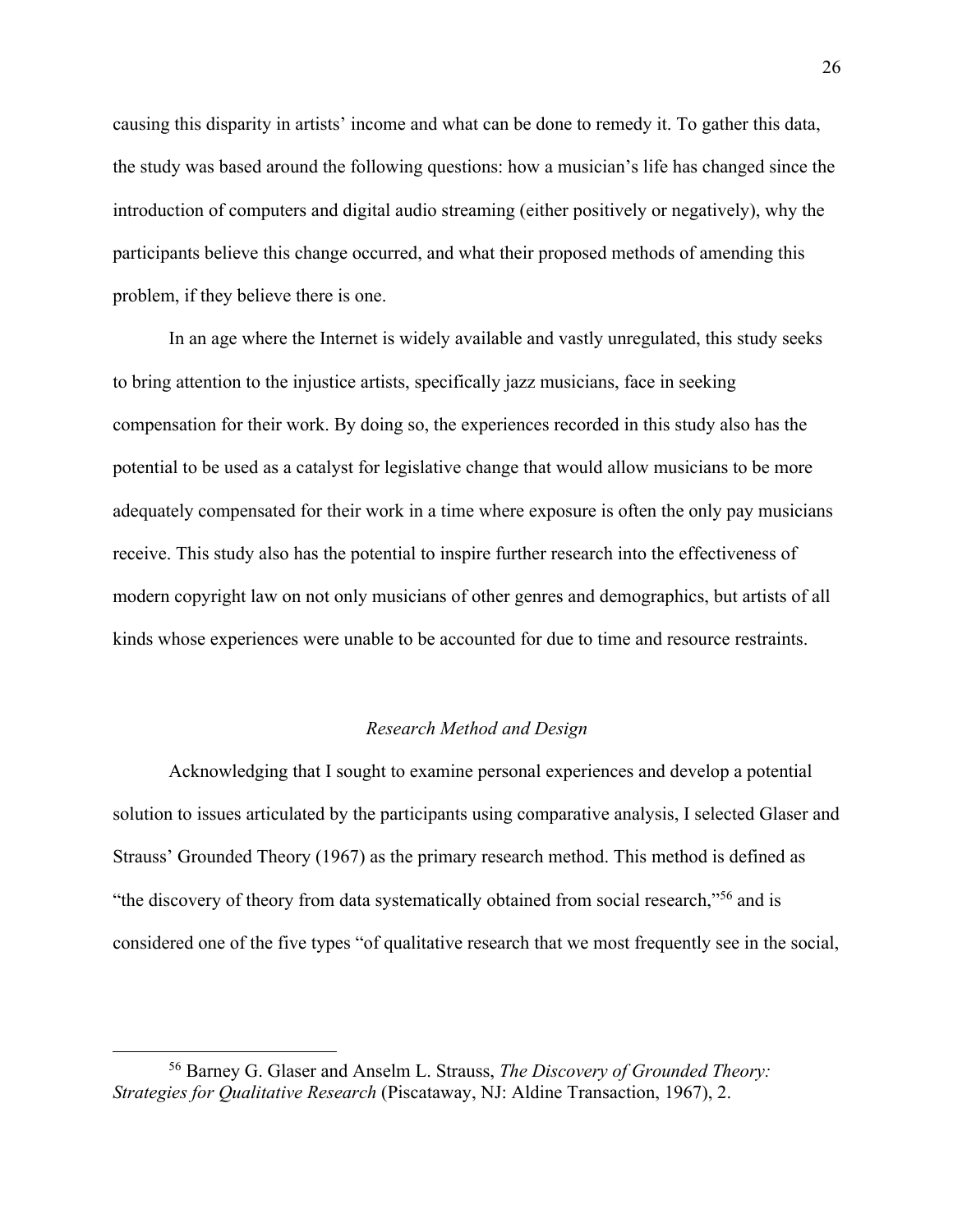causing this disparity in artists' income and what can be done to remedy it. To gather this data, the study was based around the following questions: how a musician's life has changed since the introduction of computers and digital audio streaming (either positively or negatively), why the participants believe this change occurred, and what their proposed methods of amending this problem, if they believe there is one.

In an age where the Internet is widely available and vastly unregulated, this study seeks to bring attention to the injustice artists, specifically jazz musicians, face in seeking compensation for their work. By doing so, the experiences recorded in this study also has the potential to be used as a catalyst for legislative change that would allow musicians to be more adequately compensated for their work in a time where exposure is often the only pay musicians receive. This study also has the potential to inspire further research into the effectiveness of modern copyright law on not only musicians of other genres and demographics, but artists of all kinds whose experiences were unable to be accounted for due to time and resource restraints.

#### *Research Method and Design*

Acknowledging that I sought to examine personal experiences and develop a potential solution to issues articulated by the participants using comparative analysis, I selected Glaser and Strauss' Grounded Theory (1967) as the primary research method. This method is defined as "the discovery of theory from data systematically obtained from social research,"56 and is considered one of the five types "of qualitative research that we most frequently see in the social,

<sup>56</sup> Barney G. Glaser and Anselm L. Strauss, *The Discovery of Grounded Theory: Strategies for Qualitative Research* (Piscataway, NJ: Aldine Transaction, 1967), 2.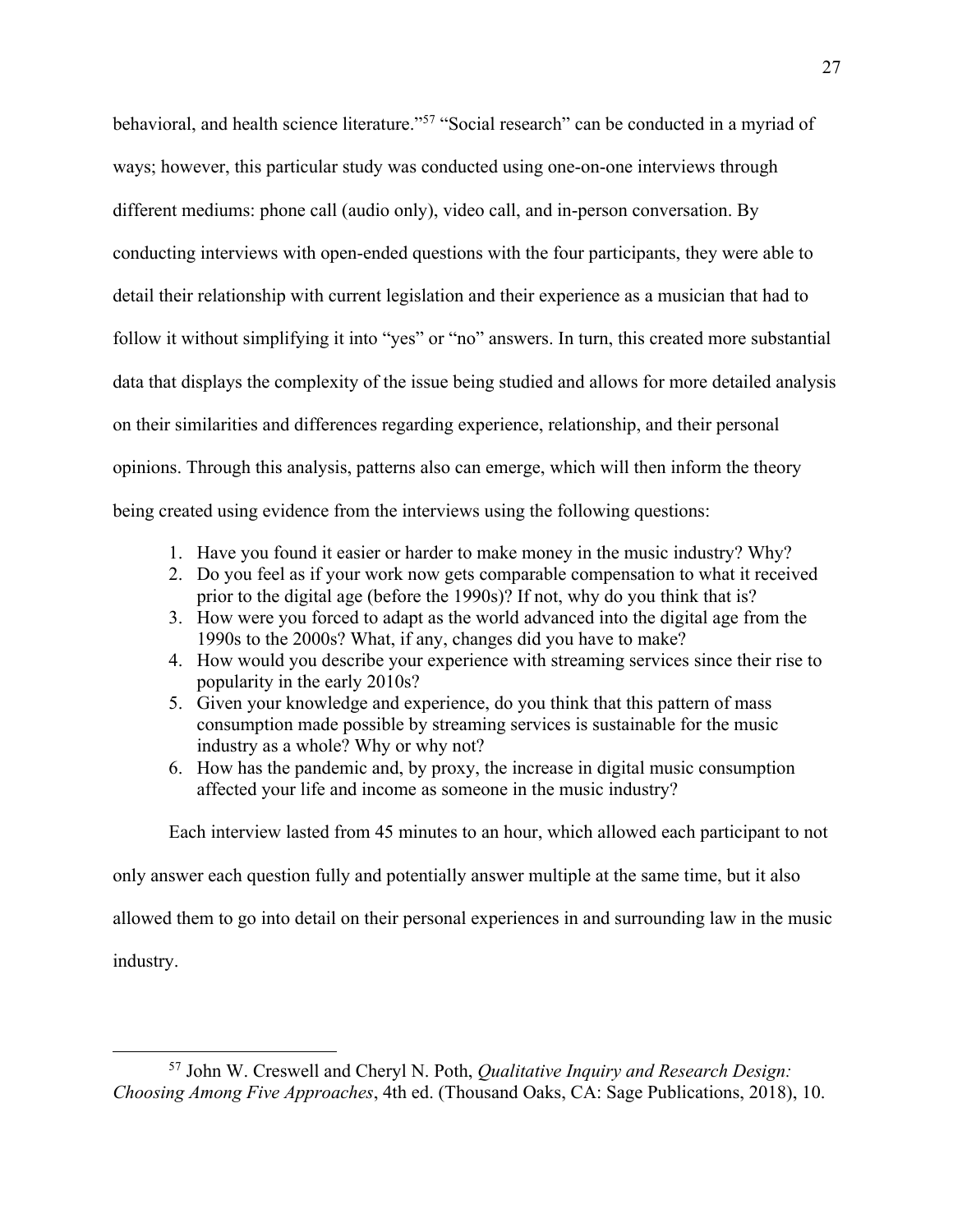behavioral, and health science literature."57 "Social research" can be conducted in a myriad of ways; however, this particular study was conducted using one-on-one interviews through different mediums: phone call (audio only), video call, and in-person conversation. By conducting interviews with open-ended questions with the four participants, they were able to detail their relationship with current legislation and their experience as a musician that had to follow it without simplifying it into "yes" or "no" answers. In turn, this created more substantial data that displays the complexity of the issue being studied and allows for more detailed analysis on their similarities and differences regarding experience, relationship, and their personal opinions. Through this analysis, patterns also can emerge, which will then inform the theory being created using evidence from the interviews using the following questions:

- 1. Have you found it easier or harder to make money in the music industry? Why?
- 2. Do you feel as if your work now gets comparable compensation to what it received prior to the digital age (before the 1990s)? If not, why do you think that is?
- 3. How were you forced to adapt as the world advanced into the digital age from the 1990s to the 2000s? What, if any, changes did you have to make?
- 4. How would you describe your experience with streaming services since their rise to popularity in the early 2010s?
- 5. Given your knowledge and experience, do you think that this pattern of mass consumption made possible by streaming services is sustainable for the music industry as a whole? Why or why not?
- 6. How has the pandemic and, by proxy, the increase in digital music consumption affected your life and income as someone in the music industry?

Each interview lasted from 45 minutes to an hour, which allowed each participant to not

only answer each question fully and potentially answer multiple at the same time, but it also allowed them to go into detail on their personal experiences in and surrounding law in the music

industry.

<sup>57</sup> John W. Creswell and Cheryl N. Poth, *Qualitative Inquiry and Research Design: Choosing Among Five Approaches*, 4th ed. (Thousand Oaks, CA: Sage Publications, 2018), 10.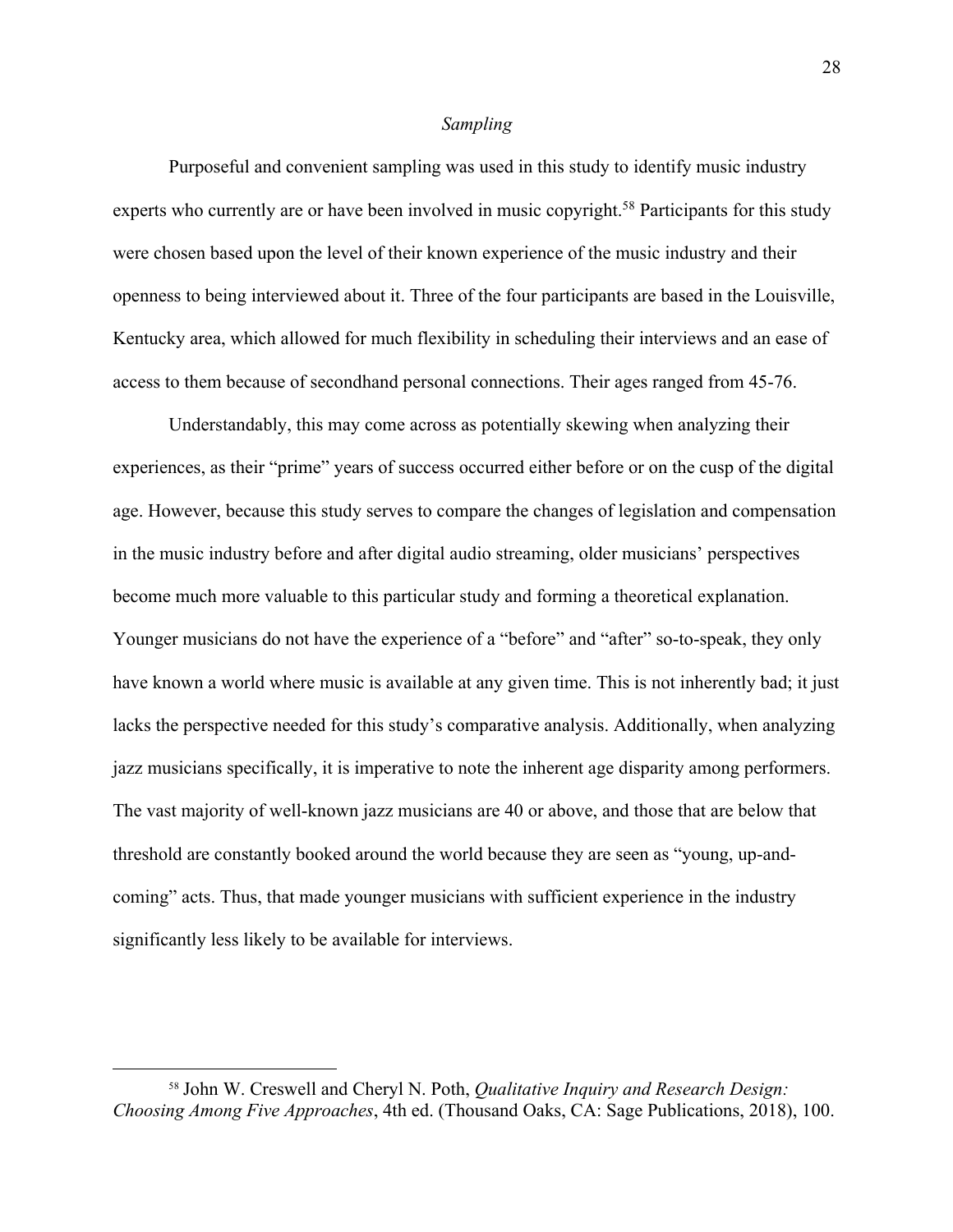#### *Sampling*

Purposeful and convenient sampling was used in this study to identify music industry experts who currently are or have been involved in music copyright.<sup>58</sup> Participants for this study were chosen based upon the level of their known experience of the music industry and their openness to being interviewed about it. Three of the four participants are based in the Louisville, Kentucky area, which allowed for much flexibility in scheduling their interviews and an ease of access to them because of secondhand personal connections. Their ages ranged from 45-76.

Understandably, this may come across as potentially skewing when analyzing their experiences, as their "prime" years of success occurred either before or on the cusp of the digital age. However, because this study serves to compare the changes of legislation and compensation in the music industry before and after digital audio streaming, older musicians' perspectives become much more valuable to this particular study and forming a theoretical explanation. Younger musicians do not have the experience of a "before" and "after" so-to-speak, they only have known a world where music is available at any given time. This is not inherently bad; it just lacks the perspective needed for this study's comparative analysis. Additionally, when analyzing jazz musicians specifically, it is imperative to note the inherent age disparity among performers. The vast majority of well-known jazz musicians are 40 or above, and those that are below that threshold are constantly booked around the world because they are seen as "young, up-andcoming" acts. Thus, that made younger musicians with sufficient experience in the industry significantly less likely to be available for interviews.

<sup>58</sup> John W. Creswell and Cheryl N. Poth, *Qualitative Inquiry and Research Design: Choosing Among Five Approaches*, 4th ed. (Thousand Oaks, CA: Sage Publications, 2018), 100.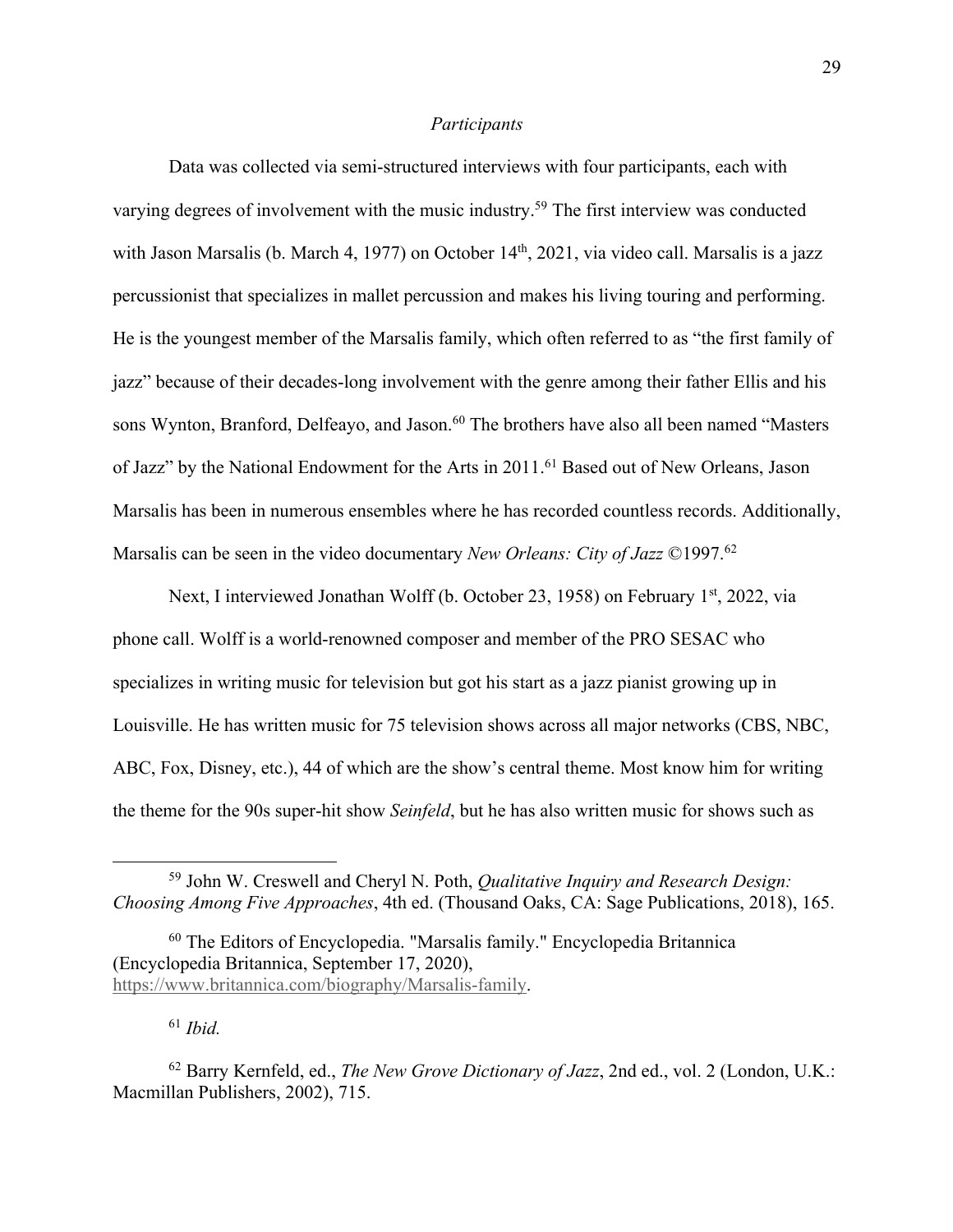#### *Participants*

Data was collected via semi-structured interviews with four participants, each with varying degrees of involvement with the music industry.<sup>59</sup> The first interview was conducted with Jason Marsalis (b. March 4, 1977) on October 14<sup>th</sup>, 2021, via video call. Marsalis is a jazz percussionist that specializes in mallet percussion and makes his living touring and performing. He is the youngest member of the Marsalis family, which often referred to as "the first family of jazz" because of their decades-long involvement with the genre among their father Ellis and his sons Wynton, Branford, Delfeayo, and Jason.<sup>60</sup> The brothers have also all been named "Masters of Jazz" by the National Endowment for the Arts in 2011.<sup>61</sup> Based out of New Orleans, Jason Marsalis has been in numerous ensembles where he has recorded countless records. Additionally, Marsalis can be seen in the video documentary *New Orleans: City of Jazz* ©1997.62

Next, I interviewed Jonathan Wolff (b. October 23, 1958) on February 1<sup>st</sup>, 2022, via phone call. Wolff is a world-renowned composer and member of the PRO SESAC who specializes in writing music for television but got his start as a jazz pianist growing up in Louisville. He has written music for 75 television shows across all major networks (CBS, NBC, ABC, Fox, Disney, etc.), 44 of which are the show's central theme. Most know him for writing the theme for the 90s super-hit show *Seinfeld*, but he has also written music for shows such as

<sup>61</sup> *Ibid.*

<sup>59</sup> John W. Creswell and Cheryl N. Poth, *Qualitative Inquiry and Research Design: Choosing Among Five Approaches*, 4th ed. (Thousand Oaks, CA: Sage Publications, 2018), 165.

<sup>60</sup> The Editors of Encyclopedia. "Marsalis family." Encyclopedia Britannica (Encyclopedia Britannica, September 17, 2020), https://www.britannica.com/biography/Marsalis-family.

<sup>62</sup> Barry Kernfeld, ed., *The New Grove Dictionary of Jazz*, 2nd ed., vol. 2 (London, U.K.: Macmillan Publishers, 2002), 715.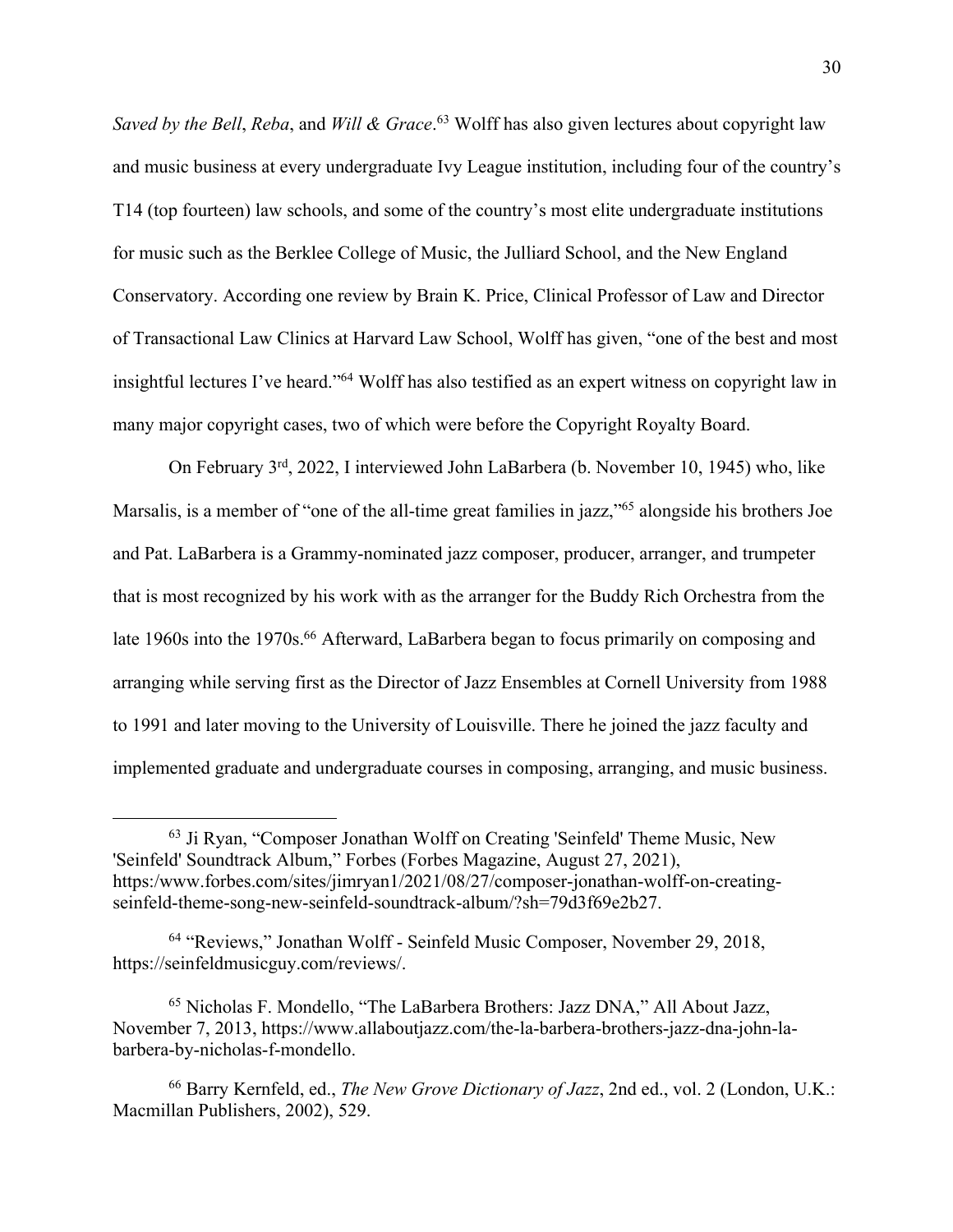*Saved by the Bell*, *Reba*, and *Will & Grace*. <sup>63</sup> Wolff has also given lectures about copyright law and music business at every undergraduate Ivy League institution, including four of the country's T14 (top fourteen) law schools, and some of the country's most elite undergraduate institutions for music such as the Berklee College of Music, the Julliard School, and the New England Conservatory. According one review by Brain K. Price, Clinical Professor of Law and Director of Transactional Law Clinics at Harvard Law School, Wolff has given, "one of the best and most insightful lectures I've heard."64 Wolff has also testified as an expert witness on copyright law in many major copyright cases, two of which were before the Copyright Royalty Board.

On February 3rd, 2022, I interviewed John LaBarbera (b. November 10, 1945) who, like Marsalis, is a member of "one of the all-time great families in jazz,"<sup>65</sup> alongside his brothers Joe and Pat. LaBarbera is a Grammy-nominated jazz composer, producer, arranger, and trumpeter that is most recognized by his work with as the arranger for the Buddy Rich Orchestra from the late 1960s into the 1970s.<sup>66</sup> Afterward, LaBarbera began to focus primarily on composing and arranging while serving first as the Director of Jazz Ensembles at Cornell University from 1988 to 1991 and later moving to the University of Louisville. There he joined the jazz faculty and implemented graduate and undergraduate courses in composing, arranging, and music business.

<sup>63</sup> Ji Ryan, "Composer Jonathan Wolff on Creating 'Seinfeld' Theme Music, New 'Seinfeld' Soundtrack Album," Forbes (Forbes Magazine, August 27, 2021), https:/www.forbes.com/sites/jimryan1/2021/08/27/composer-jonathan-wolff-on-creatingseinfeld-theme-song-new-seinfeld-soundtrack-album/?sh=79d3f69e2b27.

<sup>64</sup> "Reviews," Jonathan Wolff - Seinfeld Music Composer, November 29, 2018, https://seinfeldmusicguy.com/reviews/.

<sup>65</sup> Nicholas F. Mondello, "The LaBarbera Brothers: Jazz DNA," All About Jazz, November 7, 2013, https://www.allaboutjazz.com/the-la-barbera-brothers-jazz-dna-john-labarbera-by-nicholas-f-mondello.

<sup>66</sup> Barry Kernfeld, ed., *The New Grove Dictionary of Jazz*, 2nd ed., vol. 2 (London, U.K.: Macmillan Publishers, 2002), 529.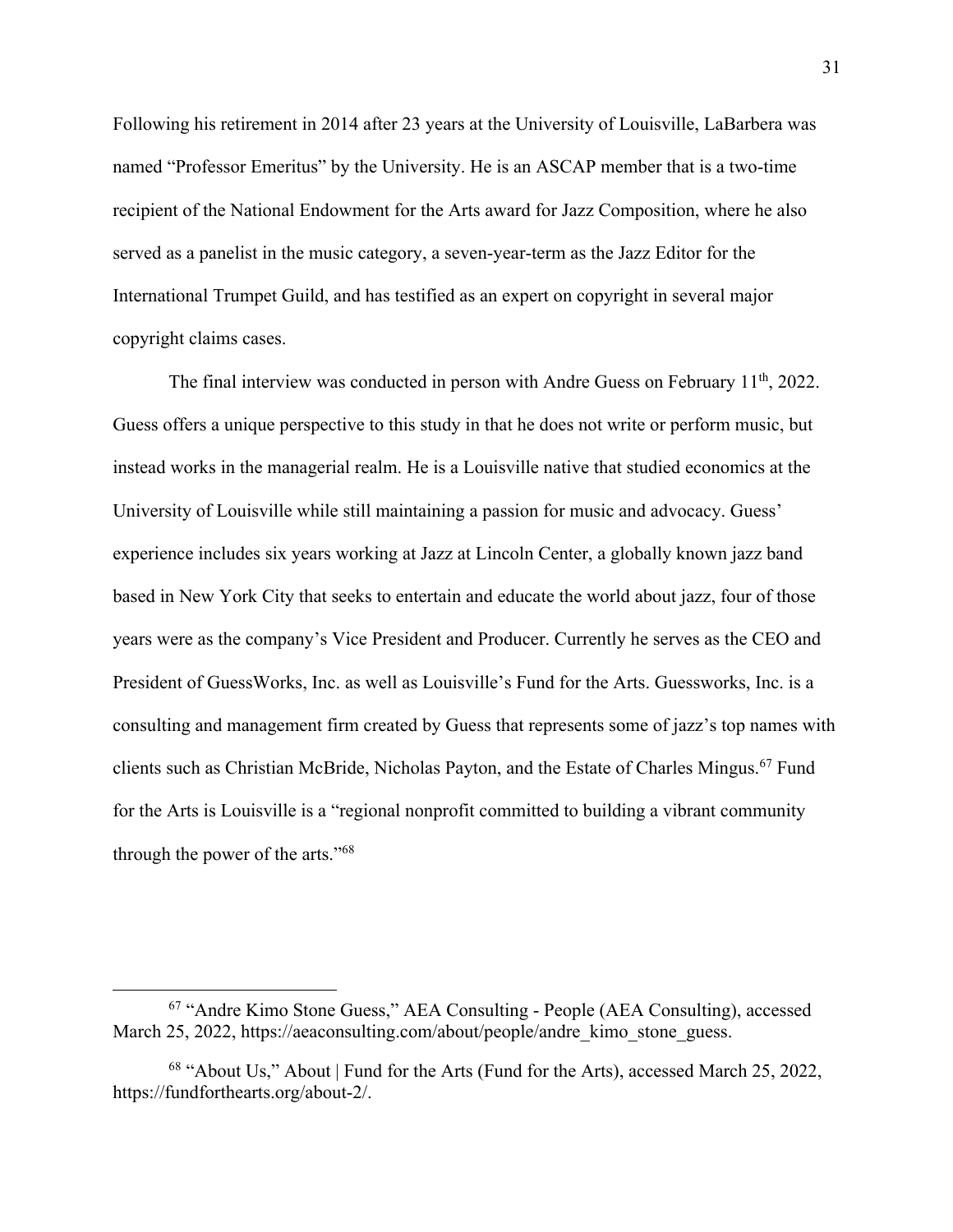Following his retirement in 2014 after 23 years at the University of Louisville, LaBarbera was named "Professor Emeritus" by the University. He is an ASCAP member that is a two-time recipient of the National Endowment for the Arts award for Jazz Composition, where he also served as a panelist in the music category, a seven-year-term as the Jazz Editor for the International Trumpet Guild, and has testified as an expert on copyright in several major copyright claims cases.

The final interview was conducted in person with Andre Guess on February  $11<sup>th</sup>$ , 2022. Guess offers a unique perspective to this study in that he does not write or perform music, but instead works in the managerial realm. He is a Louisville native that studied economics at the University of Louisville while still maintaining a passion for music and advocacy. Guess' experience includes six years working at Jazz at Lincoln Center, a globally known jazz band based in New York City that seeks to entertain and educate the world about jazz, four of those years were as the company's Vice President and Producer. Currently he serves as the CEO and President of GuessWorks, Inc. as well as Louisville's Fund for the Arts. Guessworks, Inc. is a consulting and management firm created by Guess that represents some of jazz's top names with clients such as Christian McBride, Nicholas Payton, and the Estate of Charles Mingus.<sup>67</sup> Fund for the Arts is Louisville is a "regional nonprofit committed to building a vibrant community through the power of the arts."68

<sup>67</sup> "Andre Kimo Stone Guess," AEA Consulting - People (AEA Consulting), accessed March 25, 2022, https://aeaconsulting.com/about/people/andre\_kimo\_stone\_guess.

<sup>68</sup> "About Us," About | Fund for the Arts (Fund for the Arts), accessed March 25, 2022, https://fundforthearts.org/about-2/.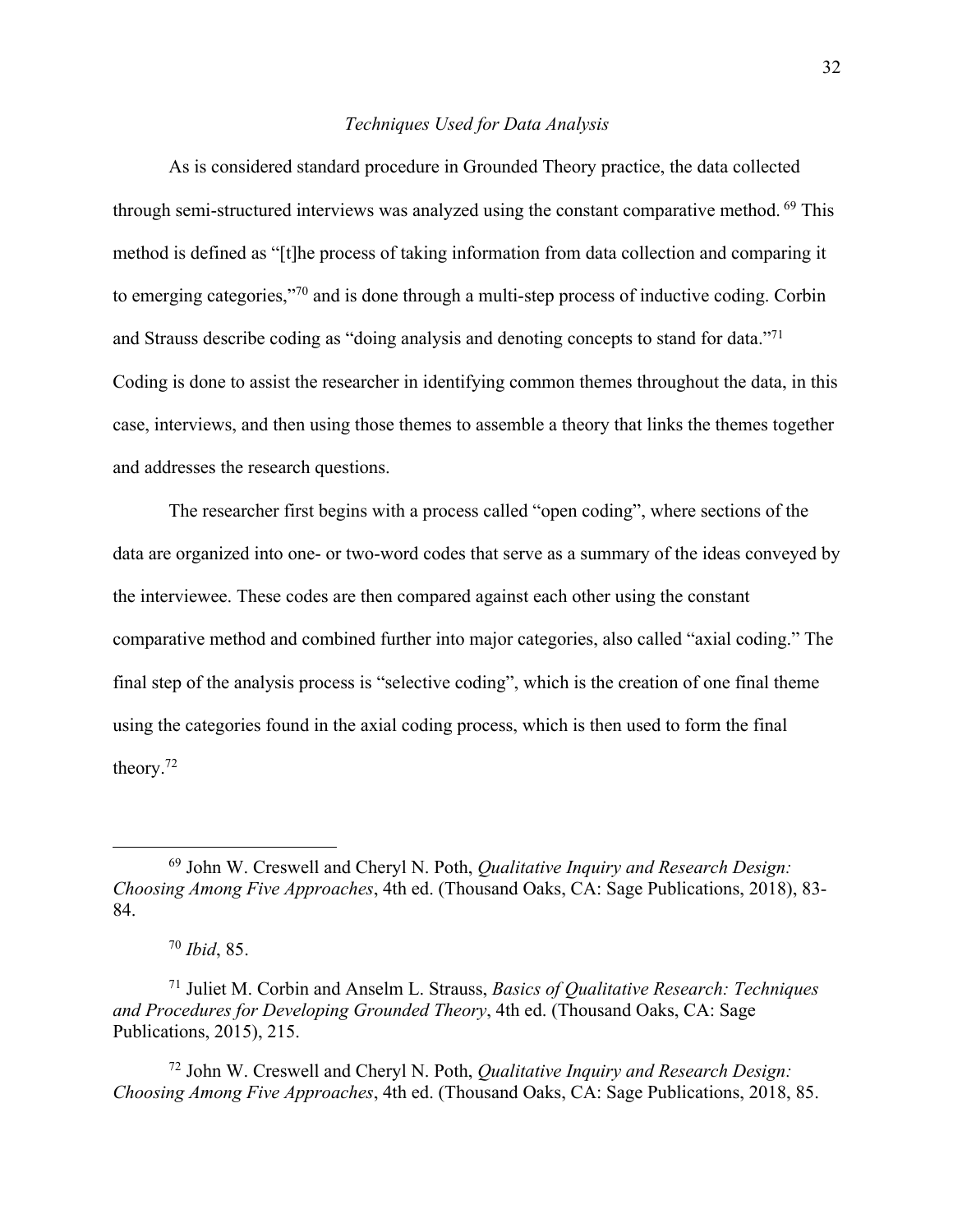#### *Techniques Used for Data Analysis*

As is considered standard procedure in Grounded Theory practice, the data collected through semi-structured interviews was analyzed using the constant comparative method. <sup>69</sup> This method is defined as "[t]he process of taking information from data collection and comparing it to emerging categories,"70 and is done through a multi-step process of inductive coding. Corbin and Strauss describe coding as "doing analysis and denoting concepts to stand for data."71 Coding is done to assist the researcher in identifying common themes throughout the data, in this case, interviews, and then using those themes to assemble a theory that links the themes together and addresses the research questions.

The researcher first begins with a process called "open coding", where sections of the data are organized into one- or two-word codes that serve as a summary of the ideas conveyed by the interviewee. These codes are then compared against each other using the constant comparative method and combined further into major categories, also called "axial coding." The final step of the analysis process is "selective coding", which is the creation of one final theme using the categories found in the axial coding process, which is then used to form the final theory. 72

<sup>72</sup> John W. Creswell and Cheryl N. Poth, *Qualitative Inquiry and Research Design: Choosing Among Five Approaches*, 4th ed. (Thousand Oaks, CA: Sage Publications, 2018, 85.

<sup>69</sup> John W. Creswell and Cheryl N. Poth, *Qualitative Inquiry and Research Design: Choosing Among Five Approaches*, 4th ed. (Thousand Oaks, CA: Sage Publications, 2018), 83- 84.

<sup>70</sup> *Ibid*, 85.

<sup>71</sup> Juliet M. Corbin and Anselm L. Strauss, *Basics of Qualitative Research: Techniques and Procedures for Developing Grounded Theory*, 4th ed. (Thousand Oaks, CA: Sage Publications, 2015), 215.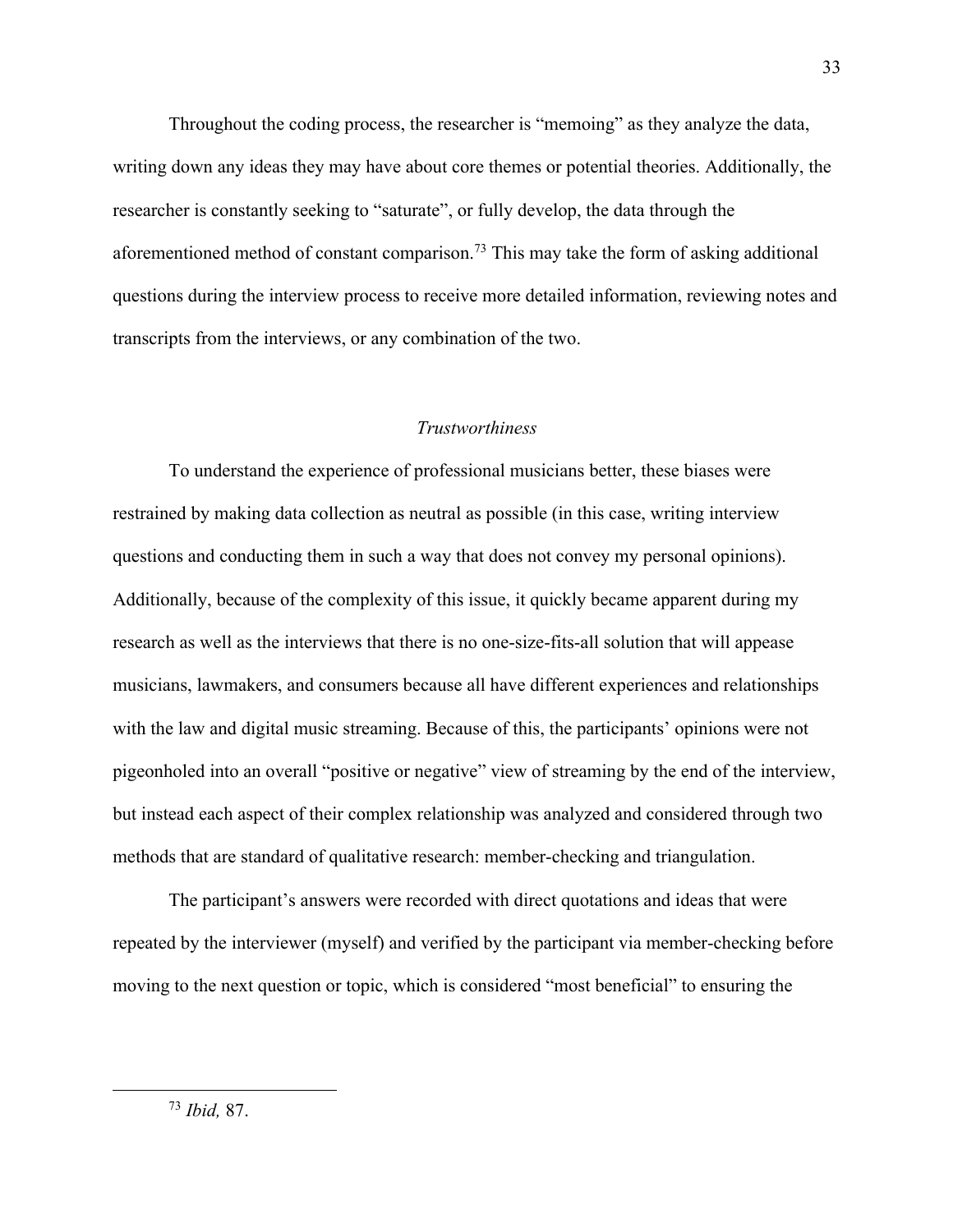Throughout the coding process, the researcher is "memoing" as they analyze the data, writing down any ideas they may have about core themes or potential theories. Additionally, the researcher is constantly seeking to "saturate", or fully develop, the data through the aforementioned method of constant comparison.73 This may take the form of asking additional questions during the interview process to receive more detailed information, reviewing notes and transcripts from the interviews, or any combination of the two.

## *Trustworthiness*

To understand the experience of professional musicians better, these biases were restrained by making data collection as neutral as possible (in this case, writing interview questions and conducting them in such a way that does not convey my personal opinions). Additionally, because of the complexity of this issue, it quickly became apparent during my research as well as the interviews that there is no one-size-fits-all solution that will appease musicians, lawmakers, and consumers because all have different experiences and relationships with the law and digital music streaming. Because of this, the participants' opinions were not pigeonholed into an overall "positive or negative" view of streaming by the end of the interview, but instead each aspect of their complex relationship was analyzed and considered through two methods that are standard of qualitative research: member-checking and triangulation.

The participant's answers were recorded with direct quotations and ideas that were repeated by the interviewer (myself) and verified by the participant via member-checking before moving to the next question or topic, which is considered "most beneficial" to ensuring the

<sup>73</sup> *Ibid,* 87.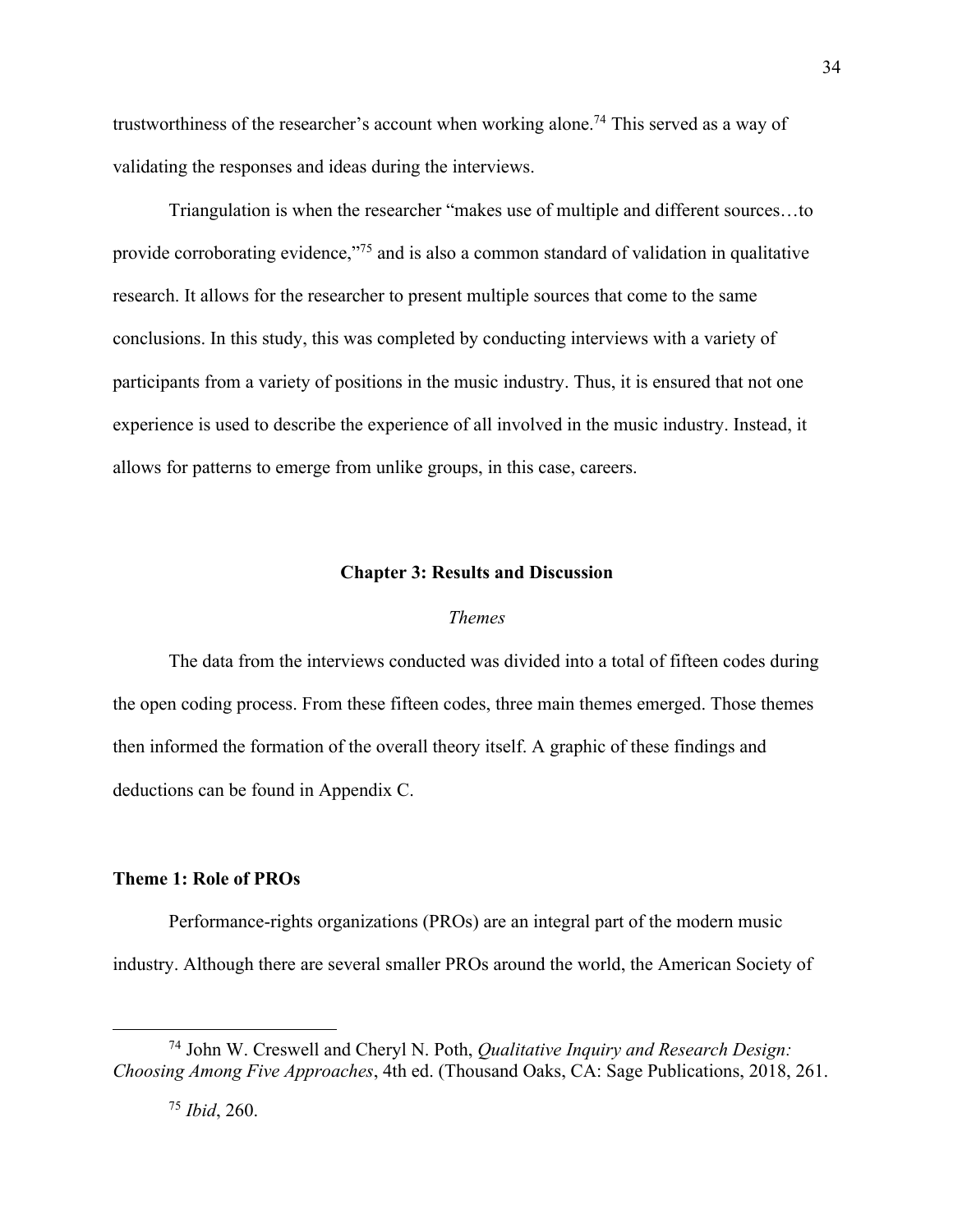trustworthiness of the researcher's account when working alone.<sup>74</sup> This served as a way of validating the responses and ideas during the interviews.

Triangulation is when the researcher "makes use of multiple and different sources…to provide corroborating evidence,"75 and is also a common standard of validation in qualitative research. It allows for the researcher to present multiple sources that come to the same conclusions. In this study, this was completed by conducting interviews with a variety of participants from a variety of positions in the music industry. Thus, it is ensured that not one experience is used to describe the experience of all involved in the music industry. Instead, it allows for patterns to emerge from unlike groups, in this case, careers.

#### **Chapter 3: Results and Discussion**

#### *Themes*

The data from the interviews conducted was divided into a total of fifteen codes during the open coding process. From these fifteen codes, three main themes emerged. Those themes then informed the formation of the overall theory itself. A graphic of these findings and deductions can be found in Appendix C.

#### **Theme 1: Role of PROs**

Performance-rights organizations (PROs) are an integral part of the modern music industry. Although there are several smaller PROs around the world, the American Society of

<sup>74</sup> John W. Creswell and Cheryl N. Poth, *Qualitative Inquiry and Research Design: Choosing Among Five Approaches*, 4th ed. (Thousand Oaks, CA: Sage Publications, 2018, 261.

<sup>75</sup> *Ibid*, 260.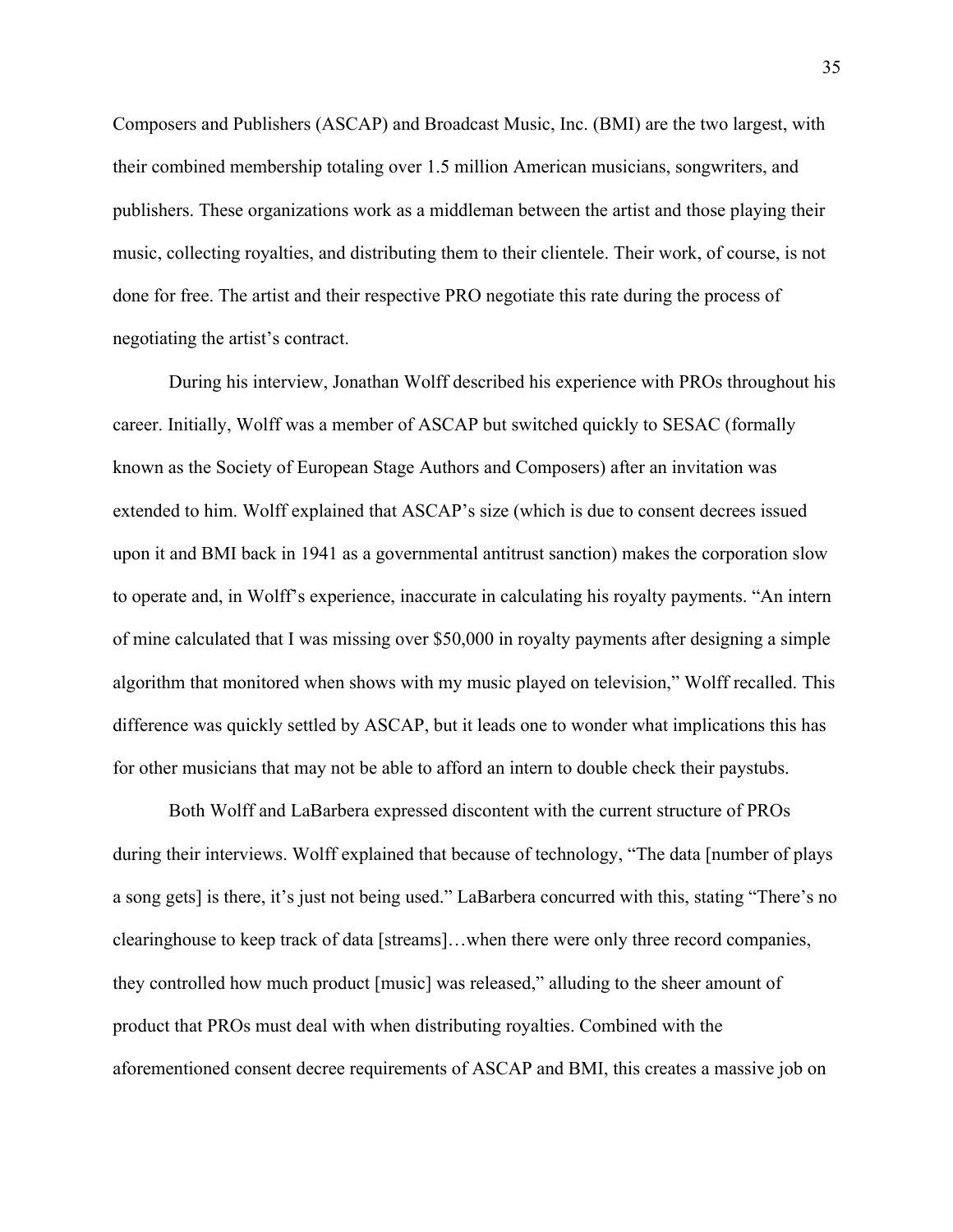Composers and Publishers (ASCAP) and Broadcast Music, Inc. (BMI) are the two largest, with their combined membership totaling over 1.5 million American musicians, songwriters, and publishers. These organizations work as a middleman between the artist and those playing their music, collecting royalties, and distributing them to their clientele. Their work, of course, is not done for free. The artist and their respective PRO negotiate this rate during the process of negotiating the artist's contract.

During his interview, Jonathan Wolff described his experience with PROs throughout his career. Initially, Wolff was a member of ASCAP but switched quickly to SESAC (formally known as the Society of European Stage Authors and Composers) after an invitation was extended to him. Wolff explained that ASCAP's size (which is due to consent decrees issued upon it and BMI back in 1941 as a governmental antitrust sanction) makes the corporation slow to operate and, in Wolff's experience, inaccurate in calculating his royalty payments. "An intern of mine calculated that I was missing over \$50,000 in royalty payments after designing a simple algorithm that monitored when shows with my music played on television," Wolff recalled. This difference was quickly settled by ASCAP, but it leads one to wonder what implications this has for other musicians that may not be able to afford an intern to double check their paystubs.

Both Wolff and LaBarbera expressed discontent with the current structure of PROs during their interviews. Wolff explained that because of technology, "The data [number of plays a song gets] is there, it's just not being used." LaBarbera concurred with this, stating "There's no clearinghouse to keep track of data [streams]…when there were only three record companies, they controlled how much product [music] was released," alluding to the sheer amount of product that PROs must deal with when distributing royalties. Combined with the aforementioned consent decree requirements of ASCAP and BMI, this creates a massive job on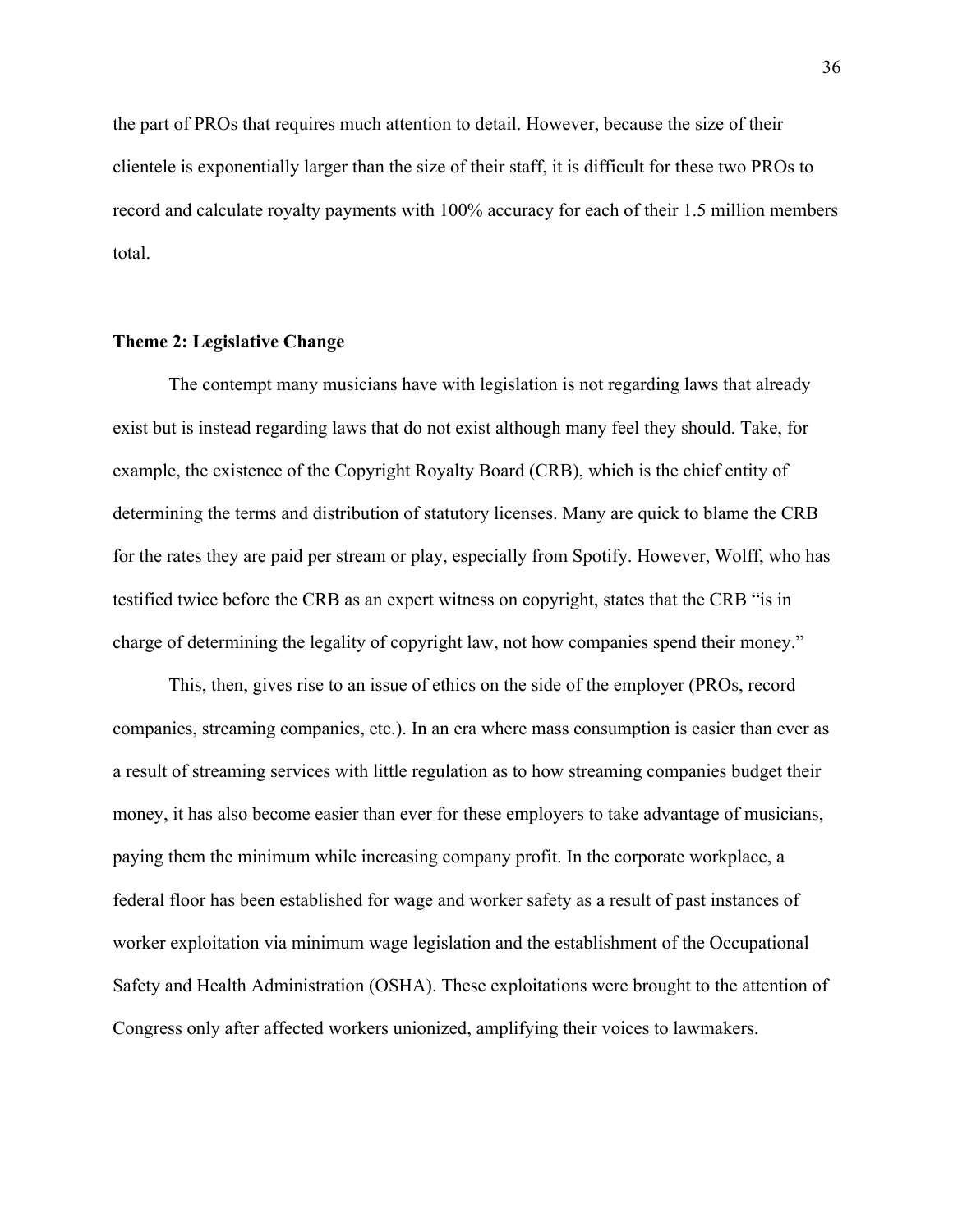the part of PROs that requires much attention to detail. However, because the size of their clientele is exponentially larger than the size of their staff, it is difficult for these two PROs to record and calculate royalty payments with 100% accuracy for each of their 1.5 million members total.

#### **Theme 2: Legislative Change**

The contempt many musicians have with legislation is not regarding laws that already exist but is instead regarding laws that do not exist although many feel they should. Take, for example, the existence of the Copyright Royalty Board (CRB), which is the chief entity of determining the terms and distribution of statutory licenses. Many are quick to blame the CRB for the rates they are paid per stream or play, especially from Spotify. However, Wolff, who has testified twice before the CRB as an expert witness on copyright, states that the CRB "is in charge of determining the legality of copyright law, not how companies spend their money."

This, then, gives rise to an issue of ethics on the side of the employer (PROs, record companies, streaming companies, etc.). In an era where mass consumption is easier than ever as a result of streaming services with little regulation as to how streaming companies budget their money, it has also become easier than ever for these employers to take advantage of musicians, paying them the minimum while increasing company profit. In the corporate workplace, a federal floor has been established for wage and worker safety as a result of past instances of worker exploitation via minimum wage legislation and the establishment of the Occupational Safety and Health Administration (OSHA). These exploitations were brought to the attention of Congress only after affected workers unionized, amplifying their voices to lawmakers.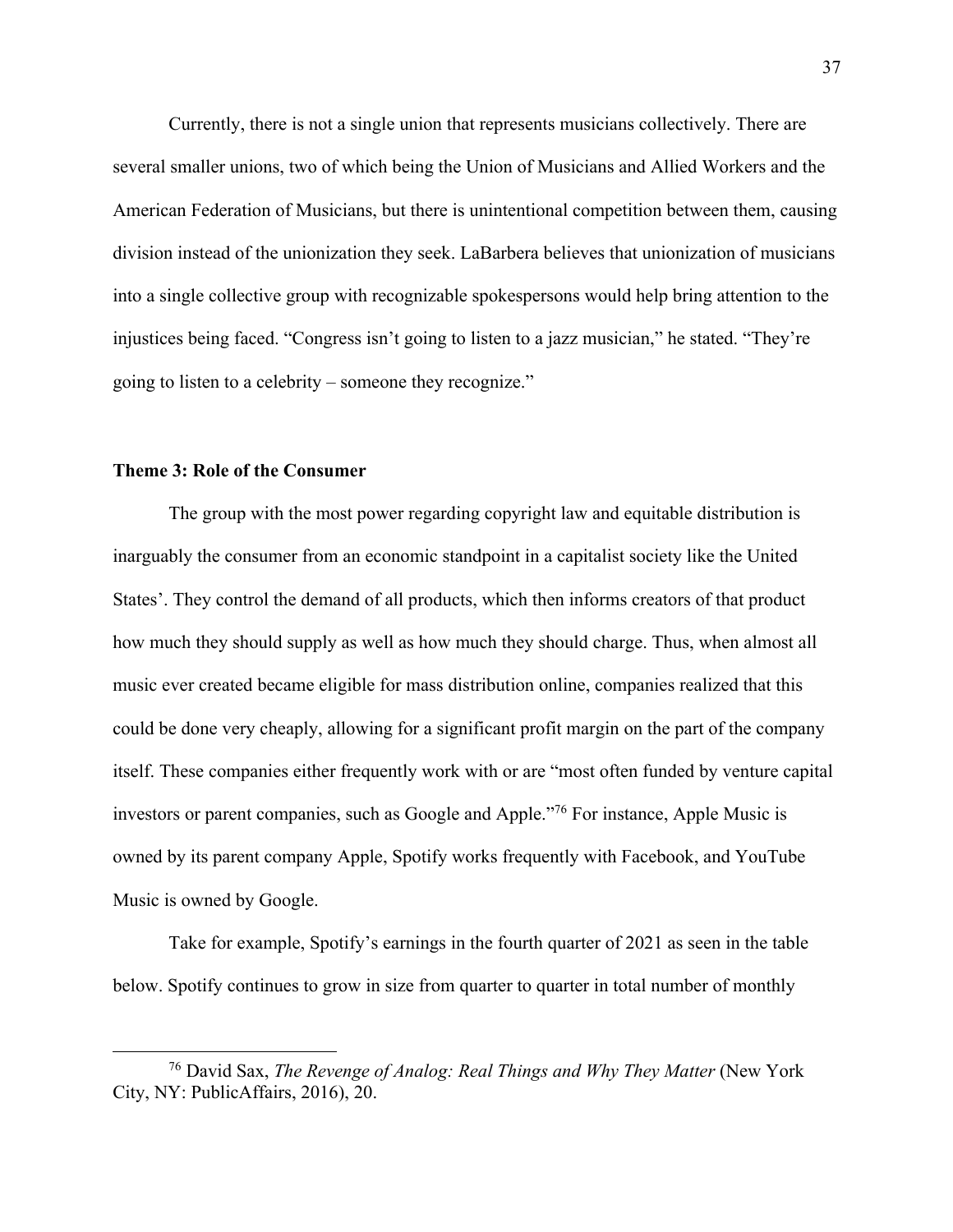Currently, there is not a single union that represents musicians collectively. There are several smaller unions, two of which being the Union of Musicians and Allied Workers and the American Federation of Musicians, but there is unintentional competition between them, causing division instead of the unionization they seek. LaBarbera believes that unionization of musicians into a single collective group with recognizable spokespersons would help bring attention to the injustices being faced. "Congress isn't going to listen to a jazz musician," he stated. "They're going to listen to a celebrity – someone they recognize."

# **Theme 3: Role of the Consumer**

The group with the most power regarding copyright law and equitable distribution is inarguably the consumer from an economic standpoint in a capitalist society like the United States'. They control the demand of all products, which then informs creators of that product how much they should supply as well as how much they should charge. Thus, when almost all music ever created became eligible for mass distribution online, companies realized that this could be done very cheaply, allowing for a significant profit margin on the part of the company itself. These companies either frequently work with or are "most often funded by venture capital investors or parent companies, such as Google and Apple."76 For instance, Apple Music is owned by its parent company Apple, Spotify works frequently with Facebook, and YouTube Music is owned by Google.

Take for example, Spotify's earnings in the fourth quarter of 2021 as seen in the table below. Spotify continues to grow in size from quarter to quarter in total number of monthly

<sup>76</sup> David Sax, *The Revenge of Analog: Real Things and Why They Matter* (New York City, NY: PublicAffairs, 2016), 20.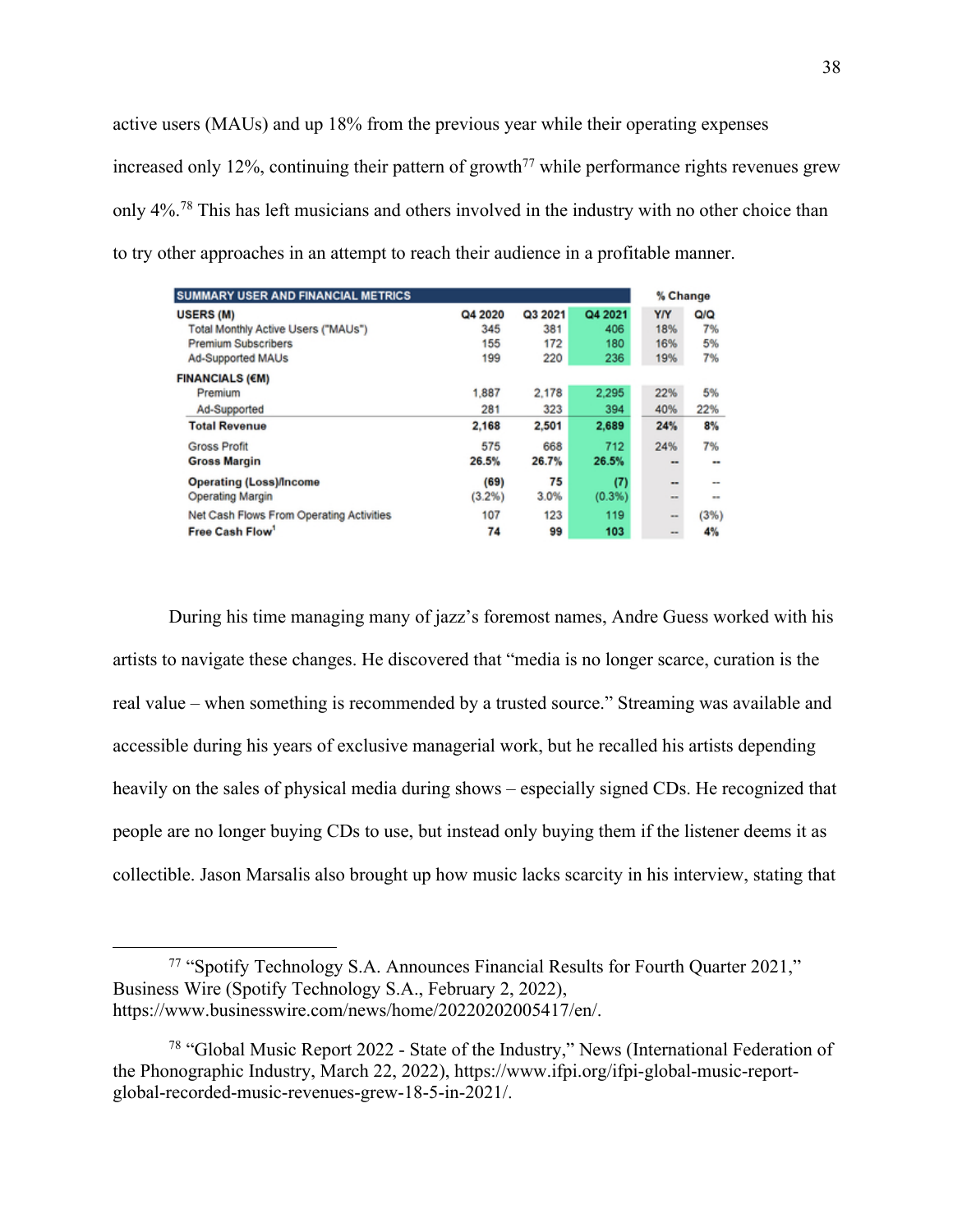active users (MAUs) and up 18% from the previous year while their operating expenses increased only 12%, continuing their pattern of growth<sup> $77$ </sup> while performance rights revenues grew only 4%.<sup>78</sup> This has left musicians and others involved in the industry with no other choice than to try other approaches in an attempt to reach their audience in a profitable manner.

| <b>SUMMARY USER AND FINANCIAL METRICS</b>   |         |         |         | % Change                 |                 |
|---------------------------------------------|---------|---------|---------|--------------------------|-----------------|
| <b>USERS (M)</b>                            | Q4 2020 | Q3 2021 | Q4 2021 | YN                       | QIQ             |
| Total Monthly Active Users ("MAUs")         | 345     | 381     | 406     | 18%                      | 7%              |
| <b>Premium Subscribers</b>                  | 155     | 172     | 180     | 16%                      | 5%              |
| Ad-Supported MAUs<br><b>FINANCIALS (€M)</b> | 199     | 220     | 236     | 19%                      | 7%              |
| Premium                                     | 1,887   | 2.178   | 2.295   | 22%                      | 5%              |
| Ad-Supported                                | 281     | 323     | 394     | 40%                      | 22%             |
| <b>Total Revenue</b>                        | 2.168   | 2,501   | 2,689   | 24%                      | 8%              |
| <b>Gross Profit</b>                         | 575     | 668     | 712     | 24%                      | 7%              |
| <b>Gross Margin</b>                         | 26.5%   | 26.7%   | 26.5%   | $-$                      | --              |
| <b>Operating (Loss)/Income</b>              | (69)    | 75      | (7)     | $\overline{\phantom{a}}$ | $\qquad \qquad$ |
| <b>Operating Margin</b>                     | (3.2%)  | 3.0%    | (0.3%)  | $-1$                     | $-1$            |
| Net Cash Flows From Operating Activities    | 107     | 123     | 119     | $-1$                     | (3%)            |
| Free Cash Flow                              | 74      | 99      | 103     | -                        | 4%              |

During his time managing many of jazz's foremost names, Andre Guess worked with his artists to navigate these changes. He discovered that "media is no longer scarce, curation is the real value – when something is recommended by a trusted source." Streaming was available and accessible during his years of exclusive managerial work, but he recalled his artists depending heavily on the sales of physical media during shows – especially signed CDs. He recognized that people are no longer buying CDs to use, but instead only buying them if the listener deems it as collectible. Jason Marsalis also brought up how music lacks scarcity in his interview, stating that

<sup>77</sup> "Spotify Technology S.A. Announces Financial Results for Fourth Quarter 2021," Business Wire (Spotify Technology S.A., February 2, 2022), https://www.businesswire.com/news/home/20220202005417/en/.

<sup>78</sup> "Global Music Report 2022 - State of the Industry," News (International Federation of the Phonographic Industry, March 22, 2022), https://www.ifpi.org/ifpi-global-music-reportglobal-recorded-music-revenues-grew-18-5-in-2021/.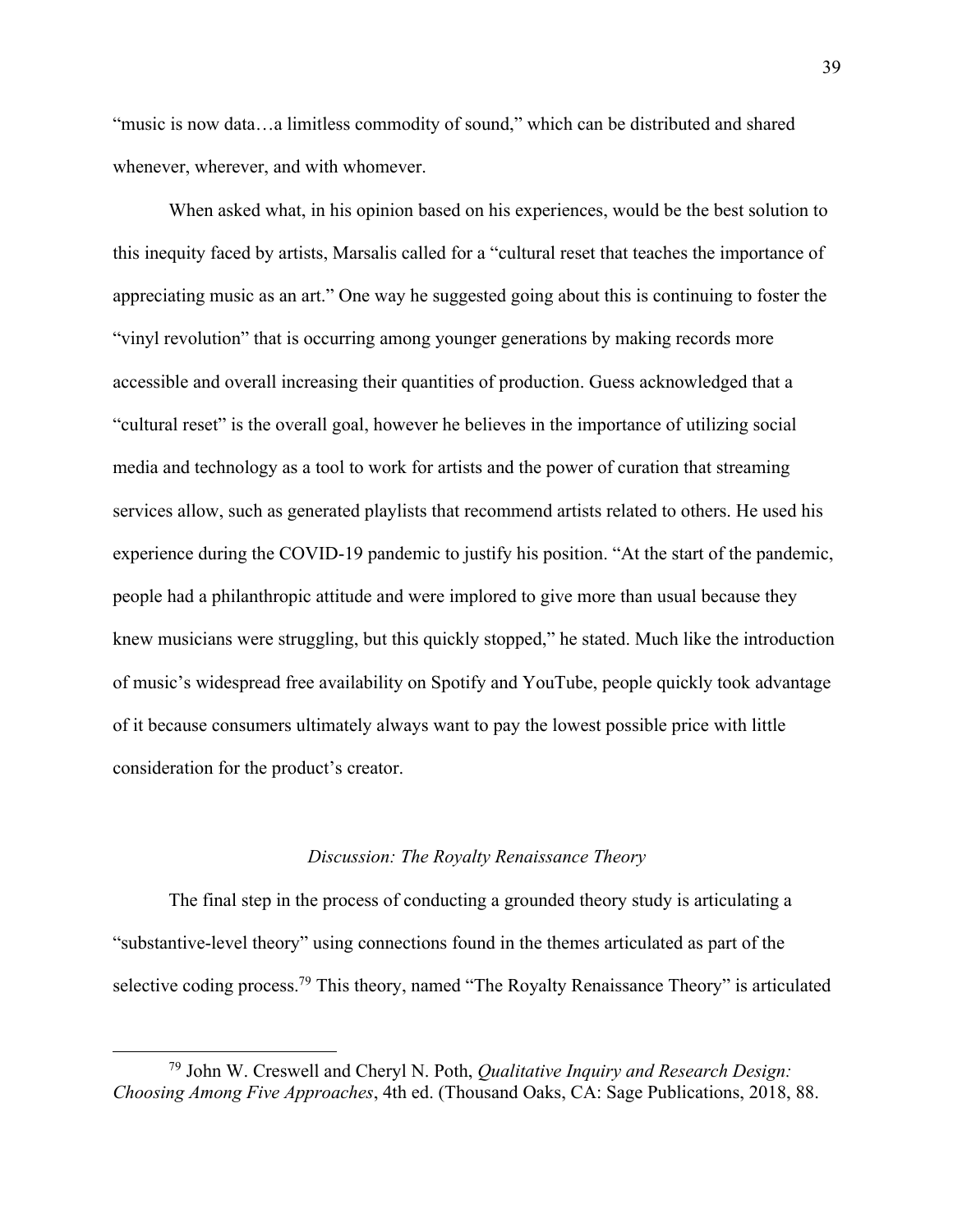"music is now data...a limitless commodity of sound," which can be distributed and shared whenever, wherever, and with whomever.

When asked what, in his opinion based on his experiences, would be the best solution to this inequity faced by artists, Marsalis called for a "cultural reset that teaches the importance of appreciating music as an art." One way he suggested going about this is continuing to foster the "vinyl revolution" that is occurring among younger generations by making records more accessible and overall increasing their quantities of production. Guess acknowledged that a "cultural reset" is the overall goal, however he believes in the importance of utilizing social media and technology as a tool to work for artists and the power of curation that streaming services allow, such as generated playlists that recommend artists related to others. He used his experience during the COVID-19 pandemic to justify his position. "At the start of the pandemic, people had a philanthropic attitude and were implored to give more than usual because they knew musicians were struggling, but this quickly stopped," he stated. Much like the introduction of music's widespread free availability on Spotify and YouTube, people quickly took advantage of it because consumers ultimately always want to pay the lowest possible price with little consideration for the product's creator.

#### *Discussion: The Royalty Renaissance Theory*

The final step in the process of conducting a grounded theory study is articulating a "substantive-level theory" using connections found in the themes articulated as part of the selective coding process.<sup>79</sup> This theory, named "The Royalty Renaissance Theory" is articulated

<sup>79</sup> John W. Creswell and Cheryl N. Poth, *Qualitative Inquiry and Research Design: Choosing Among Five Approaches*, 4th ed. (Thousand Oaks, CA: Sage Publications, 2018, 88.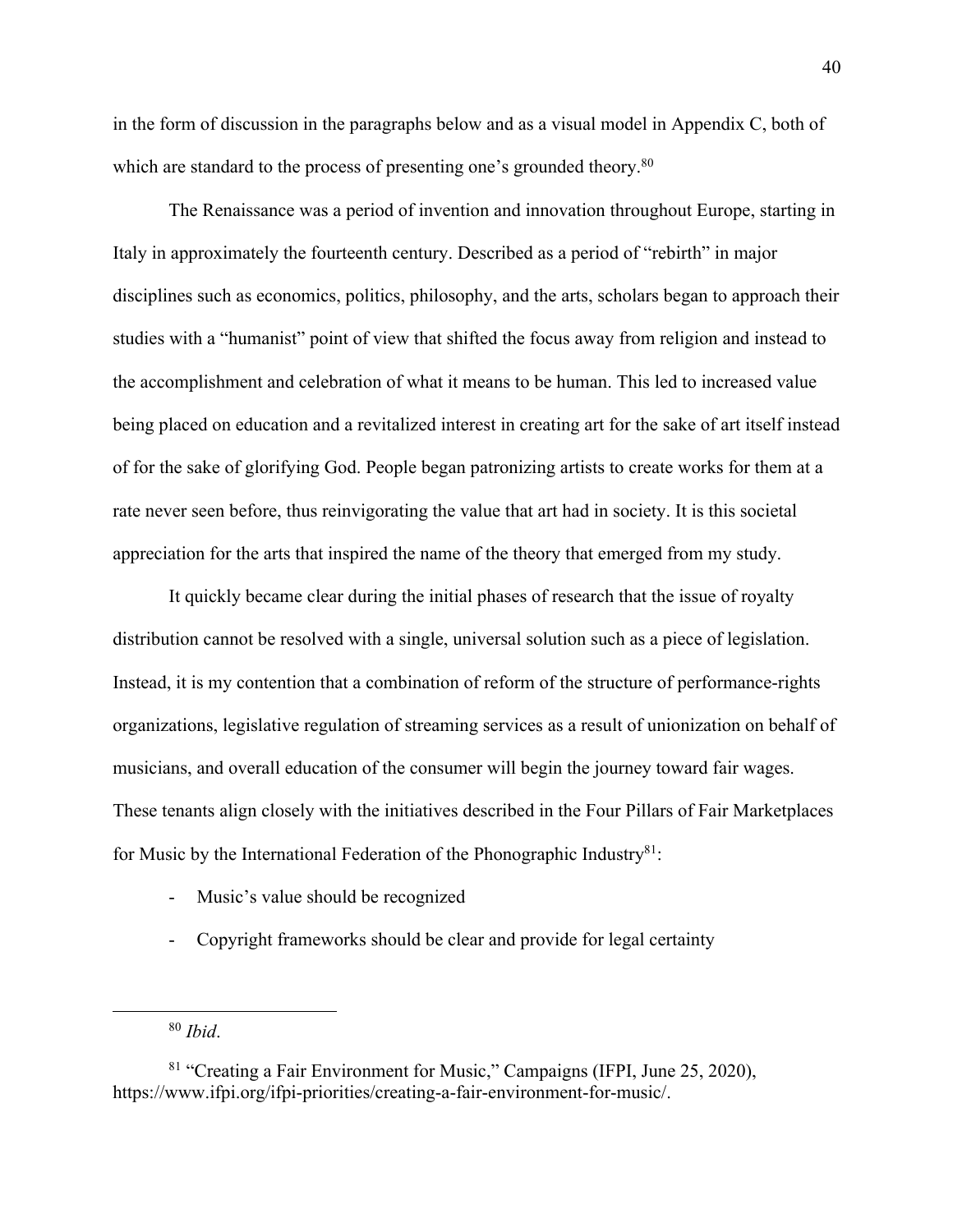in the form of discussion in the paragraphs below and as a visual model in Appendix C, both of which are standard to the process of presenting one's grounded theory.<sup>80</sup>

The Renaissance was a period of invention and innovation throughout Europe, starting in Italy in approximately the fourteenth century. Described as a period of "rebirth" in major disciplines such as economics, politics, philosophy, and the arts, scholars began to approach their studies with a "humanist" point of view that shifted the focus away from religion and instead to the accomplishment and celebration of what it means to be human. This led to increased value being placed on education and a revitalized interest in creating art for the sake of art itself instead of for the sake of glorifying God. People began patronizing artists to create works for them at a rate never seen before, thus reinvigorating the value that art had in society. It is this societal appreciation for the arts that inspired the name of the theory that emerged from my study.

It quickly became clear during the initial phases of research that the issue of royalty distribution cannot be resolved with a single, universal solution such as a piece of legislation. Instead, it is my contention that a combination of reform of the structure of performance-rights organizations, legislative regulation of streaming services as a result of unionization on behalf of musicians, and overall education of the consumer will begin the journey toward fair wages. These tenants align closely with the initiatives described in the Four Pillars of Fair Marketplaces for Music by the International Federation of the Phonographic Industry $81$ :

- Music's value should be recognized
- Copyright frameworks should be clear and provide for legal certainty

<sup>80</sup> *Ibid*.

<sup>81</sup> "Creating a Fair Environment for Music," Campaigns (IFPI, June 25, 2020), https://www.ifpi.org/ifpi-priorities/creating-a-fair-environment-for-music/.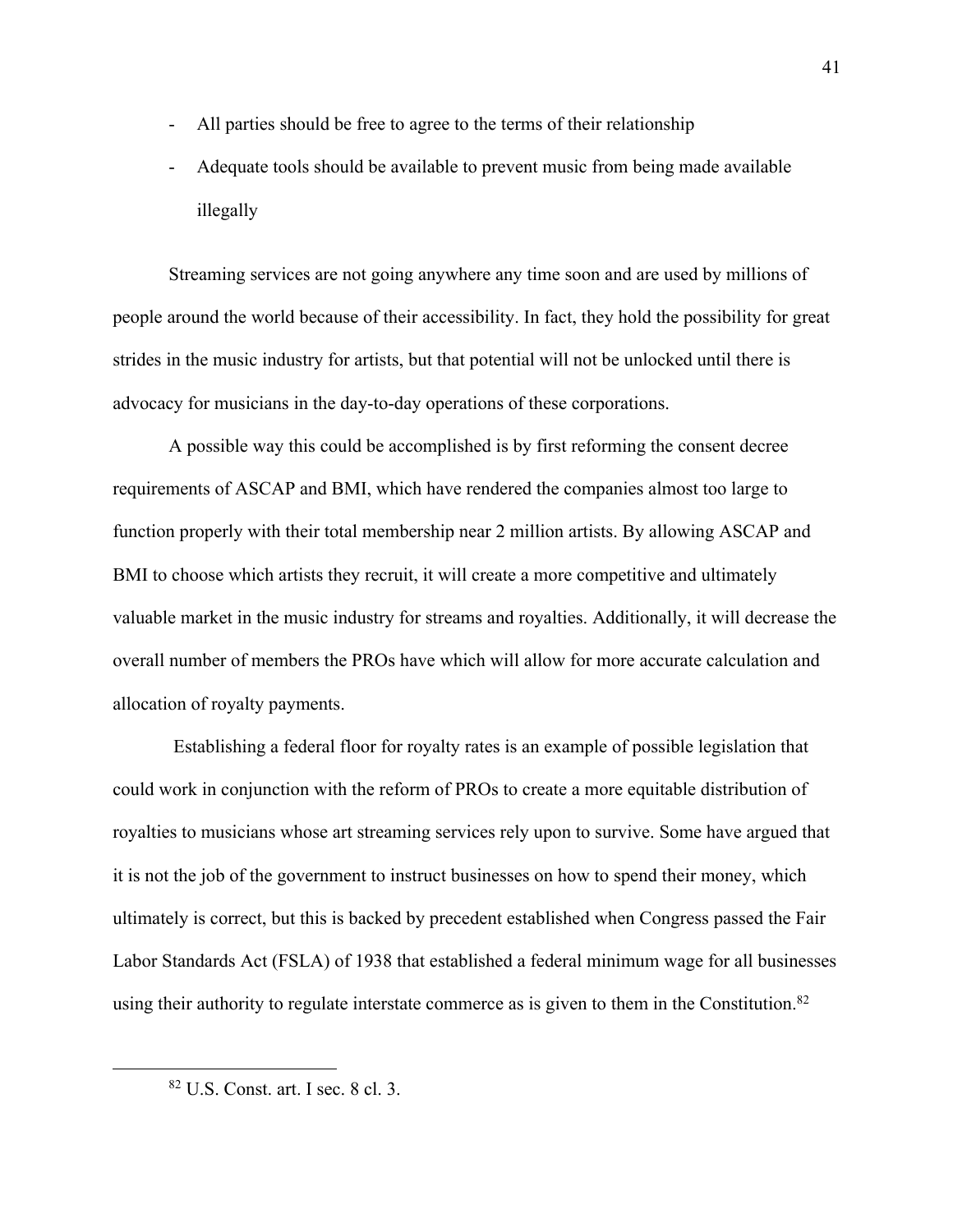- All parties should be free to agree to the terms of their relationship
- Adequate tools should be available to prevent music from being made available illegally

Streaming services are not going anywhere any time soon and are used by millions of people around the world because of their accessibility. In fact, they hold the possibility for great strides in the music industry for artists, but that potential will not be unlocked until there is advocacy for musicians in the day-to-day operations of these corporations.

A possible way this could be accomplished is by first reforming the consent decree requirements of ASCAP and BMI, which have rendered the companies almost too large to function properly with their total membership near 2 million artists. By allowing ASCAP and BMI to choose which artists they recruit, it will create a more competitive and ultimately valuable market in the music industry for streams and royalties. Additionally, it will decrease the overall number of members the PROs have which will allow for more accurate calculation and allocation of royalty payments.

Establishing a federal floor for royalty rates is an example of possible legislation that could work in conjunction with the reform of PROs to create a more equitable distribution of royalties to musicians whose art streaming services rely upon to survive. Some have argued that it is not the job of the government to instruct businesses on how to spend their money, which ultimately is correct, but this is backed by precedent established when Congress passed the Fair Labor Standards Act (FSLA) of 1938 that established a federal minimum wage for all businesses using their authority to regulate interstate commerce as is given to them in the Constitution.<sup>82</sup>

<sup>82</sup> U.S. Const. art. I sec. 8 cl. 3.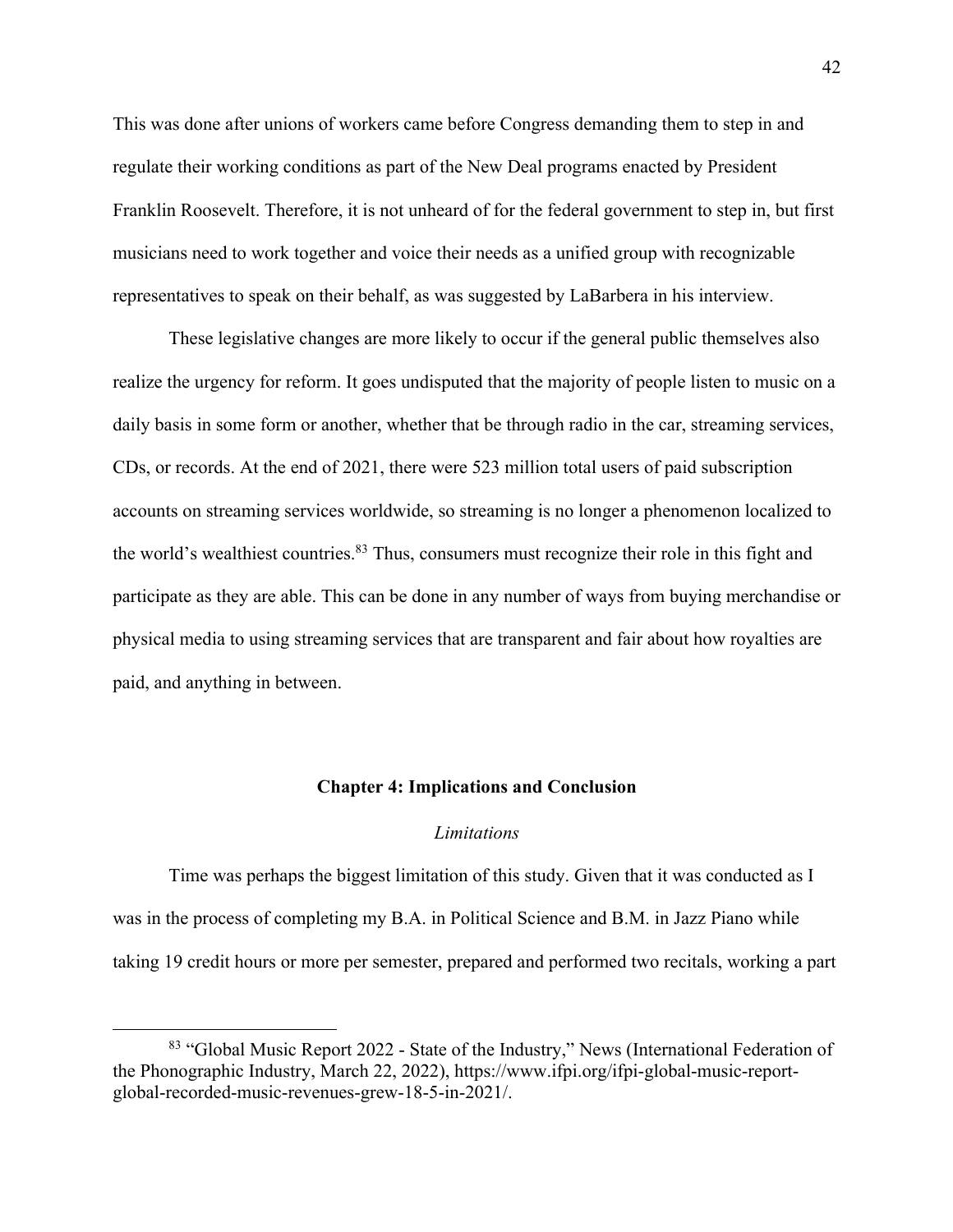This was done after unions of workers came before Congress demanding them to step in and regulate their working conditions as part of the New Deal programs enacted by President Franklin Roosevelt. Therefore, it is not unheard of for the federal government to step in, but first musicians need to work together and voice their needs as a unified group with recognizable representatives to speak on their behalf, as was suggested by LaBarbera in his interview.

These legislative changes are more likely to occur if the general public themselves also realize the urgency for reform. It goes undisputed that the majority of people listen to music on a daily basis in some form or another, whether that be through radio in the car, streaming services, CDs, or records. At the end of 2021, there were 523 million total users of paid subscription accounts on streaming services worldwide, so streaming is no longer a phenomenon localized to the world's wealthiest countries.<sup>83</sup> Thus, consumers must recognize their role in this fight and participate as they are able. This can be done in any number of ways from buying merchandise or physical media to using streaming services that are transparent and fair about how royalties are paid, and anything in between.

#### **Chapter 4: Implications and Conclusion**

#### *Limitations*

Time was perhaps the biggest limitation of this study. Given that it was conducted as I was in the process of completing my B.A. in Political Science and B.M. in Jazz Piano while taking 19 credit hours or more per semester, prepared and performed two recitals, working a part

<sup>83</sup> "Global Music Report 2022 - State of the Industry," News (International Federation of the Phonographic Industry, March 22, 2022), https://www.ifpi.org/ifpi-global-music-reportglobal-recorded-music-revenues-grew-18-5-in-2021/.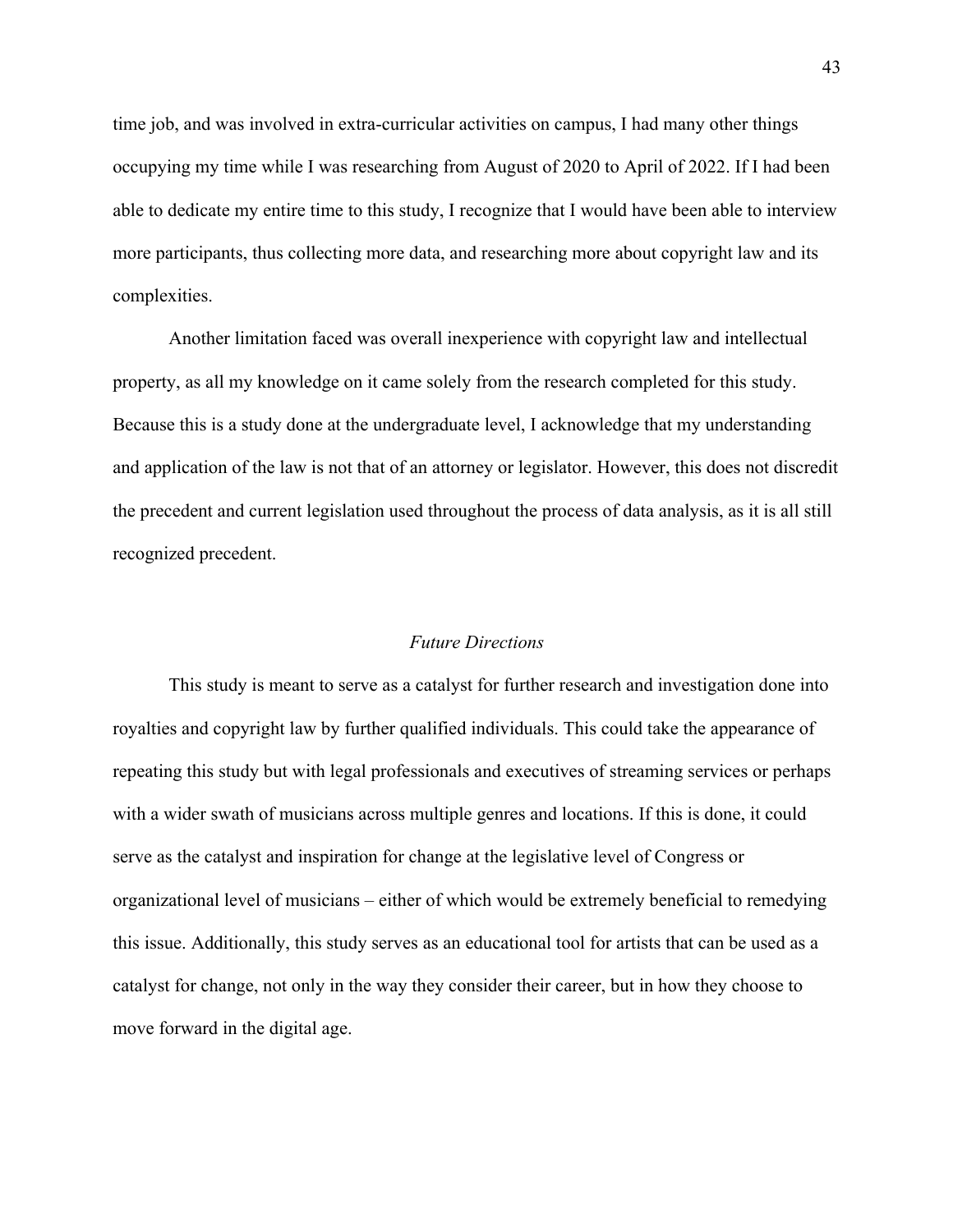time job, and was involved in extra-curricular activities on campus, I had many other things occupying my time while I was researching from August of 2020 to April of 2022. If I had been able to dedicate my entire time to this study, I recognize that I would have been able to interview more participants, thus collecting more data, and researching more about copyright law and its complexities.

Another limitation faced was overall inexperience with copyright law and intellectual property, as all my knowledge on it came solely from the research completed for this study. Because this is a study done at the undergraduate level, I acknowledge that my understanding and application of the law is not that of an attorney or legislator. However, this does not discredit the precedent and current legislation used throughout the process of data analysis, as it is all still recognized precedent.

# *Future Directions*

This study is meant to serve as a catalyst for further research and investigation done into royalties and copyright law by further qualified individuals. This could take the appearance of repeating this study but with legal professionals and executives of streaming services or perhaps with a wider swath of musicians across multiple genres and locations. If this is done, it could serve as the catalyst and inspiration for change at the legislative level of Congress or organizational level of musicians – either of which would be extremely beneficial to remedying this issue. Additionally, this study serves as an educational tool for artists that can be used as a catalyst for change, not only in the way they consider their career, but in how they choose to move forward in the digital age.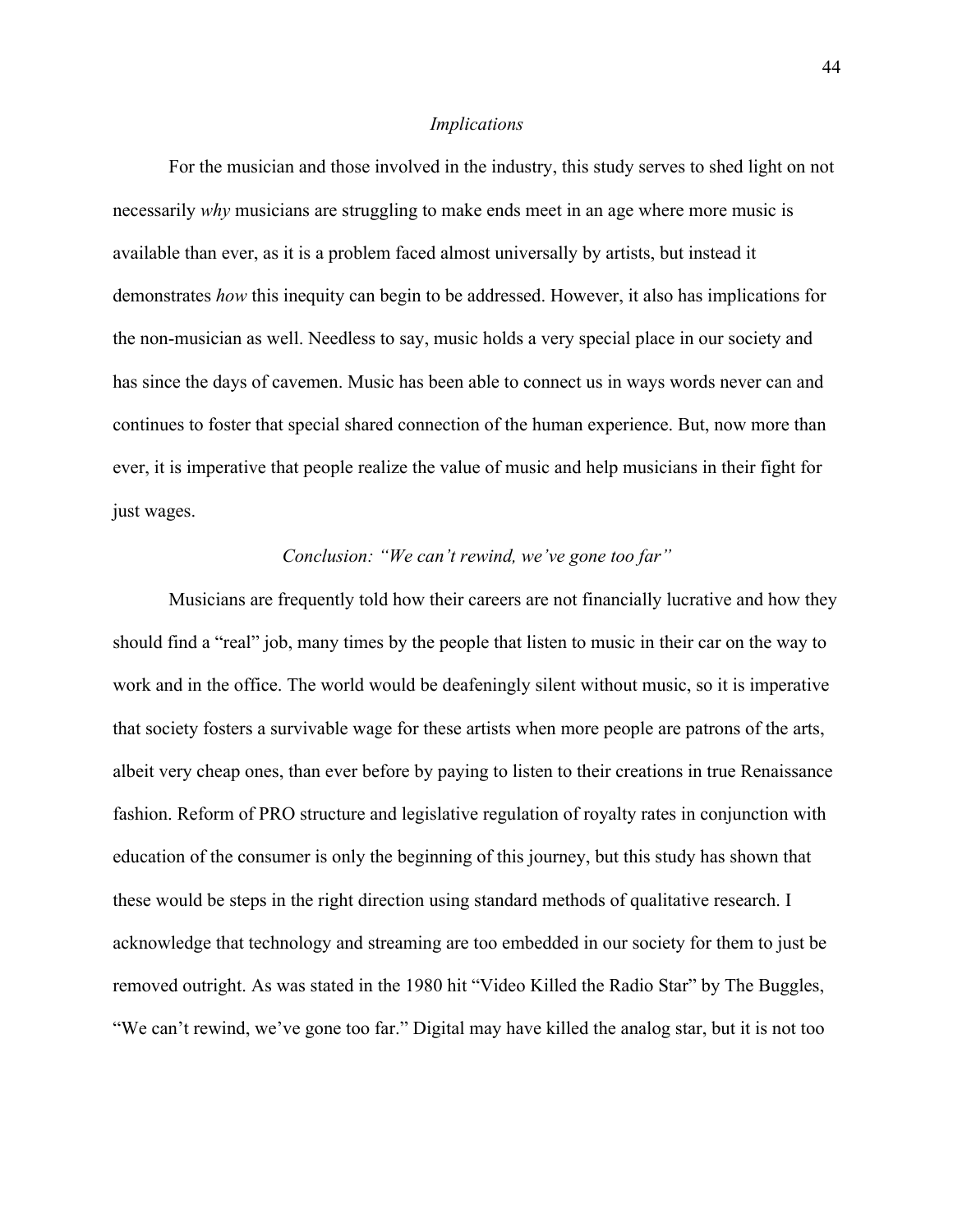#### *Implications*

For the musician and those involved in the industry, this study serves to shed light on not necessarily *why* musicians are struggling to make ends meet in an age where more music is available than ever, as it is a problem faced almost universally by artists, but instead it demonstrates *how* this inequity can begin to be addressed. However, it also has implications for the non-musician as well. Needless to say, music holds a very special place in our society and has since the days of cavemen. Music has been able to connect us in ways words never can and continues to foster that special shared connection of the human experience. But, now more than ever, it is imperative that people realize the value of music and help musicians in their fight for just wages.

# *Conclusion: "We can't rewind, we've gone too far"*

Musicians are frequently told how their careers are not financially lucrative and how they should find a "real" job, many times by the people that listen to music in their car on the way to work and in the office. The world would be deafeningly silent without music, so it is imperative that society fosters a survivable wage for these artists when more people are patrons of the arts, albeit very cheap ones, than ever before by paying to listen to their creations in true Renaissance fashion. Reform of PRO structure and legislative regulation of royalty rates in conjunction with education of the consumer is only the beginning of this journey, but this study has shown that these would be steps in the right direction using standard methods of qualitative research. I acknowledge that technology and streaming are too embedded in our society for them to just be removed outright. As was stated in the 1980 hit "Video Killed the Radio Star" by The Buggles, "We can't rewind, we've gone too far." Digital may have killed the analog star, but it is not too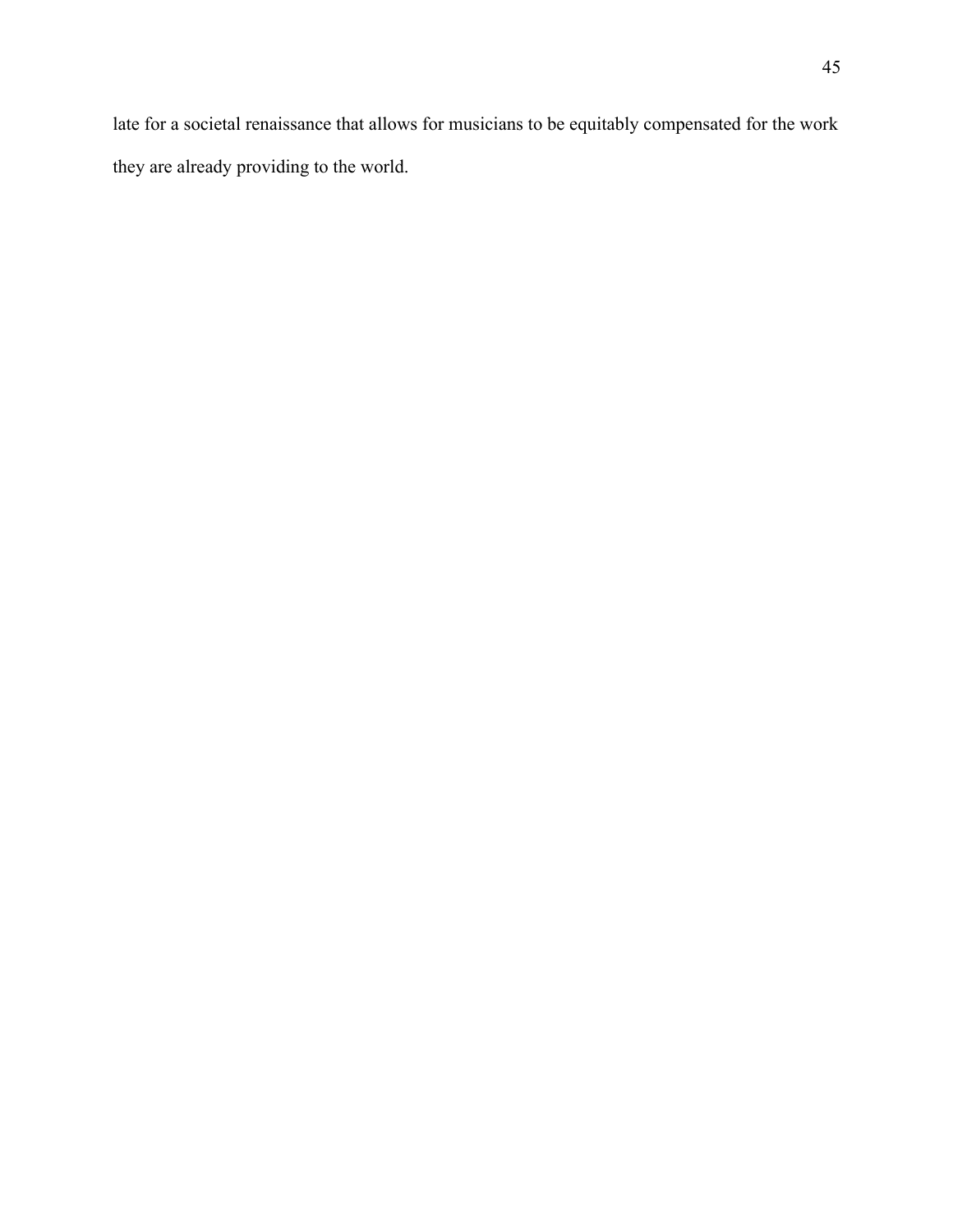late for a societal renaissance that allows for musicians to be equitably compensated for the work they are already providing to the world.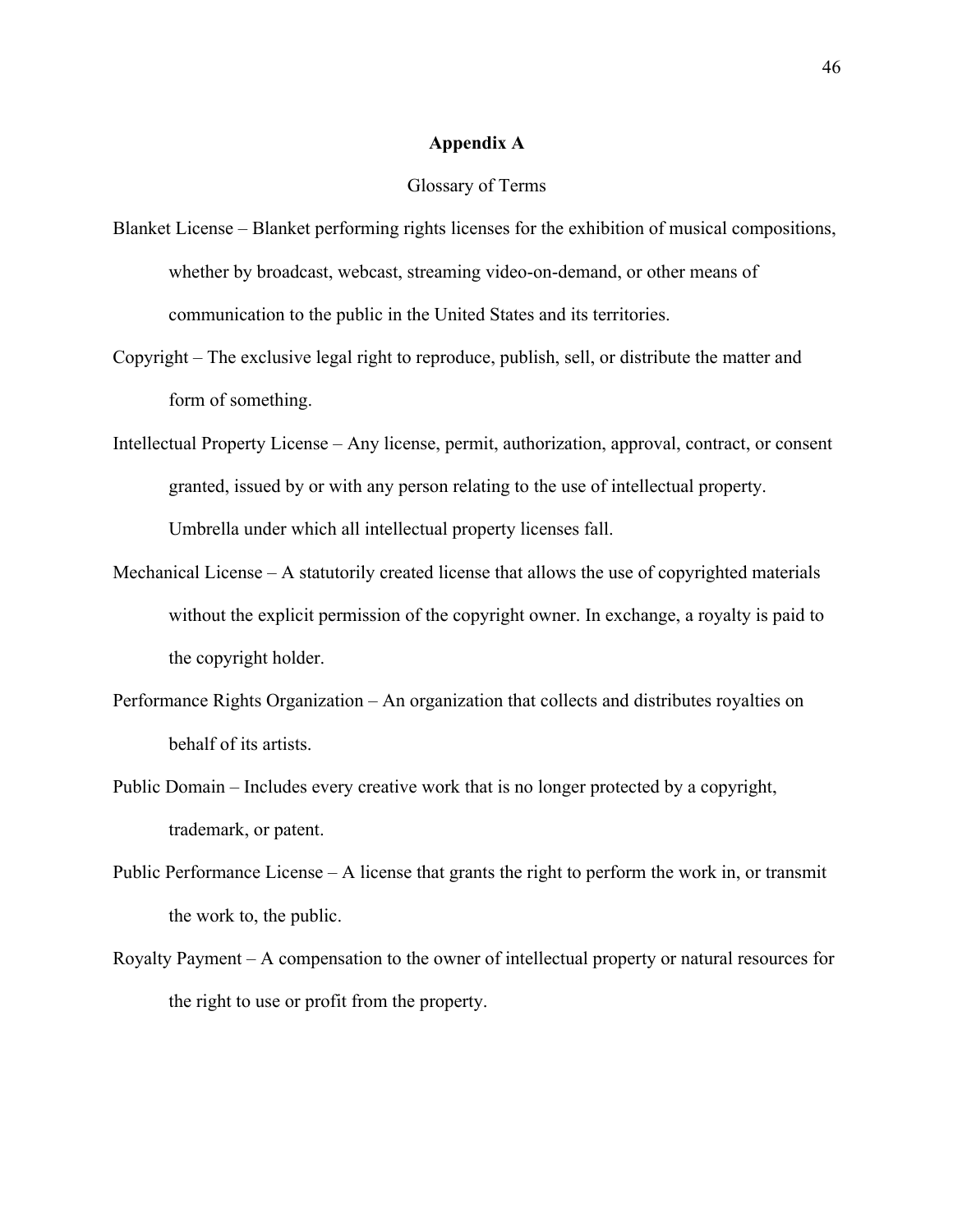# **Appendix A**

#### Glossary of Terms

- Blanket License Blanket performing rights licenses for the exhibition of musical compositions, whether by broadcast, webcast, streaming video-on-demand, or other means of communication to the public in the United States and its territories.
- Copyright The exclusive legal right to reproduce, publish, sell, or distribute the matter and form of something.
- Intellectual Property License Any license, permit, authorization, approval, contract, or consent granted, issued by or with any person relating to the use of intellectual property. Umbrella under which all intellectual property licenses fall.
- Mechanical License A statutorily created license that allows the use of copyrighted materials without the explicit permission of the copyright owner. In exchange, a royalty is paid to the copyright holder.
- Performance Rights Organization An organization that collects and distributes royalties on behalf of its artists.
- Public Domain Includes every creative work that is no longer protected by a copyright, trademark, or patent.
- Public Performance License A license that grants the right to perform the work in, or transmit the work to, the public.
- Royalty Payment A compensation to the owner of intellectual property or natural resources for the right to use or profit from the property.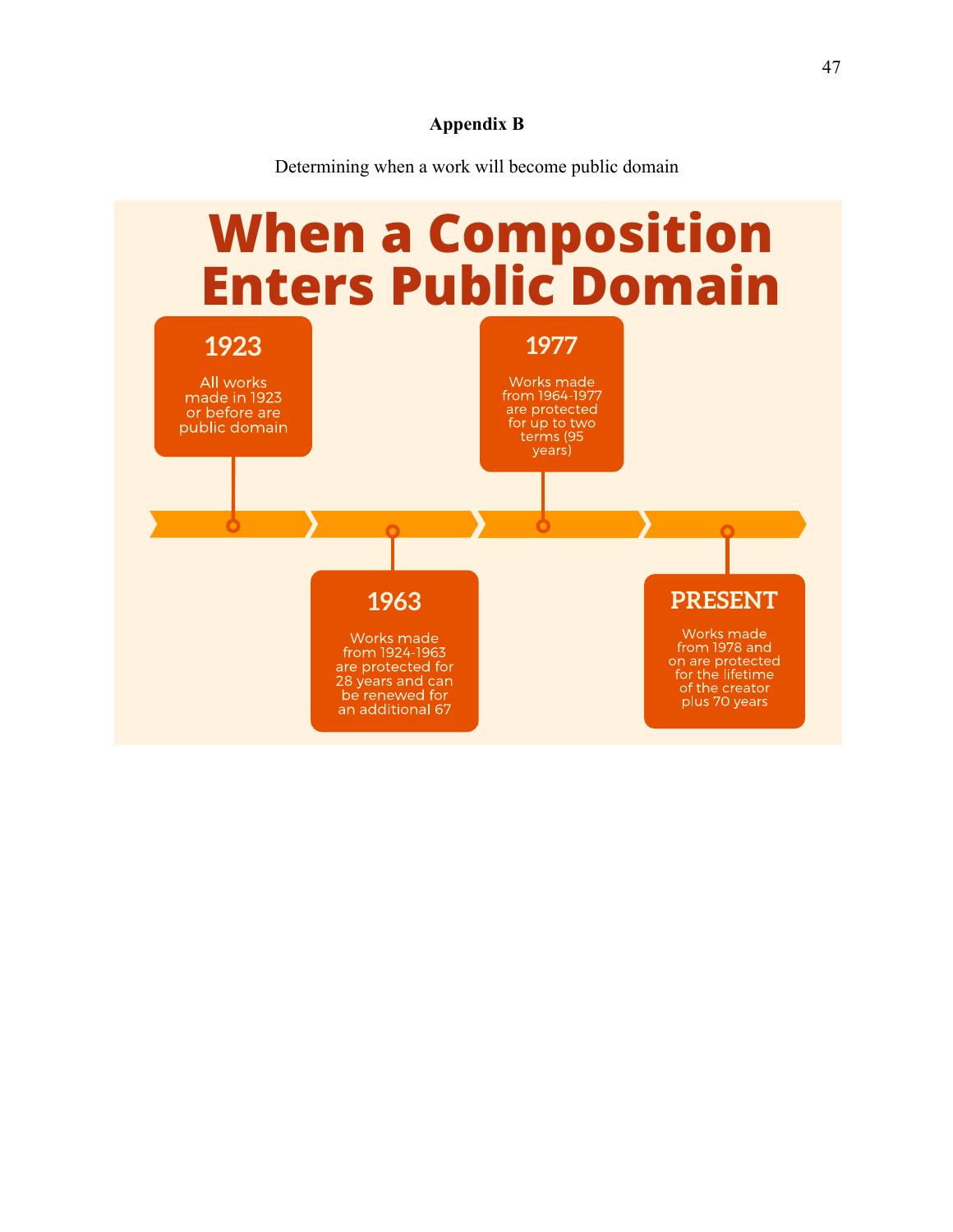# **Appendix B**

Determining when a work will become public domain

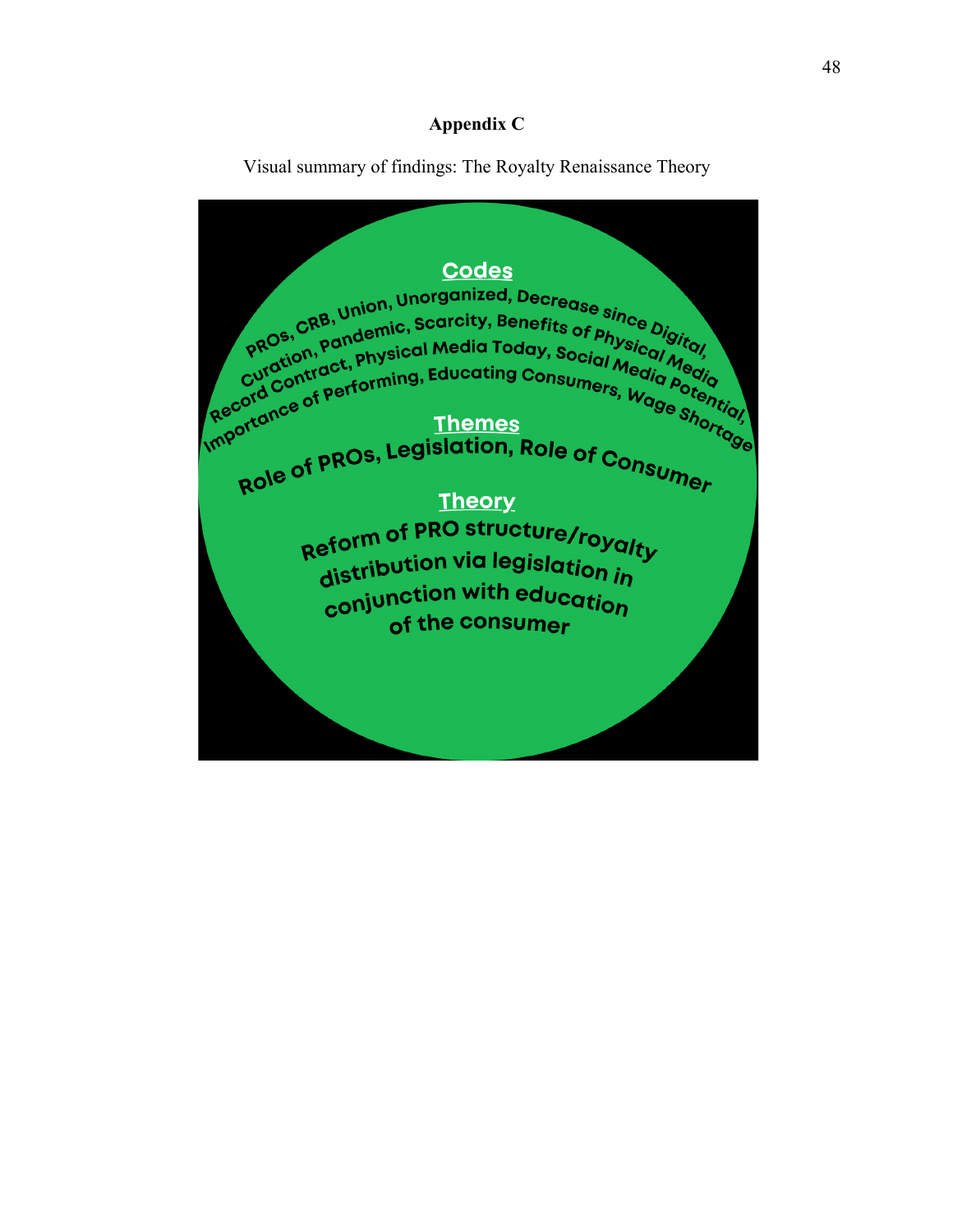# **Appendix C**

Visual summary of findings: The Royalty Renaissance Theory

**Codes** PROs, CRB, Union, Unorganized, Decrease since Digital<br>PROs, CRB, Union, Carcity, Benefits of Physicol Gigital PROS, CRB, Union, Carcity, Benefits of Physical Media<br>PROS, Pandemic, Scarcity, Benefits of Physical Media<br>Curdion tract, Physical Media Today, Social Media<br>Curdion tract, Physical Media Porcial Media pros, Pandenno, Pandenno, Pandenno, Physical Media Today, Social Media Media Porto, Curdtion, Physical Media Porto, Physical Media Porto, Physical Media Porto, Physical Media Porto, Physical Media Porto, Physical Media Por unportance of performing, Educating Consumers, Wage Shortique Role of PROs, Legislation, Role of Consumer **Theory** Reform of PRO structure/royalty distribution via legislation in conjunction with education of the consumer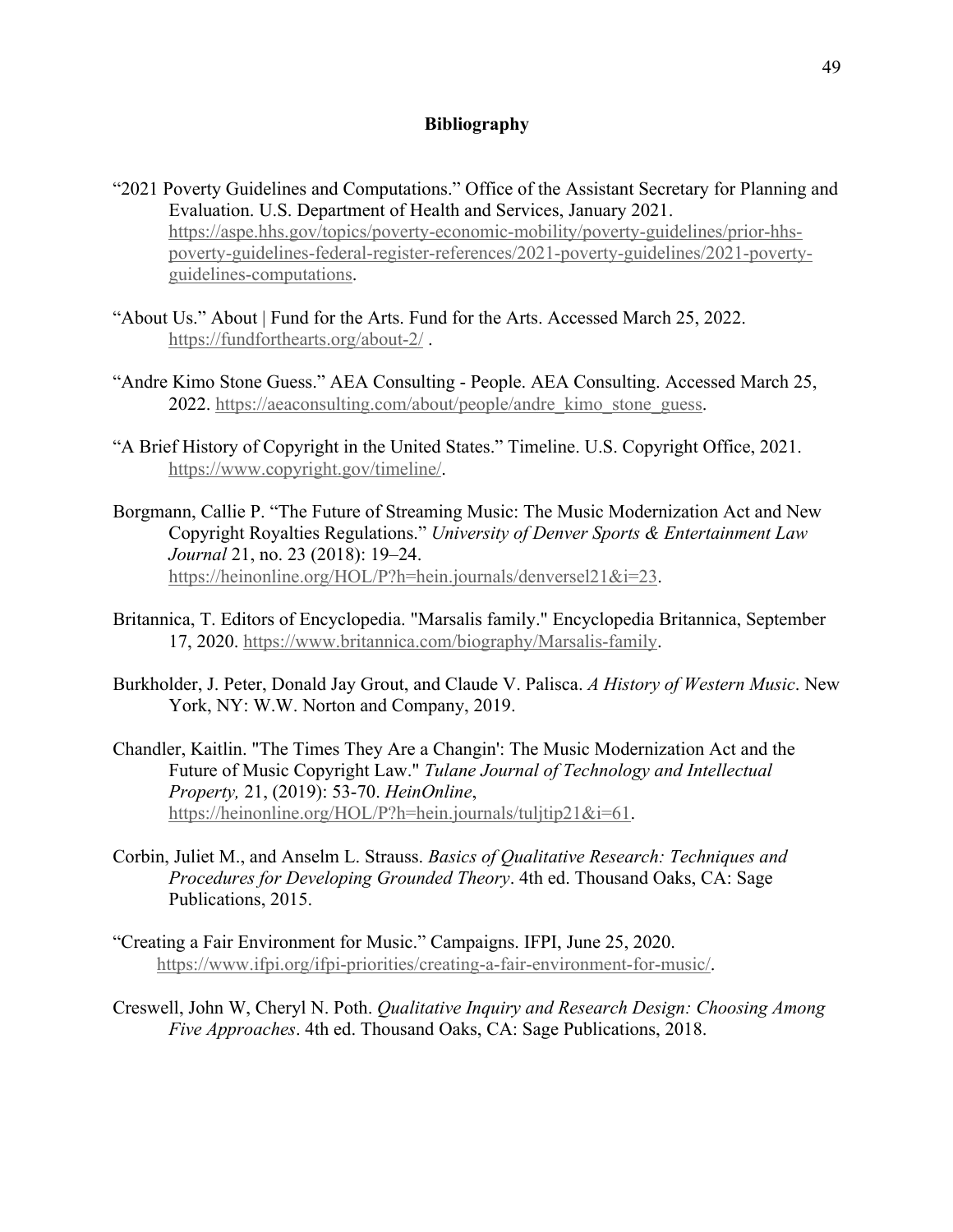# **Bibliography**

- "2021 Poverty Guidelines and Computations." Office of the Assistant Secretary for Planning and Evaluation. U.S. Department of Health and Services, January 2021. https://aspe.hhs.gov/topics/poverty-economic-mobility/poverty-guidelines/prior-hhspoverty-guidelines-federal-register-references/2021-poverty-guidelines/2021-povertyguidelines-computations.
- "About Us." About | Fund for the Arts. Fund for the Arts. Accessed March 25, 2022. https://fundforthearts.org/about-2/ .
- "Andre Kimo Stone Guess." AEA Consulting People. AEA Consulting. Accessed March 25, 2022. https://aeaconsulting.com/about/people/andre\_kimo\_stone\_guess.
- "A Brief History of Copyright in the United States." Timeline. U.S. Copyright Office, 2021. https://www.copyright.gov/timeline/.
- Borgmann, Callie P. "The Future of Streaming Music: The Music Modernization Act and New Copyright Royalties Regulations." *University of Denver Sports & Entertainment Law Journal* 21, no. 23 (2018): 19–24. https://heinonline.org/HOL/P?h=hein.journals/denversel21&i=23.
- Britannica, T. Editors of Encyclopedia. "Marsalis family." Encyclopedia Britannica, September 17, 2020. https://www.britannica.com/biography/Marsalis-family.
- Burkholder, J. Peter, Donald Jay Grout, and Claude V. Palisca. *A History of Western Music*. New York, NY: W.W. Norton and Company, 2019.
- Chandler, Kaitlin. "The Times They Are a Changin': The Music Modernization Act and the Future of Music Copyright Law." *Tulane Journal of Technology and Intellectual Property,* 21, (2019): 53-70. *HeinOnline*, https://heinonline.org/HOL/P?h=hein.journals/tuljtip21&i=61.
- Corbin, Juliet M., and Anselm L. Strauss. *Basics of Qualitative Research: Techniques and Procedures for Developing Grounded Theory*. 4th ed. Thousand Oaks, CA: Sage Publications, 2015.
- "Creating a Fair Environment for Music." Campaigns. IFPI, June 25, 2020. https://www.ifpi.org/ifpi-priorities/creating-a-fair-environment-for-music/.
- Creswell, John W, Cheryl N. Poth. *Qualitative Inquiry and Research Design: Choosing Among Five Approaches*. 4th ed. Thousand Oaks, CA: Sage Publications, 2018.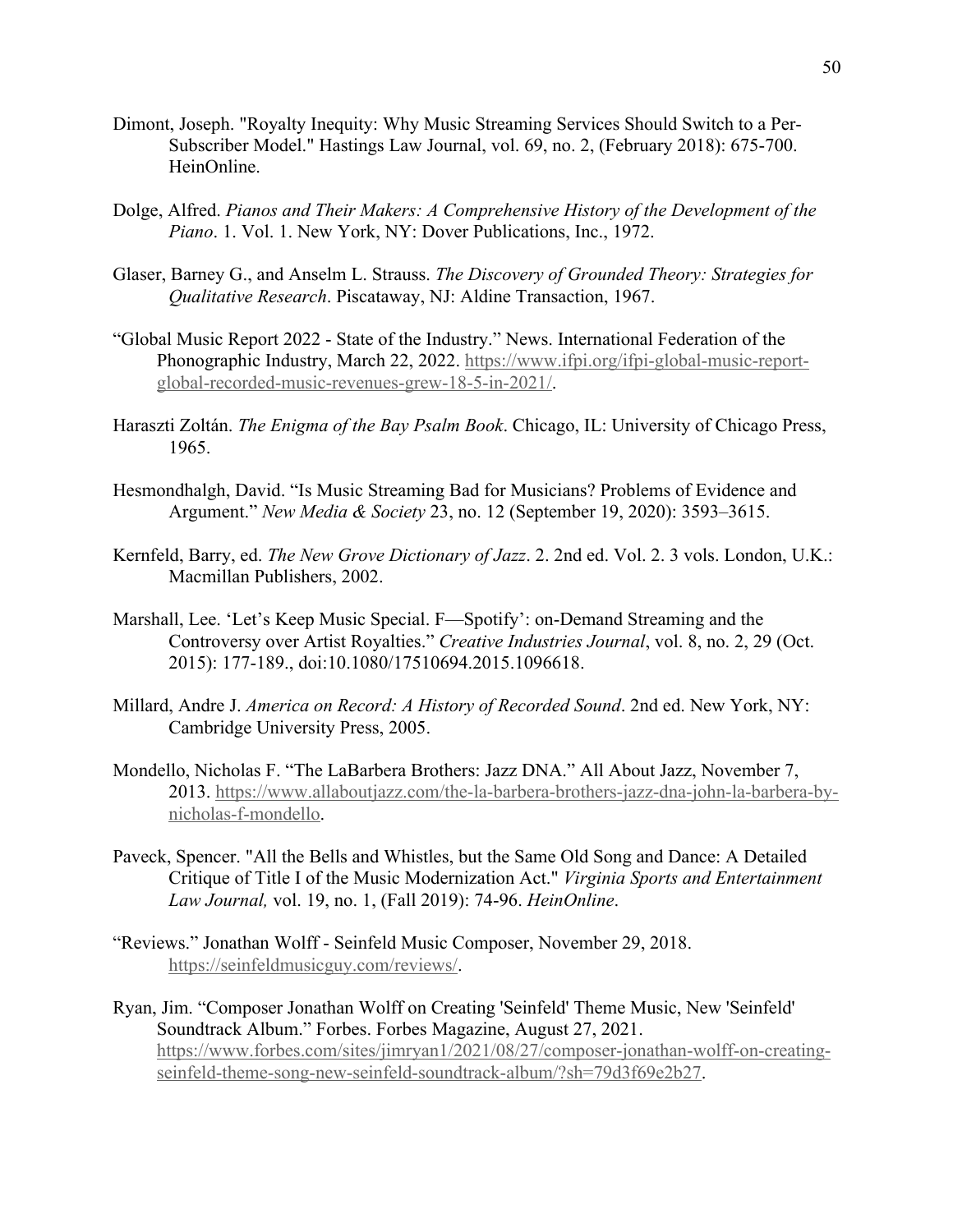- Dimont, Joseph. "Royalty Inequity: Why Music Streaming Services Should Switch to a Per-Subscriber Model." Hastings Law Journal, vol. 69, no. 2, (February 2018): 675-700. HeinOnline.
- Dolge, Alfred. *Pianos and Their Makers: A Comprehensive History of the Development of the Piano*. 1. Vol. 1. New York, NY: Dover Publications, Inc., 1972.
- Glaser, Barney G., and Anselm L. Strauss. *The Discovery of Grounded Theory: Strategies for Qualitative Research*. Piscataway, NJ: Aldine Transaction, 1967.
- "Global Music Report 2022 State of the Industry." News. International Federation of the Phonographic Industry, March 22, 2022. https://www.ifpi.org/ifpi-global-music-reportglobal-recorded-music-revenues-grew-18-5-in-2021/.
- Haraszti Zoltán. *The Enigma of the Bay Psalm Book*. Chicago, IL: University of Chicago Press, 1965.
- Hesmondhalgh, David. "Is Music Streaming Bad for Musicians? Problems of Evidence and Argument." *New Media & Society* 23, no. 12 (September 19, 2020): 3593–3615.
- Kernfeld, Barry, ed. *The New Grove Dictionary of Jazz*. 2. 2nd ed. Vol. 2. 3 vols. London, U.K.: Macmillan Publishers, 2002.
- Marshall, Lee. 'Let's Keep Music Special. F—Spotify': on-Demand Streaming and the Controversy over Artist Royalties." *Creative Industries Journal*, vol. 8, no. 2, 29 (Oct. 2015): 177-189., doi:10.1080/17510694.2015.1096618.
- Millard, Andre J. *America on Record: A History of Recorded Sound*. 2nd ed. New York, NY: Cambridge University Press, 2005.
- Mondello, Nicholas F. "The LaBarbera Brothers: Jazz DNA." All About Jazz, November 7, 2013. https://www.allaboutjazz.com/the-la-barbera-brothers-jazz-dna-john-la-barbera-bynicholas-f-mondello.
- Paveck, Spencer. "All the Bells and Whistles, but the Same Old Song and Dance: A Detailed Critique of Title I of the Music Modernization Act." *Virginia Sports and Entertainment Law Journal,* vol. 19, no. 1, (Fall 2019): 74-96. *HeinOnline*.
- "Reviews." Jonathan Wolff Seinfeld Music Composer, November 29, 2018. https://seinfeldmusicguy.com/reviews/.
- Ryan, Jim. "Composer Jonathan Wolff on Creating 'Seinfeld' Theme Music, New 'Seinfeld' Soundtrack Album." Forbes. Forbes Magazine, August 27, 2021. https://www.forbes.com/sites/jimryan1/2021/08/27/composer-jonathan-wolff-on-creatingseinfeld-theme-song-new-seinfeld-soundtrack-album/?sh=79d3f69e2b27.